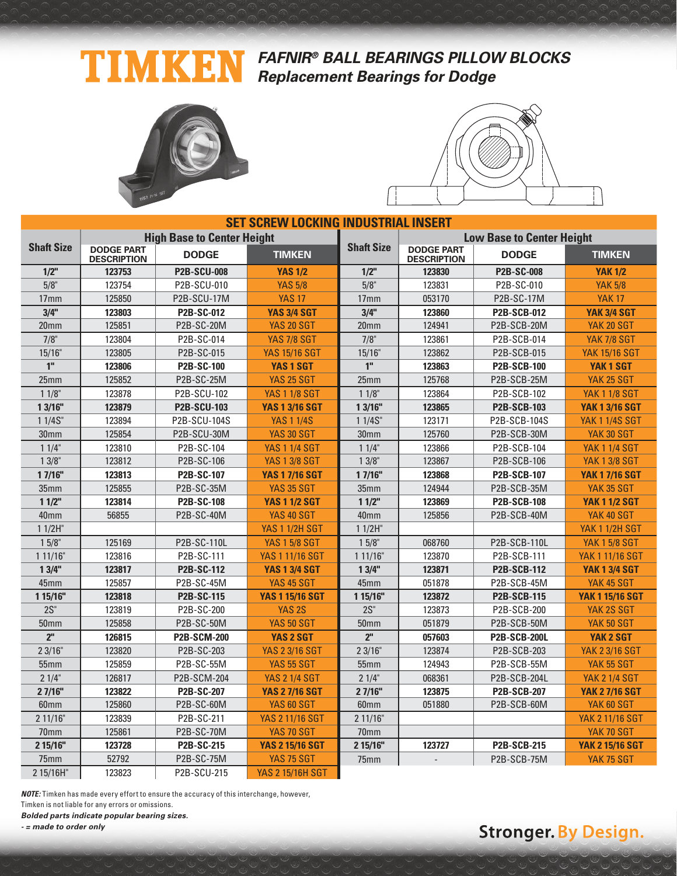### **TIMKEN FAFNIR® BALL BEARINGS PILLOW BLOCKS Replacement Bearings for Dodge**





| <b>SET SCREW LOCKING INDUSTRIAL INSERT</b> |                                         |                                   |                         |                                           |                                         |                                  |                        |  |  |
|--------------------------------------------|-----------------------------------------|-----------------------------------|-------------------------|-------------------------------------------|-----------------------------------------|----------------------------------|------------------------|--|--|
|                                            |                                         | <b>High Base to Center Height</b> |                         |                                           |                                         | <b>Low Base to Center Height</b> |                        |  |  |
| <b>Shaft Size</b>                          | <b>DODGE PART</b><br><b>DESCRIPTION</b> | <b>DODGE</b>                      | <b>TIMKEN</b>           | <b>Shaft Size</b>                         | <b>DODGE PART</b><br><b>DESCRIPTION</b> | <b>DODGE</b>                     | <b>TIMKEN</b>          |  |  |
| $1/2$ "                                    | 123753                                  | <b>P2B-SCU-008</b>                | <b>YAS 1/2</b>          | $1/2$ "                                   | 123830                                  | <b>P2B-SC-008</b>                | <b>YAK 1/2</b>         |  |  |
| 5/8"                                       | 123754                                  | P2B-SCU-010                       | <b>YAS 5/8</b>          | 5/8"                                      | 123831                                  | P2B-SC-010                       | <b>YAK 5/8</b>         |  |  |
| 17 <sub>mm</sub>                           | 125850                                  | P2B-SCU-17M                       | <b>YAS 17</b>           | 17 <sub>mm</sub>                          | 053170                                  | P2B-SC-17M                       | <b>YAK 17</b>          |  |  |
| 3/4"                                       | 123803                                  | P2B-SC-012                        | <b>YAS 3/4 SGT</b>      | 3/4"                                      | 123860                                  | <b>P2B-SCB-012</b>               | <b>YAK 3/4 SGT</b>     |  |  |
| 20 <sub>mm</sub>                           | 125851                                  | P2B-SC-20M                        | <b>YAS 20 SGT</b>       | 124941<br>P2B-SCB-20M<br>20 <sub>mm</sub> |                                         |                                  | YAK 20 SGT             |  |  |
| $7/8$ "                                    | 123804                                  | P2B-SC-014                        | <b>YAS 7/8 SGT</b>      | $7/8$ "                                   | 123861                                  | P2B-SCB-014                      | <b>YAK 7/8 SGT</b>     |  |  |
| 15/16"                                     | 123805                                  | P2B-SC-015                        | <b>YAS 15/16 SGT</b>    | 15/16"                                    | 123862                                  | P2B-SCB-015                      | <b>YAK 15/16 SGT</b>   |  |  |
| 1 <sup>0</sup>                             | 123806                                  | <b>P2B-SC-100</b>                 | <b>YAS 1 SGT</b>        | 1 <sup>0</sup>                            | 123863                                  | <b>P2B-SCB-100</b>               | YAK <sub>1</sub> SGT   |  |  |
| 25 <sub>mm</sub>                           | 125852                                  | P2B-SC-25M                        | <b>YAS 25 SGT</b>       | 25mm                                      | 125768                                  | P2B-SCB-25M                      | YAK 25 SGT             |  |  |
| $11/8$ "                                   | 123878                                  | P2B-SCU-102                       | <b>YAS 1 1/8 SGT</b>    | $11/8$ "                                  | 123864                                  | P2B-SCB-102                      | <b>YAK 1 1/8 SGT</b>   |  |  |
| 1 3/16"                                    | 123879                                  | <b>P2B-SCU-103</b>                | <b>YAS 1 3/16 SGT</b>   | 13/16"                                    | 123865                                  | <b>P2B-SCB-103</b>               | <b>YAK 1 3/16 SGT</b>  |  |  |
| 11/4S''                                    | 123894                                  | P2B-SCU-104S                      | <b>YAS 1 1/4S</b>       | 11/4S''                                   | 123171                                  | P2B-SCB-104S                     | <b>YAK 1 1/4S SGT</b>  |  |  |
| 30mm                                       | 125854                                  | P2B-SCU-30M                       | <b>YAS 30 SGT</b>       | 30mm                                      | 125760                                  | P2B-SCB-30M                      | YAK 30 SGT             |  |  |
| $11/4$ "                                   | 123810                                  | P2B-SC-104                        | <b>YAS 1 1/4 SGT</b>    | 11/4"                                     | 123866                                  | P2B-SCB-104                      | <b>YAK 1 1/4 SGT</b>   |  |  |
| $13/8$ "                                   | 123812                                  | P2B-SC-106                        | <b>YAS 1 3/8 SGT</b>    | 13/8"                                     | 123867<br>P2B-SCB-106                   |                                  | <b>YAK 1 3/8 SGT</b>   |  |  |
| 17/16"                                     | 123813                                  | <b>P2B-SC-107</b>                 | <b>YAS 1 7/16 SGT</b>   | 17/16"                                    | 123868                                  | <b>P2B-SCB-107</b>               | <b>YAK 1 7/16 SGT</b>  |  |  |
| 35mm                                       | 125855                                  | P2B-SC-35M                        | <b>YAS 35 SGT</b>       | 35mm                                      | 124944                                  | P2B-SCB-35M                      | YAK 35 SGT             |  |  |
| 11/2"                                      | 123814                                  | <b>P2B-SC-108</b>                 | <b>YAS 1 1/2 SGT</b>    | 11/2"                                     | 123869                                  | <b>P2B-SCB-108</b>               | <b>YAK 1 1/2 SGT</b>   |  |  |
| 40 <sub>mm</sub>                           | 56855                                   | P2B-SC-40M                        | YAS 40 SGT              | 40 <sub>mm</sub>                          | 125856                                  | P2B-SCB-40M                      | YAK 40 SGT             |  |  |
| $11/2H$ "                                  |                                         |                                   | <b>YAS 1 1/2H SGT</b>   | $11/2H$ "                                 |                                         |                                  | <b>YAK 1 1/2H SGT</b>  |  |  |
| $15/8$ "                                   | 125169                                  | P2B-SC-110L                       | <b>YAS 1 5/8 SGT</b>    | $15/8$ "                                  | 068760                                  | P2B-SCB-110L                     | <b>YAK 1 5/8 SGT</b>   |  |  |
| 111/16"                                    | 123816                                  | P2B-SC-111                        | <b>YAS 1 11/16 SGT</b>  | 111/16"                                   | 123870                                  | P2B-SCB-111                      | <b>YAK 1 11/16 SGT</b> |  |  |
| 13/4"                                      | 123817                                  | <b>P2B-SC-112</b>                 | <b>YAS 1 3/4 SGT</b>    | 13/4"                                     | 123871                                  | <b>P2B-SCB-112</b>               | <b>YAK 1 3/4 SGT</b>   |  |  |
| 45mm                                       | 125857                                  | P2B-SC-45M                        | YAS 45 SGT              | 45mm                                      | 051878                                  | P2B-SCB-45M                      | YAK 45 SGT             |  |  |
| 1 15/16"                                   | 123818                                  | P2B-SC-115                        | <b>YAS 1 15/16 SGT</b>  | 1 15/16"                                  | 123872                                  | <b>P2B-SCB-115</b>               | <b>YAK 1 15/16 SGT</b> |  |  |
| $2S$ "                                     | 123819                                  | P2B-SC-200                        | YAS <sub>2S</sub>       | $2S$ "                                    | 123873                                  | P2B-SCB-200                      | YAK 2S SGT             |  |  |
| 50 <sub>mm</sub>                           | 125858                                  | P2B-SC-50M                        | <b>YAS 50 SGT</b>       | <b>50mm</b>                               | 051879                                  | P2B-SCB-50M                      | YAK 50 SGT             |  |  |
| 2 <sup>n</sup>                             | 126815                                  | <b>P2B-SCM-200</b>                | <b>YAS 2 SGT</b>        | 2 <sup>n</sup>                            | 057603                                  | <b>P2B-SCB-200L</b>              | <b>YAK 2 SGT</b>       |  |  |
| 23/16"                                     | 123820                                  | P2B-SC-203                        | <b>YAS 2 3/16 SGT</b>   | 23/16"                                    | 123874                                  | P2B-SCB-203                      | <b>YAK 2 3/16 SGT</b>  |  |  |
| 55mm                                       | 125859                                  | P2B-SC-55M                        | <b>YAS 55 SGT</b>       | 55mm                                      | 124943                                  | P2B-SCB-55M                      | YAK 55 SGT             |  |  |
| 21/4"                                      | 126817                                  | P2B-SCM-204                       | <b>YAS 2 1/4 SGT</b>    | 21/4"                                     | 068361                                  | P2B-SCB-204L                     | <b>YAK 2 1/4 SGT</b>   |  |  |
| 2 7/16"                                    | 123822                                  | <b>P2B-SC-207</b>                 | <b>YAS 2 7/16 SGT</b>   | 27/16"                                    | 123875                                  | <b>P2B-SCB-207</b>               | <b>YAK 2 7/16 SGT</b>  |  |  |
| 60mm                                       | 125860                                  | P2B-SC-60M                        | YAS 60 SGT              | 60 <sub>mm</sub>                          | 051880                                  | P2B-SCB-60M                      | YAK 60 SGT             |  |  |
| 211/16"                                    | 123839                                  | P2B-SC-211                        | <b>YAS 2 11/16 SGT</b>  | 211/16"                                   |                                         |                                  | <b>YAK 2 11/16 SGT</b> |  |  |
| 70mm                                       | 125861                                  | P2B-SC-70M                        | <b>YAS 70 SGT</b>       | 70mm                                      |                                         |                                  | YAK 70 SGT             |  |  |
| 2 15/16"                                   | 123728                                  | P2B-SC-215                        | <b>YAS 2 15/16 SGT</b>  | 2 15/16"                                  | 123727                                  | <b>P2B-SCB-215</b>               | <b>YAK 2 15/16 SGT</b> |  |  |
| 75mm                                       | 52792                                   | P2B-SC-75M                        | YAS 75 SGT              | 75mm                                      |                                         | P2B-SCB-75M                      | YAK 75 SGT             |  |  |
| 2 15/16H"                                  | 123823                                  | P2B-SCU-215                       | <b>YAS 2 15/16H SGT</b> |                                           |                                         |                                  |                        |  |  |

**NOTE:** Timken has made every effort to ensure the accuracy of this interchange, however,

Timken is not liable for any errors or omissions. **Bolded parts indicate popular bearing sizes.**

**- = made to order only**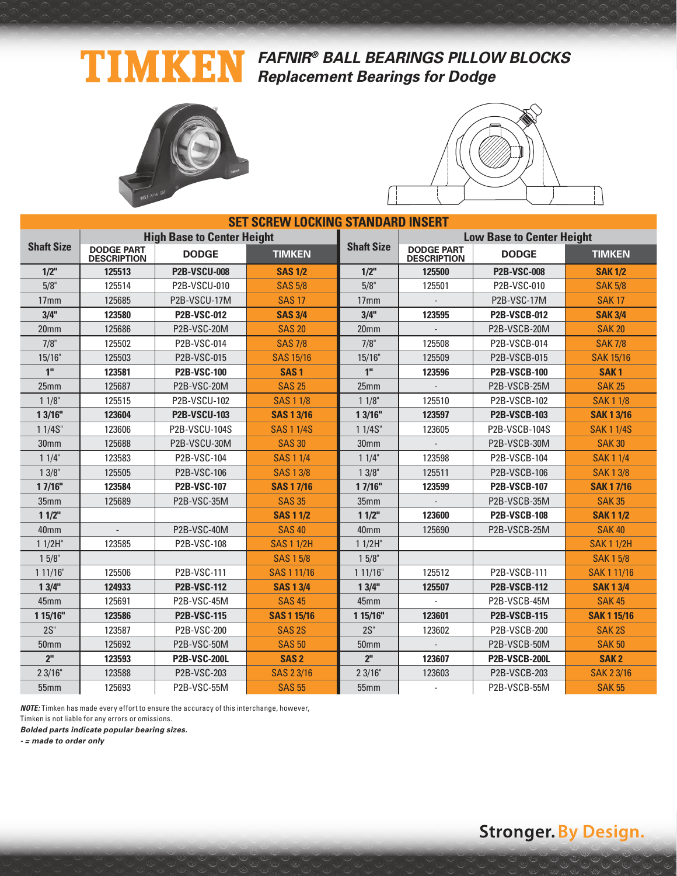## **FAFNIR® BALL BEARINGS PILLOW BLOCKS Replacement Bearings for Dodge**





| <b>SET SCREW LOCKING STANDARD INSERT</b> |                                         |                                   |                    |                   |                                         |                      |                    |  |  |
|------------------------------------------|-----------------------------------------|-----------------------------------|--------------------|-------------------|-----------------------------------------|----------------------|--------------------|--|--|
|                                          |                                         | <b>High Base to Center Height</b> |                    |                   | <b>Low Base to Center Height</b>        |                      |                    |  |  |
| <b>Shaft Size</b>                        | <b>DODGE PART</b><br><b>DESCRIPTION</b> | <b>DODGE</b>                      | <b>TIMKEN</b>      | <b>Shaft Size</b> | <b>DODGE PART</b><br><b>DESCRIPTION</b> | <b>DODGE</b>         | <b>TIMKEN</b>      |  |  |
| $1/2$ "                                  | 125513                                  | <b>P2B-VSCU-008</b>               | <b>SAS 1/2</b>     | $1/2$ "           | 125500                                  | <b>P2B-VSC-008</b>   | <b>SAK 1/2</b>     |  |  |
| 5/8"                                     | 125514                                  | P2B-VSCU-010                      | <b>SAS 5/8</b>     | 5/8"              | 125501                                  | P2B-VSC-010          | <b>SAK 5/8</b>     |  |  |
| 17 <sub>mm</sub>                         | 125685                                  | P2B-VSCU-17M                      | <b>SAS 17</b>      | 17 <sub>mm</sub>  |                                         | P2B-VSC-17M          | <b>SAK17</b>       |  |  |
| 3/4"                                     | 123580                                  | <b>P2B-VSC-012</b>                | <b>SAS 3/4</b>     | 3/4"              | 123595                                  | <b>P2B-VSCB-012</b>  | <b>SAK 3/4</b>     |  |  |
| 20mm                                     | 125686                                  | P2B-VSC-20M                       | <b>SAS 20</b>      | 20mm              |                                         | P2B-VSCB-20M         | <b>SAK 20</b>      |  |  |
| 7/8"                                     | 125502                                  | P2B-VSC-014                       | <b>SAS 7/8</b>     | 7/8"              | 125508                                  | P2B-VSCB-014         | <b>SAK 7/8</b>     |  |  |
| 15/16"                                   | 125503                                  | P2B-VSC-015                       | <b>SAS 15/16</b>   | 15/16"            | 125509                                  | P2B-VSCB-015         | <b>SAK 15/16</b>   |  |  |
| 1"                                       | 123581                                  | <b>P2B-VSC-100</b>                | SAS <sub>1</sub>   | 1"                | 123596                                  | <b>P2B-VSCB-100</b>  | SAK <sub>1</sub>   |  |  |
| 25mm                                     | 125687                                  | P2B-VSC-20M                       | <b>SAS 25</b>      | 25mm              |                                         | P2B-VSCB-25M         | <b>SAK 25</b>      |  |  |
| 11/8"                                    | 125515                                  | P2B-VSCU-102                      | <b>SAS 1 1/8</b>   | 11/8"             | 125510                                  | P2B-VSCB-102         | <b>SAK11/8</b>     |  |  |
| 13/16"                                   | 123604                                  | <b>P2B-VSCU-103</b>               | <b>SAS 1 3/16</b>  | 13/16"            | 123597                                  | <b>P2B-VSCB-103</b>  | <b>SAK 1 3/16</b>  |  |  |
| 1 1/4S"                                  | 123606                                  | <b>P2B-VSCU-104S</b>              | <b>SAS 1 1/4S</b>  | $11/4S$ "         | 123605                                  | P2B-VSCB-104S        | <b>SAK11/4S</b>    |  |  |
| 30mm                                     | 125688                                  | P2B-VSCU-30M                      | <b>SAS 30</b>      | 30 <sub>mm</sub>  |                                         | P2B-VSCB-30M         | <b>SAK 30</b>      |  |  |
| 11/4"                                    | 123583                                  | P2B-VSC-104                       | <b>SAS 1 1/4</b>   | 11/4"             | 123598                                  | P2B-VSCB-104         | <b>SAK11/4</b>     |  |  |
| $13/8$ "                                 | 125505                                  | P2B-VSC-106                       | <b>SAS 1 3/8</b>   | $13/8$ "          | 125511                                  | P2B-VSCB-106         | <b>SAK13/8</b>     |  |  |
| 17/16"                                   | 123584                                  | <b>P2B-VSC-107</b>                | <b>SAS 17/16</b>   | 17/16"            | 123599                                  | <b>P2B-VSCB-107</b>  | <b>SAK17/16</b>    |  |  |
| 35mm                                     | 125689                                  | P2B-VSC-35M                       | <b>SAS 35</b>      | 35mm              |                                         | P2B-VSCB-35M         | <b>SAK 35</b>      |  |  |
| 11/2"                                    |                                         |                                   | <b>SAS 1 1/2</b>   | 11/2"             | 123600                                  | <b>P2B-VSCB-108</b>  | <b>SAK11/2</b>     |  |  |
| 40mm                                     |                                         | P2B-VSC-40M                       | <b>SAS 40</b>      | 40 <sub>mm</sub>  | 125690                                  | P2B-VSCB-25M         | <b>SAK 40</b>      |  |  |
| $11/2H$ "                                | 123585                                  | P2B-VSC-108                       | <b>SAS 1 1/2H</b>  | $11/2H$ "         |                                         |                      | <b>SAK11/2H</b>    |  |  |
| 15/8"                                    |                                         |                                   | <b>SAS 1 5/8</b>   | 15/8"             |                                         |                      | <b>SAK15/8</b>     |  |  |
| 111/16"                                  | 125506                                  | P2B-VSC-111                       | SAS 1 11/16        | 111/16"           | 125512                                  | P2B-VSCB-111         | SAK 1 11/16        |  |  |
| 13/4"                                    | 124933                                  | <b>P2B-VSC-112</b>                | <b>SAS 1 3/4</b>   | 13/4"             | 125507                                  | <b>P2B-VSCB-112</b>  | <b>SAK13/4</b>     |  |  |
| 45mm                                     | 125691                                  | P2B-VSC-45M                       | <b>SAS 45</b>      | 45mm              |                                         | P2B-VSCB-45M         | <b>SAK 45</b>      |  |  |
| 1 15/16"                                 | 123586                                  | <b>P2B-VSC-115</b>                | <b>SAS 1 15/16</b> | 1 15/16"          | 123601                                  | <b>P2B-VSCB-115</b>  | <b>SAK 1 15/16</b> |  |  |
| $2S$ "                                   | 123587                                  | P2B-VSC-200                       | SAS <sub>2S</sub>  | $2S$ "            | 123602                                  | P2B-VSCB-200         | SAK <sub>2S</sub>  |  |  |
| 50mm                                     | 125692                                  | P2B-VSC-50M                       | <b>SAS 50</b>      | <b>50mm</b>       |                                         | P2B-VSCB-50M         | <b>SAK 50</b>      |  |  |
| 2 <sup>II</sup>                          | 123593                                  | <b>P2B-VSC-200L</b>               | SAS <sub>2</sub>   | 2 <sup>II</sup>   | 123607                                  | <b>P2B-VSCB-200L</b> | SAK <sub>2</sub>   |  |  |
| 23/16"                                   | 123588                                  | P2B-VSC-203                       | SAS 23/16          | 23/16"            | 123603                                  | P2B-VSCB-203         | <b>SAK 23/16</b>   |  |  |
| 55mm                                     | 125693                                  | <b>P2B-VSC-55M</b>                | <b>SAS 55</b>      | 55mm              |                                         | P2B-VSCB-55M         | <b>SAK 55</b>      |  |  |

**NOTE:** Timken has made every effort to ensure the accuracy of this interchange, however,

Timken is not liable for any errors or omissions.

**Bolded parts indicate popular bearing sizes.**

**- = made to order only**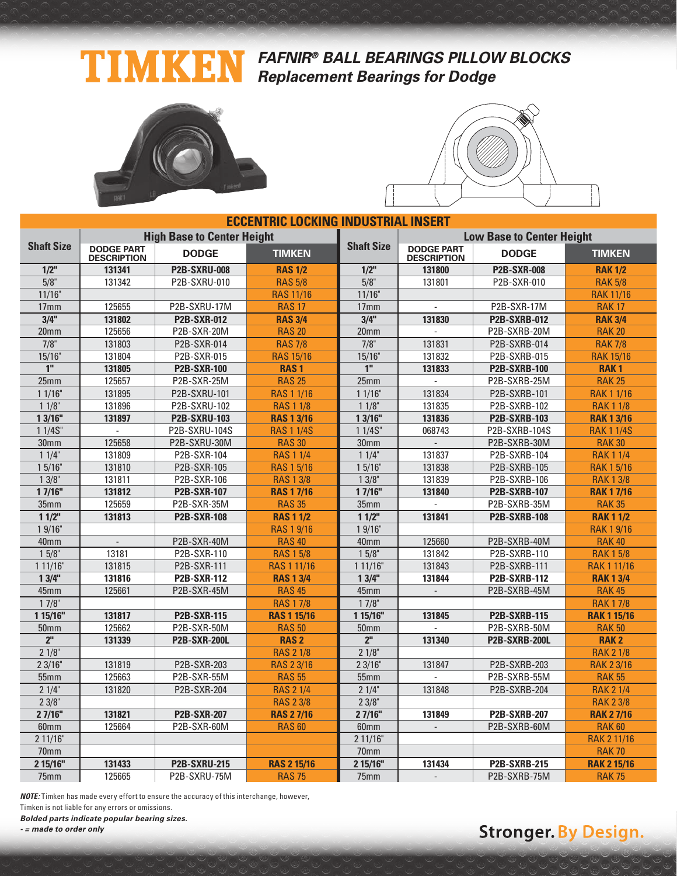### **FAFNIR® BALL BEARINGS PILLOW BLOCKS** TIMKEN **Replacement Bearings for Dodge**





| <b>ECCENTRIC LOCKING INDUSTRIAL INSERT</b> |                                         |                                   |                    |                   |                                         |                      |                    |  |  |  |
|--------------------------------------------|-----------------------------------------|-----------------------------------|--------------------|-------------------|-----------------------------------------|----------------------|--------------------|--|--|--|
|                                            |                                         | <b>High Base to Center Height</b> |                    |                   | <b>Low Base to Center Height</b>        |                      |                    |  |  |  |
| <b>Shaft Size</b>                          | <b>DODGE PART</b><br><b>DESCRIPTION</b> | <b>DODGE</b>                      | <b>TIMKEN</b>      | <b>Shaft Size</b> | <b>DODGE PART</b><br><b>DESCRIPTION</b> | <b>DODGE</b>         | <b>TIMKEN</b>      |  |  |  |
| $1/2$ "                                    | 131341                                  | <b>P2B-SXRU-008</b>               | <b>RAS 1/2</b>     | $1/2$ "           | 131800                                  | <b>P2B-SXR-008</b>   | <b>RAK 1/2</b>     |  |  |  |
| $5/8$ "                                    | 131342                                  | P2B-SXRU-010                      | <b>RAS 5/8</b>     | 5/8"              | 131801                                  | P2B-SXR-010          | <b>RAK 5/8</b>     |  |  |  |
| 11/16"                                     |                                         |                                   | <b>RAS 11/16</b>   | 11/16"            |                                         |                      | <b>RAK 11/16</b>   |  |  |  |
| 17 <sub>mm</sub>                           | 125655                                  | P2B-SXRU-17M                      | <b>RAS 17</b>      | 17 <sub>mm</sub>  |                                         | P2B-SXR-17M          | <b>RAK 17</b>      |  |  |  |
| 3/4"                                       | 131802                                  | <b>P2B-SXR-012</b>                | <b>RAS 3/4</b>     | 3/4"              | 131830                                  | <b>P2B-SXRB-012</b>  | <b>RAK 3/4</b>     |  |  |  |
| 20 <sub>mm</sub>                           | 125656                                  | P2B-SXR-20M                       | <b>RAS 20</b>      | 20 <sub>mm</sub>  | L.                                      | P2B-SXRB-20M         | <b>RAK 20</b>      |  |  |  |
| $7/8$ "                                    | 131803                                  | P2B-SXR-014                       | <b>RAS 7/8</b>     | $7/8$ "           | 131831                                  | P2B-SXRB-014         | <b>RAK 7/8</b>     |  |  |  |
| $15/16$ "                                  | 131804                                  | P2B-SXR-015                       | <b>RAS 15/16</b>   | 15/16"            | 131832                                  | P2B-SXRB-015         | <b>RAK 15/16</b>   |  |  |  |
| 1 <sup>''</sup>                            | 131805                                  | <b>P2B-SXR-100</b>                | <b>RAS1</b>        | 1 <sup>''</sup>   | 131833                                  | <b>P2B-SXRB-100</b>  | <b>RAK1</b>        |  |  |  |
| 25 <sub>mm</sub>                           | 125657                                  | P2B-SXR-25M                       | <b>RAS 25</b>      | 25mm              |                                         | P2B-SXRB-25M         | <b>RAK 25</b>      |  |  |  |
| 11/16"                                     | 131895                                  | P2B-SXRU-101                      | <b>RAS 1 1/16</b>  | 11/16"            | 131834                                  | P2B-SXRB-101         | <b>RAK 1 1/16</b>  |  |  |  |
| $11/8$ "                                   | 131896                                  | P2B-SXRU-102                      | <b>RAS 1 1/8</b>   | $11/8$ "          | 131835                                  | P2B-SXRB-102         | <b>RAK 1 1/8</b>   |  |  |  |
| 13/16"                                     | 131897                                  | <b>P2B-SXRU-103</b>               | <b>RAS 1 3/16</b>  | 13/16"            | 131836                                  | <b>P2B-SXRB-103</b>  | <b>RAK 1 3/16</b>  |  |  |  |
| 11/4S''                                    |                                         | P2B-SXRU-104S                     | <b>RAS 1 1/4S</b>  | 11/4S''           | 068743                                  | P2B-SXRB-104S        | <b>RAK 1 1/4S</b>  |  |  |  |
| 30 <sub>mm</sub>                           | 125658                                  | P2B-SXRU-30M                      | <b>RAS 30</b>      | 30 <sub>mm</sub>  |                                         | P2B-SXRB-30M         | <b>RAK 30</b>      |  |  |  |
| $11/4$ "                                   | 131809                                  | P2B-SXR-104                       | <b>RAS 1 1/4</b>   | $11/4$ "          | 131837                                  | P2B-SXRB-104         | <b>RAK 1 1/4</b>   |  |  |  |
| 15/16"                                     | 131810                                  | P2B-SXR-105                       | <b>RAS 1 5/16</b>  | 15/16"            | 131838                                  | P2B-SXRB-105         | <b>RAK 1 5/16</b>  |  |  |  |
| $13/8$ "                                   | 131811                                  | P2B-SXR-106                       | <b>RAS 1 3/8</b>   | $13/8$ "          | 131839                                  | P2B-SXRB-106         | <b>RAK 1 3/8</b>   |  |  |  |
| 17/16"                                     | 131812                                  | <b>P2B-SXR-107</b>                | <b>RAS 1 7/16</b>  | 17/16"            | 131840                                  | <b>P2B-SXRB-107</b>  | <b>RAK 1 7/16</b>  |  |  |  |
| 35 <sub>mm</sub>                           | 125659                                  | P2B-SXR-35M                       | <b>RAS 35</b>      | 35mm              | $\overline{a}$                          | P2B-SXRB-35M         | <b>RAK 35</b>      |  |  |  |
| 11/2                                       | 131813                                  | <b>P2B-SXR-108</b>                | <b>RAS 1 1/2</b>   | $11/2$ "          | 131841                                  | <b>P2B-SXRB-108</b>  | <b>RAK 1 1/2</b>   |  |  |  |
| 19/16"                                     |                                         |                                   | <b>RAS 1 9/16</b>  | 19/16"            |                                         |                      | <b>RAK 1 9/16</b>  |  |  |  |
| 40mm                                       | $\overline{\phantom{a}}$                | P2B-SXR-40M                       | <b>RAS 40</b>      | 40mm              | 125660                                  | P2B-SXRB-40M         | <b>RAK 40</b>      |  |  |  |
| $15/8$ "                                   | 13181                                   | P2B-SXR-110                       | <b>RAS 1 5/8</b>   | $15/8$ "          | 131842                                  | P2B-SXRB-110         | <b>RAK 1 5/8</b>   |  |  |  |
| 1 11/16"                                   | 131815                                  | P2B-SXR-111                       | <b>RAS 1 11/16</b> | 111/16"           | 131843                                  | P2B-SXRB-111         | <b>RAK111/16</b>   |  |  |  |
| 13/4"                                      | 131816                                  | <b>P2B-SXR-112</b>                | <b>RAS 1 3/4</b>   | 13/4"             | 131844                                  | <b>P2B-SXRB-112</b>  | <b>RAK 1 3/4</b>   |  |  |  |
| 45mm                                       | 125661                                  | P2B-SXR-45M                       | <b>RAS 45</b>      | 45mm              | $\mathcal{L}$                           | P2B-SXRB-45M         | <b>RAK45</b>       |  |  |  |
| $17/8$ "                                   |                                         |                                   | <b>RAS 17/8</b>    | $17/8$ "          |                                         |                      | <b>RAK 17/8</b>    |  |  |  |
| 1 15/16"                                   | 131817                                  | <b>P2B-SXR-115</b>                | <b>RAS 1 15/16</b> | 1 15/16"          | 131845                                  | <b>P2B-SXRB-115</b>  | <b>RAK 1 15/16</b> |  |  |  |
| 50 <sub>mm</sub>                           | 125662                                  | P2B-SXR-50M                       | <b>RAS 50</b>      | 50 <sub>mm</sub>  |                                         | P2B-SXRB-50M         | <b>RAK 50</b>      |  |  |  |
| 2 <sup>n</sup>                             | 131339                                  | <b>P2B-SXR-200L</b>               | <b>RAS2</b>        | 2 <sup>II</sup>   | 131340                                  | <b>P2B-SXRB-200L</b> | <b>RAK2</b>        |  |  |  |
| $21/8$ "                                   |                                         |                                   | <b>RAS 2 1/8</b>   | 21/8"             |                                         |                      | <b>RAK 2 1/8</b>   |  |  |  |
| 23/16"                                     | 131819                                  | P2B-SXR-203                       | <b>RAS 2 3/16</b>  | 23/16"            | 131847                                  | P2B-SXRB-203         | <b>RAK 2 3/16</b>  |  |  |  |
| 55mm                                       | 125663                                  | P2B-SXR-55M                       | <b>RAS 55</b>      | 55mm              |                                         | P2B-SXRB-55M         | <b>RAK 55</b>      |  |  |  |
| 21/4"                                      | 131820                                  | P2B-SXR-204                       | <b>RAS 2 1/4</b>   | 21/4"             | 131848                                  | P2B-SXRB-204         | <b>RAK 2 1/4</b>   |  |  |  |
| $23/8$ "                                   |                                         |                                   | <b>RAS 2 3/8</b>   | 23/8"             |                                         |                      | <b>RAK 2 3/8</b>   |  |  |  |
| 27/16"                                     | 131821                                  | <b>P2B-SXR-207</b>                | <b>RAS 27/16</b>   | 27/16"            | 131849                                  | <b>P2B-SXRB-207</b>  | <b>RAK 27/16</b>   |  |  |  |
| 60 <sub>mm</sub>                           | 125664                                  | P2B-SXR-60M                       | <b>RAS 60</b>      | 60 <sub>mm</sub>  | $\overline{\phantom{a}}$                | P2B-SXRB-60M         | <b>RAK 60</b>      |  |  |  |
| 211/16"                                    |                                         |                                   |                    | 211/16"           |                                         |                      | <b>RAK 2 11/16</b> |  |  |  |
| 70mm                                       |                                         |                                   |                    | 70mm              |                                         |                      | <b>RAK 70</b>      |  |  |  |
| 2 15/16"                                   | 131433                                  | <b>P2B-SXRU-215</b>               | <b>RAS 2 15/16</b> | 2 15/16"          | 131434                                  | <b>P2B-SXRB-215</b>  | <b>RAK 2 15/16</b> |  |  |  |
| 75mm                                       | 125665                                  | P2B-SXRU-75M                      | <b>RAS 75</b>      | 75mm              |                                         | P2B-SXRB-75M         | <b>RAK 75</b>      |  |  |  |

**NOTE:** Timken has made every effort to ensure the accuracy of this interchange, however,

Timken is not liable for any errors or omissions.

**Bolded parts indicate popular bearing sizes.**

**- = made to order only**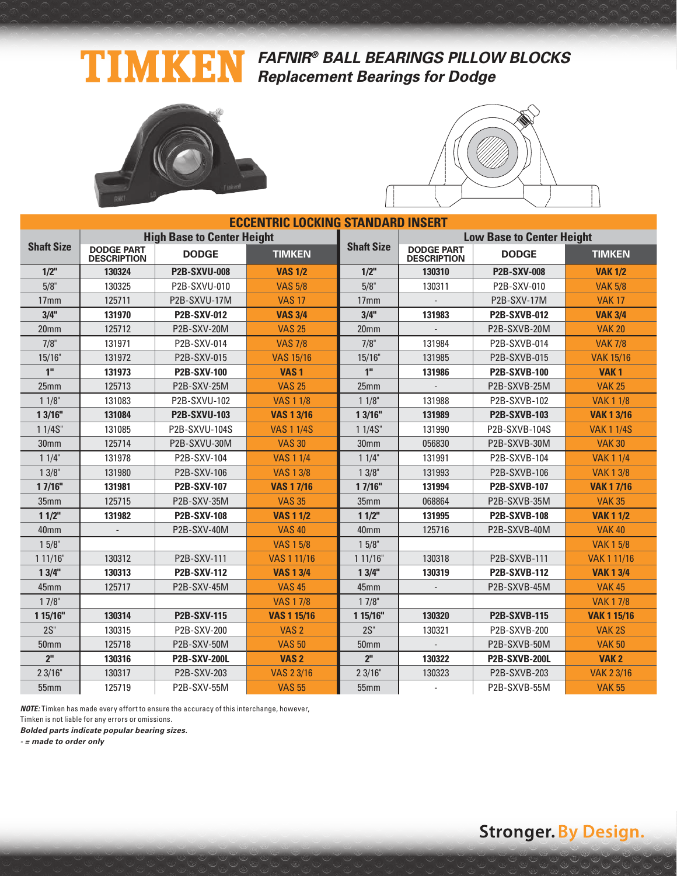## **FAFNIR® BALL BEARINGS PILLOW BLOCKS Replacement Bearings for Dodge**





| <b>ECCENTRIC LOCKING STANDARD INSERT</b> |                                         |                                   |                    |                   |                                         |                                  |                    |  |  |  |
|------------------------------------------|-----------------------------------------|-----------------------------------|--------------------|-------------------|-----------------------------------------|----------------------------------|--------------------|--|--|--|
|                                          |                                         | <b>High Base to Center Height</b> |                    |                   |                                         | <b>Low Base to Center Height</b> |                    |  |  |  |
| <b>Shaft Size</b>                        | <b>DODGE PART</b><br><b>DESCRIPTION</b> | <b>DODGE</b>                      | <b>TIMKEN</b>      | <b>Shaft Size</b> | <b>DODGE PART</b><br><b>DESCRIPTION</b> | <b>DODGE</b>                     | <b>TIMKEN</b>      |  |  |  |
| $1/2$ "                                  | 130324                                  | <b>P2B-SXVU-008</b>               | <b>VAS 1/2</b>     | $1/2$ "           | 130310                                  | <b>P2B-SXV-008</b>               | <b>VAK 1/2</b>     |  |  |  |
| 5/8"                                     | 130325                                  | P2B-SXVU-010                      | <b>VAS 5/8</b>     | 5/8"              | 130311                                  | P2B-SXV-010                      | <b>VAK 5/8</b>     |  |  |  |
| 17 <sub>mm</sub>                         | 125711                                  | P2B-SXVU-17M                      | <b>VAS 17</b>      | 17 <sub>mm</sub>  |                                         | <b>P2B-SXV-17M</b>               | <b>VAK17</b>       |  |  |  |
| 3/4"                                     | 131970                                  | <b>P2B-SXV-012</b>                | <b>VAS 3/4</b>     | 3/4"              | 131983                                  | <b>P2B-SXVB-012</b>              | <b>VAK 3/4</b>     |  |  |  |
| 20mm                                     | 125712                                  | P2B-SXV-20M                       | <b>VAS 25</b>      | 20 <sub>mm</sub>  |                                         | P2B-SXVB-20M                     | <b>VAK 20</b>      |  |  |  |
| 7/8"                                     | 131971                                  | P2B-SXV-014                       | <b>VAS 7/8</b>     | 7/8"              | 131984                                  | P2B-SXVB-014                     | <b>VAK 7/8</b>     |  |  |  |
| 15/16"                                   | 131972                                  | P2B-SXV-015                       | <b>VAS 15/16</b>   | 15/16"            | 131985                                  | P2B-SXVB-015                     | <b>VAK 15/16</b>   |  |  |  |
| 1"                                       | 131973                                  | <b>P2B-SXV-100</b>                | VAS <sub>1</sub>   | 1"                | 131986                                  | <b>P2B-SXVB-100</b>              | VAK <sub>1</sub>   |  |  |  |
| 25mm                                     | 125713                                  | P2B-SXV-25M                       | <b>VAS 25</b>      | 25mm              |                                         | P2B-SXVB-25M                     | <b>VAK 25</b>      |  |  |  |
| 11/8"                                    | 131083                                  | P2B-SXVU-102                      | <b>VAS 1 1/8</b>   | 11/8"             | 131988                                  | P2B-SXVB-102                     | <b>VAK 1 1/8</b>   |  |  |  |
| 13/16"                                   | 131084                                  | <b>P2B-SXVU-103</b>               | <b>VAS 1 3/16</b>  | 13/16"            | 131989                                  | <b>P2B-SXVB-103</b>              | <b>VAK 1 3/16</b>  |  |  |  |
| 1 1/4S"                                  | 131085                                  | P2B-SXVU-104S                     | <b>VAS 1 1/4S</b>  | 11/4S''           | 131990                                  | P2B-SXVB-104S                    | <b>VAK 1 1/4S</b>  |  |  |  |
| 30mm                                     | 125714                                  | P2B-SXVU-30M                      | <b>VAS 30</b>      | 30 <sub>mm</sub>  | 056830                                  | P2B-SXVB-30M                     | <b>VAK 30</b>      |  |  |  |
| 11/4"                                    | 131978                                  | P2B-SXV-104                       | <b>VAS 1 1/4</b>   | 11/4"             | 131991                                  | P2B-SXVB-104                     | <b>VAK 1 1/4</b>   |  |  |  |
| $13/8$ "                                 | 131980                                  | P2B-SXV-106                       | <b>VAS 1 3/8</b>   | $13/8$ "          | 131993                                  | P2B-SXVB-106                     | <b>VAK 1 3/8</b>   |  |  |  |
| 17/16"                                   | 131981                                  | <b>P2B-SXV-107</b>                | <b>VAS 17/16</b>   | 17/16"            | 131994                                  | <b>P2B-SXVB-107</b>              | <b>VAK 17/16</b>   |  |  |  |
| 35mm                                     | 125715                                  | P2B-SXV-35M                       | <b>VAS 35</b>      | 35mm              | 068864                                  | P2B-SXVB-35M                     | <b>VAK 35</b>      |  |  |  |
| 11/2"                                    | 131982                                  | <b>P2B-SXV-108</b>                | <b>VAS 1 1/2</b>   | 11/2"             | 131995                                  | <b>P2B-SXVB-108</b>              | <b>VAK 1 1/2</b>   |  |  |  |
| 40mm                                     |                                         | P2B-SXV-40M                       | <b>VAS 40</b>      | 40mm              | 125716                                  | P2B-SXVB-40M                     | <b>VAK 40</b>      |  |  |  |
| $15/8$ "                                 |                                         |                                   | <b>VAS 1 5/8</b>   | 15/8"             |                                         |                                  | <b>VAK 1 5/8</b>   |  |  |  |
| 111/16"                                  | 130312                                  | P2B-SXV-111                       | VAS 1 11/16        | 111/16"           | 130318                                  | P2B-SXVB-111                     | <b>VAK 1 11/16</b> |  |  |  |
| 13/4"                                    | 130313                                  | <b>P2B-SXV-112</b>                | <b>VAS 1 3/4</b>   | 13/4"             | 130319                                  | <b>P2B-SXVB-112</b>              | <b>VAK 1 3/4</b>   |  |  |  |
| 45mm                                     | 125717                                  | P2B-SXV-45M                       | <b>VAS 45</b>      | 45mm              |                                         | P2B-SXVB-45M                     | <b>VAK 45</b>      |  |  |  |
| $17/8$ "                                 |                                         |                                   | <b>VAS 17/8</b>    | 17/8"             |                                         |                                  | <b>VAK 17/8</b>    |  |  |  |
| 1 15/16"                                 | 130314                                  | <b>P2B-SXV-115</b>                | <b>VAS 1 15/16</b> | 1 15/16"          | 130320                                  | <b>P2B-SXVB-115</b>              | <b>VAK 1 15/16</b> |  |  |  |
| $2S$ "                                   | 130315                                  | P2B-SXV-200                       | VAS <sub>2</sub>   | $2S$ "            | 130321                                  | P2B-SXVB-200                     | VAK <sub>2S</sub>  |  |  |  |
| <b>50mm</b>                              | 125718                                  | P2B-SXV-50M                       | <b>VAS 50</b>      | <b>50mm</b>       |                                         | P2B-SXVB-50M                     | <b>VAK 50</b>      |  |  |  |
| 2 <sup>II</sup>                          | 130316                                  | <b>P2B-SXV-200L</b>               | VAS <sub>2</sub>   | 2 <sup>II</sup>   | 130322                                  | <b>P2B-SXVB-200L</b>             | VAK <sub>2</sub>   |  |  |  |
| 23/16"                                   | 130317                                  | P2B-SXV-203                       | <b>VAS 2 3/16</b>  | 23/16"            | 130323                                  | P2B-SXVB-203                     | <b>VAK 2 3/16</b>  |  |  |  |
| 55mm                                     | 125719                                  | P2B-SXV-55M                       | <b>VAS 55</b>      | 55mm              |                                         | P2B-SXVB-55M                     | <b>VAK 55</b>      |  |  |  |

**NOTE:** Timken has made every effort to ensure the accuracy of this interchange, however,

Timken is not liable for any errors or omissions.

**Bolded parts indicate popular bearing sizes.**

**- = made to order only**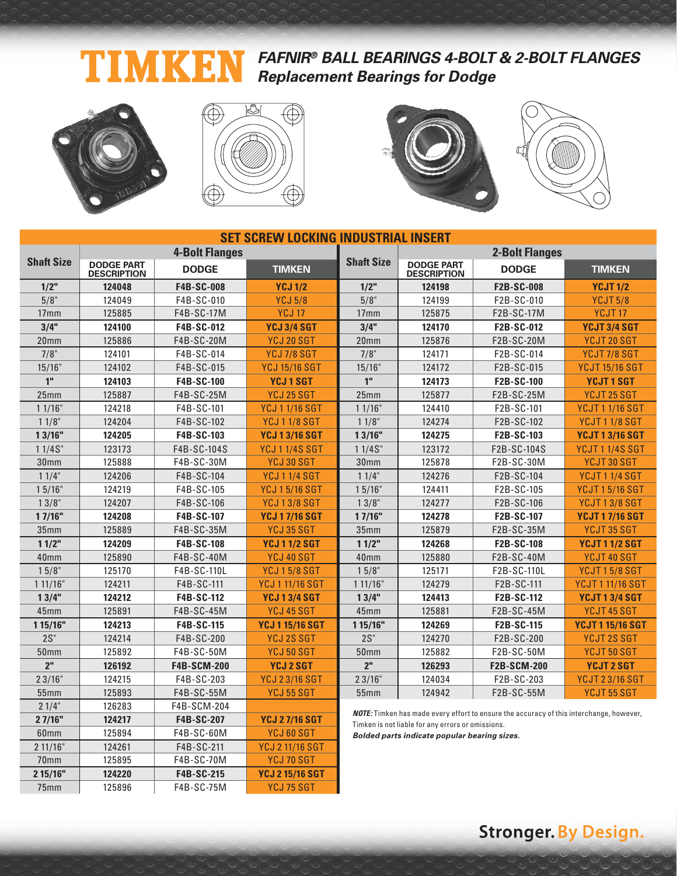#### **FAFNIR® BALL BEARINGS 4-BOLT & 2-BOLT FLANGES** T 〈引 **Replacement Bearings for Dodge**



70mm 125895 F4B-SC-70M YCJ 70 SGT **2 15/16" 124220 F4B-SC-215 YCJ 2 15/16 SGT** 75mm 125896 F4B-SC-75M YCJ 75 SGT







| <b>SET SCREW LOCKING INDUSTRIAL INSERT</b> |                                         |                       |                        |                   |                                                   |                                                                                                |                         |  |  |  |
|--------------------------------------------|-----------------------------------------|-----------------------|------------------------|-------------------|---------------------------------------------------|------------------------------------------------------------------------------------------------|-------------------------|--|--|--|
|                                            |                                         | <b>4-Bolt Flanges</b> |                        |                   |                                                   | <b>2-Bolt Flanges</b>                                                                          |                         |  |  |  |
| <b>Shaft Size</b>                          | <b>DODGE PART</b><br><b>DESCRIPTION</b> | <b>DODGE</b>          | <b>TIMKEN</b>          | <b>Shaft Size</b> | <b>DODGE PART</b><br><b>DESCRIPTION</b>           | <b>DODGE</b>                                                                                   | <b>TIMKEN</b>           |  |  |  |
| 1/2"                                       | 124048                                  | F4B-SC-008            | <b>YCJ 1/2</b>         | $1/2$ "           | 124198                                            | F2B-SC-008                                                                                     | <b>YCJT 1/2</b>         |  |  |  |
| 5/8"                                       | 124049                                  | F4B-SC-010            | <b>YCJ 5/8</b>         | 5/8"              | 124199                                            | F2B-SC-010                                                                                     | <b>YCJT 5/8</b>         |  |  |  |
| 17 <sub>mm</sub>                           | 125885                                  | F4B-SC-17M            | <b>YCJ 17</b>          | 17 <sub>mm</sub>  | 125875                                            | F2B-SC-17M                                                                                     | YCJT <sub>17</sub>      |  |  |  |
| 3/4"                                       | 124100                                  | F4B-SC-012            | <b>YCJ 3/4 SGT</b>     | 3/4"              | 124170                                            | F2B-SC-012                                                                                     | YCJT 3/4 SGT            |  |  |  |
| 20 <sub>mm</sub>                           | 125886                                  | F4B-SC-20M            | YCJ 20 SGT             | 20 <sub>mm</sub>  | 125876                                            | F2B-SC-20M                                                                                     | YCJT 20 SGT             |  |  |  |
| 7/8"                                       | 124101                                  | F4B-SC-014            | <b>YCJ 7/8 SGT</b>     | 7/8"              | 124171                                            | F2B-SC-014                                                                                     | YCJT7/8 SGT             |  |  |  |
| 15/16"                                     | 124102                                  | F4B-SC-015            | <b>YCJ 15/16 SGT</b>   | 15/16"            | 124172                                            | F2B-SC-015                                                                                     | <b>YCJT 15/16 SGT</b>   |  |  |  |
| 1 <sup>''</sup>                            | 124103                                  | F4B-SC-100            | <b>YCJ1SGT</b>         | 1 <sup>II</sup>   | 124173                                            | F2B-SC-100                                                                                     | <b>YCJT1SGT</b>         |  |  |  |
| 25mm                                       | 125887                                  | F4B-SC-25M            | <b>YCJ 25 SGT</b>      | 25mm              | 125877                                            | F2B-SC-25M                                                                                     | YCJT 25 SGT             |  |  |  |
| 11/16"                                     | 124218                                  | F4B-SC-101            | <b>YCJ 1 1/16 SGT</b>  | 11/16"            | 124410                                            | F2B-SC-101                                                                                     | <b>YCJT11/16SGT</b>     |  |  |  |
| 11/8"                                      | 124204                                  | F4B-SC-102            | <b>YCJ 1 1/8 SGT</b>   | 11/8"             | 124274                                            | F2B-SC-102                                                                                     | <b>YCJT11/8SGT</b>      |  |  |  |
| 13/16"                                     | 124205                                  | F4B-SC-103            | <b>YCJ 13/16 SGT</b>   | 13/16"            | 124275                                            | F2B-SC-103                                                                                     | <b>YCJT 1 3/16 SGT</b>  |  |  |  |
| 11/4S''                                    | 123173                                  | F4B-SC-104S           | <b>YCJ 1 1/4S SGT</b>  | 11/4S''           | 123172                                            | F2B-SC-104S                                                                                    | <b>YCJT11/4SSGT</b>     |  |  |  |
| 30mm                                       | 125888                                  | F4B-SC-30M            | YCJ 30 SGT             | 30mm              | 125878                                            | F2B-SC-30M                                                                                     | YCJT30 SGT              |  |  |  |
| 11/4"                                      | 124206                                  | F4B-SC-104            | <b>YCJ 1 1/4 SGT</b>   | 11/4"             | 124276                                            | F2B-SC-104                                                                                     | <b>YCJT11/4SGT</b>      |  |  |  |
| 15/16"                                     | 124219                                  | F4B-SC-105            | <b>YCJ 15/16 SGT</b>   | 15/16"            | 124411                                            | F2B-SC-105                                                                                     | <b>YCJT15/16 SGT</b>    |  |  |  |
| 13/8"                                      | 124207                                  | F4B-SC-106            | <b>YCJ 13/8 SGT</b>    | 13/8"             | 124277                                            | F2B-SC-106                                                                                     | <b>YCJT13/8 SGT</b>     |  |  |  |
| 17/16"                                     | 124208                                  | <b>F4B-SC-107</b>     | <b>YCJ 17/16 SGT</b>   | 17/16"            | 124278                                            | F2B-SC-107                                                                                     | <b>YCJT17/16 SGT</b>    |  |  |  |
| 35 <sub>mm</sub>                           | 125889                                  | F4B-SC-35M            | YCJ 35 SGT             | 35 <sub>mm</sub>  | 125879                                            | F2B-SC-35M                                                                                     | YCJT35 SGT              |  |  |  |
| 11/2"                                      | 124209                                  | F4B-SC-108            | <b>YCJ 11/2 SGT</b>    | 11/2"             | 124268                                            | F2B-SC-108                                                                                     | <b>YCJT11/2SGT</b>      |  |  |  |
| 40mm                                       | 125890                                  | F4B-SC-40M            | YCJ 40 SGT             | 40mm              | 125880                                            | F2B-SC-40M                                                                                     | YCJT 40 SGT             |  |  |  |
| 15/8"                                      | 125170                                  | F4B-SC-110L           | <b>YCJ 15/8 SGT</b>    | 15/8"             | 125171                                            | F2B-SC-110L                                                                                    | <b>YCJT15/8SGT</b>      |  |  |  |
| 111/16"                                    | 124211                                  | F4B-SC-111            | <b>YCJ 1 11/16 SGT</b> | 111/16"           | 124279                                            | F2B-SC-111                                                                                     | <b>YCJT111/16 SGT</b>   |  |  |  |
| 13/4"                                      | 124212                                  | F4B-SC-112            | <b>YCJ 13/4 SGT</b>    | 13/4"             | 124413                                            | F2B-SC-112                                                                                     | <b>YCJT 1 3/4 SGT</b>   |  |  |  |
| 45mm                                       | 125891                                  | F4B-SC-45M            | YCJ 45 SGT             | 45mm              | 125881                                            | F2B-SC-45M                                                                                     | YCJT 45 SGT             |  |  |  |
| 1 15/16"                                   | 124213                                  | F4B-SC-115            | <b>YCJ 1 15/16 SGT</b> | 1 15/16"          | 124269                                            | F2B-SC-115                                                                                     | <b>YCJT 1 15/16 SGT</b> |  |  |  |
| $2S$ "                                     | 124214                                  | F4B-SC-200            | YCJ 2S SGT             | $2S$ "            | 124270                                            | F2B-SC-200                                                                                     | YCJT 2S SGT             |  |  |  |
| 50 <sub>mm</sub>                           | 125892                                  | F4B-SC-50M            | YCJ 50 SGT             | <b>50mm</b>       | 125882                                            | F2B-SC-50M                                                                                     | YCJT 50 SGT             |  |  |  |
| 2 <sup>''</sup>                            | 126192                                  | <b>F4B-SCM-200</b>    | <b>YCJ 2 SGT</b>       | 2"                | 126293                                            | <b>F2B-SCM-200</b>                                                                             | <b>YCJT 2 SGT</b>       |  |  |  |
| 23/16"                                     | 124215                                  | F4B-SC-203            | <b>YCJ 23/16 SGT</b>   | 23/16"            | 124034                                            | F2B-SC-203                                                                                     | <b>YCJT 23/16 SGT</b>   |  |  |  |
| <b>55mm</b>                                | 125893                                  | F4B-SC-55M            | <b>YCJ 55 SGT</b>      | 55mm              | 124942                                            | F2B-SC-55M                                                                                     | YCJT 55 SGT             |  |  |  |
| 21/4"                                      | 126283                                  | F4B-SCM-204           |                        |                   |                                                   | <b>NOTE:</b> Timken has made every effort to ensure the accuracy of this interchange, however, |                         |  |  |  |
| 27/16"                                     | 124217                                  | F4B-SC-207            | <b>YCJ 27/16 SGT</b>   |                   | Timken is not liable for any errors or omissions. |                                                                                                |                         |  |  |  |
| 60mm                                       | 125894                                  | F4B-SC-60M            | YCJ 60 SGT             |                   | Bolded parts indicate popular bearing sizes.      |                                                                                                |                         |  |  |  |
| 211/16"                                    | 124261                                  | F4B-SC-211            | <b>YCJ 2 11/16 SGT</b> |                   |                                                   |                                                                                                |                         |  |  |  |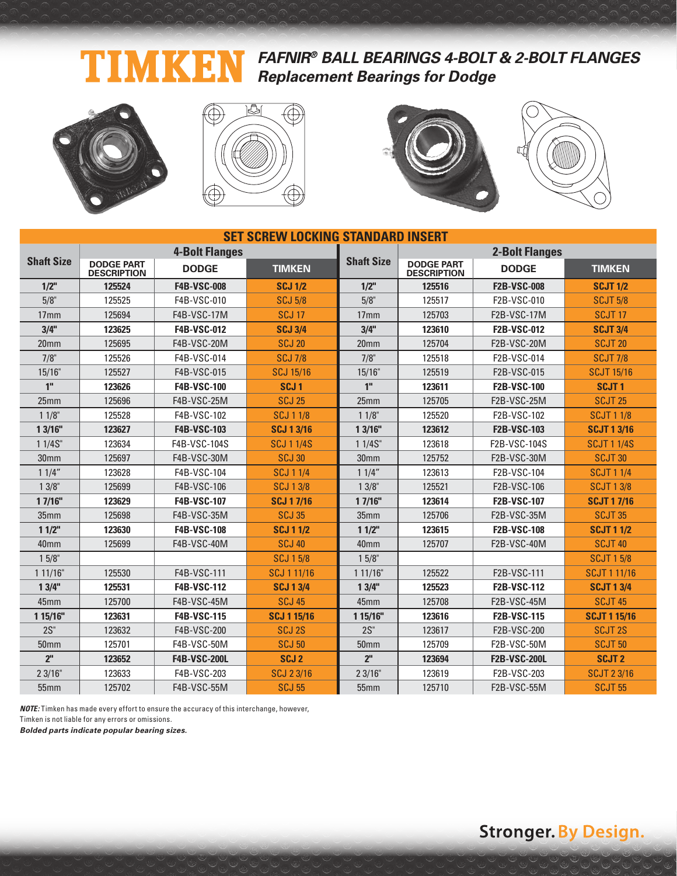#### **FAFNIR® BALL BEARINGS 4-BOLT & 2-BOLT FLANGES** TIM (4) **Replacement Bearings for Dodge**









| <b>SET SCREW LOCKING STANDARD INSERT</b> |                                         |                       |                    |                   |                                         |                       |                     |  |  |  |
|------------------------------------------|-----------------------------------------|-----------------------|--------------------|-------------------|-----------------------------------------|-----------------------|---------------------|--|--|--|
|                                          |                                         | <b>4-Bolt Flanges</b> |                    |                   |                                         | <b>2-Bolt Flanges</b> |                     |  |  |  |
| <b>Shaft Size</b>                        | <b>DODGE PART</b><br><b>DESCRIPTION</b> | <b>DODGE</b>          | <b>TIMKEN</b>      | <b>Shaft Size</b> | <b>DODGE PART</b><br><b>DESCRIPTION</b> | <b>DODGE</b>          | <b>TIMKEN</b>       |  |  |  |
| $1/2$ "                                  | 125524                                  | <b>F4B-VSC-008</b>    | <b>SCJ 1/2</b>     | $1/2$ "           | 125516                                  | <b>F2B-VSC-008</b>    | <b>SCJT 1/2</b>     |  |  |  |
| 5/8"                                     | 125525                                  | F4B-VSC-010           | <b>SCJ 5/8</b>     | 5/8"              | 125517                                  | F2B-VSC-010           | <b>SCJT 5/8</b>     |  |  |  |
| 17 <sub>mm</sub>                         | 125694                                  | F4B-VSC-17M           | <b>SCJ 17</b>      | 17 <sub>mm</sub>  | 125703                                  | <b>F2B-VSC-17M</b>    | SCJT <sub>17</sub>  |  |  |  |
| 3/4"                                     | 123625                                  | <b>F4B-VSC-012</b>    | <b>SCJ 3/4</b>     | 3/4"              | 123610                                  | <b>F2B-VSC-012</b>    | <b>SCJT 3/4</b>     |  |  |  |
| 20 <sub>mm</sub>                         | 125695                                  | F4B-VSC-20M           | <b>SCJ 20</b>      | 20 <sub>mm</sub>  | 125704                                  | <b>F2B-VSC-20M</b>    | SCJT <sub>20</sub>  |  |  |  |
| $7/8$ "                                  | 125526                                  | F4B-VSC-014           | <b>SCJ 7/8</b>     | 7/8"              | 125518                                  | F2B-VSC-014           | <b>SCJT 7/8</b>     |  |  |  |
| $15/16$ "                                | 125527                                  | F4B-VSC-015           | <b>SCJ 15/16</b>   | 15/16"            | 125519                                  | F2B-VSC-015           | <b>SCJT 15/16</b>   |  |  |  |
| 1 <sup>''</sup>                          | 123626                                  | <b>F4B-VSC-100</b>    | SCJ <sub>1</sub>   | 1 <sup>''</sup>   | 123611                                  | <b>F2B-VSC-100</b>    | <b>SCJT1</b>        |  |  |  |
| 25mm                                     | 125696                                  | F4B-VSC-25M           | <b>SCJ 25</b>      | 25mm              | 125705                                  | F2B-VSC-25M           | <b>SCJT 25</b>      |  |  |  |
| $11/8$ "                                 | 125528                                  | F4B-VSC-102           | <b>SCJ 1 1/8</b>   | $11/8$ "          | 125520                                  | F2B-VSC-102           | <b>SCJT 1 1/8</b>   |  |  |  |
| 13/16"                                   | 123627                                  | <b>F4B-VSC-103</b>    | <b>SCJ 1 3/16</b>  | 13/16"            | 123612                                  | <b>F2B-VSC-103</b>    | <b>SCJT 1 3/16</b>  |  |  |  |
| 11/4S''                                  | 123634                                  | F4B-VSC-104S          | <b>SCJ 1 1/4S</b>  | 11/4S''           | 123618                                  | F2B-VSC-104S          | <b>SCJT 1 1/4S</b>  |  |  |  |
| 30mm                                     | 125697                                  | F4B-VSC-30M           | <b>SCJ 30</b>      | 30 <sub>mm</sub>  | 125752                                  | F2B-VSC-30M           | SCJT <sub>30</sub>  |  |  |  |
| 11/4"                                    | 123628                                  | F4B-VSC-104           | <b>SCJ 1 1/4</b>   | 11/4"             | 123613                                  | F2B-VSC-104           | <b>SCJT 1 1/4</b>   |  |  |  |
| $13/8$ "                                 | 125699                                  | F4B-VSC-106           | <b>SCJ 13/8</b>    | $13/8$ "          | 125521                                  | F2B-VSC-106           | <b>SCJT 1 3/8</b>   |  |  |  |
| 17/16"                                   | 123629                                  | F4B-VSC-107           | <b>SCJ 17/16</b>   | 17/16"            | 123614                                  | <b>F2B-VSC-107</b>    | <b>SCJT 17/16</b>   |  |  |  |
| 35 <sub>mm</sub>                         | 125698                                  | F4B-VSC-35M           | <b>SCJ 35</b>      | 35mm              | 125706                                  | F2B-VSC-35M           | <b>SCJT 35</b>      |  |  |  |
| 11/2"                                    | 123630                                  | <b>F4B-VSC-108</b>    | <b>SCJ 1 1/2</b>   | 11/2"             | 123615                                  | <b>F2B-VSC-108</b>    | <b>SCJT 1 1/2</b>   |  |  |  |
| 40mm                                     | 125699                                  | <b>F4B-VSC-40M</b>    | <b>SCJ 40</b>      | 40mm              | 125707                                  | F2B-VSC-40M           | <b>SCJT 40</b>      |  |  |  |
| $15/8$ "                                 |                                         |                       | <b>SCJ 15/8</b>    | $15/8$ "          |                                         |                       | <b>SCJT 15/8</b>    |  |  |  |
| 111/16"                                  | 125530                                  | F4B-VSC-111           | SCJ 1 11/16        | 111/16"           | 125522                                  | F2B-VSC-111           | <b>SCJT 1 11/16</b> |  |  |  |
| 13/4"                                    | 125531                                  | <b>F4B-VSC-112</b>    | <b>SCJ 1 3/4</b>   | 13/4"             | 125523                                  | <b>F2B-VSC-112</b>    | <b>SCJT 1 3/4</b>   |  |  |  |
| 45mm                                     | 125700                                  | F4B-VSC-45M           | <b>SCJ 45</b>      | 45mm              | 125708                                  | <b>F2B-VSC-45M</b>    | <b>SCJT 45</b>      |  |  |  |
| 1 15/16"                                 | 123631                                  | <b>F4B-VSC-115</b>    | <b>SCJ 1 15/16</b> | 1 15/16"          | 123616                                  | <b>F2B-VSC-115</b>    | <b>SCJT 1 15/16</b> |  |  |  |
| $2S$ "                                   | 123632                                  | F4B-VSC-200           | SCJ <sub>2S</sub>  | $2S$ "            | 123617                                  | F2B-VSC-200           | <b>SCJT 2S</b>      |  |  |  |
| 50 <sub>mm</sub>                         | 125701                                  | F4B-VSC-50M           | <b>SCJ 50</b>      | <b>50mm</b>       | 125709                                  | <b>F2B-VSC-50M</b>    | <b>SCJT 50</b>      |  |  |  |
| 2 <sup>''</sup>                          | 123652                                  | <b>F4B-VSC-200L</b>   | SCJ <sub>2</sub>   | 2 <sup>II</sup>   | 123694                                  | <b>F2B-VSC-200L</b>   | <b>SCJT2</b>        |  |  |  |
| 23/16"                                   | 123633                                  | F4B-VSC-203           | SCJ 23/16          | 23/16"            | 123619                                  | F2B-VSC-203           | <b>SCJT 2 3/16</b>  |  |  |  |
| 55mm                                     | 125702                                  | F4B-VSC-55M           | <b>SCJ 55</b>      | 55mm              | 125710                                  | <b>F2B-VSC-55M</b>    | <b>SCJT 55</b>      |  |  |  |

**NOTE:** Timken has made every effort to ensure the accuracy of this interchange, however, Timken is not liable for any errors or omissions.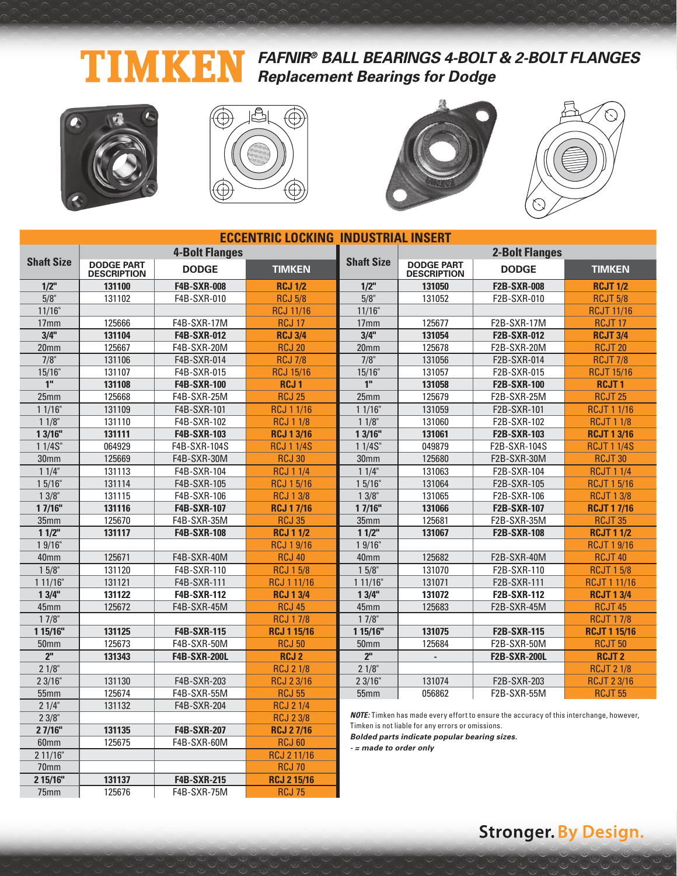#### **FAFNIR® BALL BEARINGS 4-BOLT & 2-BOLT FLANGES** 며 KI **Replacement Bearings for Dodge**



2 11/16" RCJ 2 11/16 70mm RCJ 70 **2 15/16" 131137 F4B-SXR-215 RCJ 2 15/16** 75mm 125676 | F4B-SXR-75M | RCJ 75







|                   |                                         |                       | <b>ECCENTRIC LOCKING INDUSTRIAL INSERT</b> |                                                                                                |                                         |                     |                     |  |  |  |  |
|-------------------|-----------------------------------------|-----------------------|--------------------------------------------|------------------------------------------------------------------------------------------------|-----------------------------------------|---------------------|---------------------|--|--|--|--|
|                   |                                         | <b>4-Bolt Flanges</b> |                                            |                                                                                                | <b>2-Bolt Flanges</b>                   |                     |                     |  |  |  |  |
| <b>Shaft Size</b> | <b>DODGE PART</b><br><b>DESCRIPTION</b> | <b>DODGE</b>          | <b>TIMKEN</b>                              | <b>Shaft Size</b>                                                                              | <b>DODGE PART</b><br><b>DESCRIPTION</b> | <b>DODGE</b>        | <b>TIMKEN</b>       |  |  |  |  |
| $1/2$ "           | 131100                                  | <b>F4B-SXR-008</b>    | <b>RCJ 1/2</b>                             | $1/2$ "                                                                                        | 131050                                  | <b>F2B-SXR-008</b>  | <b>RCJT 1/2</b>     |  |  |  |  |
| 5/8"              | 131102                                  | F4B-SXR-010           | <b>RCJ 5/8</b>                             | 5/8"                                                                                           | 131052                                  | F2B-SXR-010         | <b>RCJT 5/8</b>     |  |  |  |  |
| 11/16"            |                                         |                       | <b>RCJ 11/16</b>                           | 11/16"                                                                                         |                                         |                     | <b>RCJT 11/16</b>   |  |  |  |  |
| 17mm              | 125666                                  | F4B-SXR-17M           | <b>RCJ 17</b>                              | 125677<br>F2B-SXR-17M<br>17 <sub>mm</sub>                                                      |                                         |                     | <b>RCJT17</b>       |  |  |  |  |
| 3/4"              | 131104                                  | <b>F4B-SXR-012</b>    | <b>RCJ 3/4</b>                             | 3/4"<br>131054<br><b>F2B-SXR-012</b>                                                           |                                         |                     | <b>RCJT 3/4</b>     |  |  |  |  |
| 20 <sub>mm</sub>  | 125667                                  | F4B-SXR-20M           | <b>RCJ 20</b>                              | 20 <sub>mm</sub>                                                                               | 125678                                  | F2B-SXR-20M         | <b>RCJT 20</b>      |  |  |  |  |
| 7/8"              | 131106                                  | F4B-SXR-014           | <b>RCJ 7/8</b>                             | 7/8"                                                                                           | 131056                                  | F2B-SXR-014         | <b>RCJT 7/8</b>     |  |  |  |  |
| 15/16"            | 131107                                  | F4B-SXR-015           | <b>RCJ 15/16</b>                           | 15/16"                                                                                         | 131057                                  | F2B-SXR-015         | <b>RCJT 15/16</b>   |  |  |  |  |
| 1 <sup>''</sup>   | 131108                                  | <b>F4B-SXR-100</b>    | RCJ <sub>1</sub>                           | 1 <sup>''</sup>                                                                                | 131058                                  | <b>F2B-SXR-100</b>  | <b>RCJT1</b>        |  |  |  |  |
| 25mm              | 125668                                  | F4B-SXR-25M           | <b>RCJ 25</b>                              | 25mm                                                                                           | 125679                                  | F2B-SXR-25M         | <b>RCJT 25</b>      |  |  |  |  |
| 11/16"            | 131109                                  | F4B-SXR-101           | <b>RCJ 1 1/16</b>                          | 11/16"                                                                                         | 131059                                  | F2B-SXR-101         | <b>RCJT 1 1/16</b>  |  |  |  |  |
| $11/8$ "          | 131110                                  | F4B-SXR-102           | <b>RCJ 1 1/8</b>                           | 11/8"                                                                                          | 131060                                  | F2B-SXR-102         | <b>RCJT 1 1/8</b>   |  |  |  |  |
| 13/16"            | 131111                                  | <b>F4B-SXR-103</b>    | <b>RCJ 1 3/16</b>                          | 1 3/16"                                                                                        | 131061                                  | <b>F2B-SXR-103</b>  | <b>RCJT 1 3/16</b>  |  |  |  |  |
| 1 1/4S"           | 064929                                  | F4B-SXR-104S          | <b>RCJ 1 1/4S</b>                          | 1 1/4S"                                                                                        | 049879                                  | F2B-SXR-104S        | <b>RCJT 1 1/4S</b>  |  |  |  |  |
| 30 <sub>mm</sub>  | 125669                                  | F4B-SXR-30M           | <b>RCJ 30</b>                              | 30mm                                                                                           | 125680                                  | F2B-SXR-30M         | <b>RCJT 30</b>      |  |  |  |  |
| 11/4"             | 131113                                  | F4B-SXR-104           | <b>RCJ 1 1/4</b>                           | 11/4"                                                                                          | 131063                                  | F2B-SXR-104         | <b>RCJT 1 1/4</b>   |  |  |  |  |
| 15/16"            | 131114                                  | F4B-SXR-105           | <b>RCJ 15/16</b>                           | 15/16"                                                                                         | 131064                                  | F2B-SXR-105         | <b>RCJT 1 5/16</b>  |  |  |  |  |
| $13/8$ "          | 131115                                  | F4B-SXR-106           | <b>RCJ 13/8</b>                            | $13/8$ "                                                                                       | 131065                                  | F2B-SXR-106         | <b>RCJT 1 3/8</b>   |  |  |  |  |
| 17/16"            | 131116                                  | <b>F4B-SXR-107</b>    | <b>RCJ 17/16</b>                           | 17/16"                                                                                         | 131066                                  | <b>F2B-SXR-107</b>  | <b>RCJT 17/16</b>   |  |  |  |  |
| 35mm              | 125670                                  | F4B-SXR-35M           | <b>RCJ 35</b>                              | 35mm                                                                                           | 125681                                  | F2B-SXR-35M         | <b>RCJT 35</b>      |  |  |  |  |
| $11/2$ "          | 131117                                  | <b>F4B-SXR-108</b>    | <b>RCJ 1 1/2</b>                           | 11/2"                                                                                          | 131067                                  | <b>F2B-SXR-108</b>  | <b>RCJT 1 1/2</b>   |  |  |  |  |
| 19/16"            |                                         |                       | <b>RCJ 19/16</b>                           | 19/16"                                                                                         |                                         |                     | <b>RCJT 1 9/16</b>  |  |  |  |  |
| 40mm              | 125671                                  | F4B-SXR-40M           | <b>RCJ 40</b>                              | 40mm                                                                                           | 125682                                  | F2B-SXR-40M         | <b>RCJT 40</b>      |  |  |  |  |
| $15/8$ "          | 131120                                  | F4B-SXR-110           | <b>RCJ 15/8</b>                            | $15/8$ "                                                                                       | 131070                                  | F2B-SXR-110         | <b>RCJT 15/8</b>    |  |  |  |  |
| 1 11/16"          | 131121                                  | F4B-SXR-111           | RCJ 1 11/16                                | 111/16"                                                                                        | 131071                                  | F2B-SXR-111         | <b>RCJT 1 11/16</b> |  |  |  |  |
| 13/4"             | 131122                                  | <b>F4B-SXR-112</b>    | <b>RCJ 1 3/4</b>                           | 13/4"                                                                                          | 131072                                  | <b>F2B-SXR-112</b>  | <b>RCJT 1 3/4</b>   |  |  |  |  |
| 45mm              | 125672                                  | F4B-SXR-45M           | <b>RCJ 45</b>                              | 45mm                                                                                           | 125683                                  | F2B-SXR-45M         | <b>RCJT 45</b>      |  |  |  |  |
| $17/8$ "          |                                         |                       | <b>RCJ 17/8</b>                            | $17/8$ "                                                                                       |                                         |                     | <b>RCJT 17/8</b>    |  |  |  |  |
| 1 15/16"          | 131125                                  | <b>F4B-SXR-115</b>    | <b>RCJ 1 15/16</b>                         | 1 15/16"                                                                                       | 131075                                  | <b>F2B-SXR-115</b>  | <b>RCJT 1 15/16</b> |  |  |  |  |
| 50 <sub>mm</sub>  | 125673                                  | F4B-SXR-50M           | <b>RCJ 50</b>                              | 50 <sub>mm</sub>                                                                               | 125684                                  | F2B-SXR-50M         | <b>RCJT 50</b>      |  |  |  |  |
| 2 <sup>ii</sup>   | 131343                                  | <b>F4B-SXR-200L</b>   | <b>RCJ2</b>                                | 2 <sup>II</sup>                                                                                | $\mathcal{L}^{\mathcal{L}}$             | <b>F2B-SXR-200L</b> | <b>RCJT2</b>        |  |  |  |  |
| 21/8"             |                                         |                       | <b>RCJ 2 1/8</b>                           | 21/8"                                                                                          |                                         |                     | <b>RCJT 2 1/8</b>   |  |  |  |  |
| 23/16"            | 131130                                  | F4B-SXR-203           | <b>RCJ 23/16</b>                           | 23/16"                                                                                         | 131074                                  | F2B-SXR-203         | <b>RCJT 2 3/16</b>  |  |  |  |  |
| <b>55mm</b>       | 125674                                  | F4B-SXR-55M           | <b>RCJ 55</b>                              | 55 <sub>mm</sub>                                                                               | 056862                                  | F2B-SXR-55M         | <b>RCJT 55</b>      |  |  |  |  |
| 21/4"             | 131132                                  | F4B-SXR-204           | <b>RCJ 2 1/4</b>                           |                                                                                                |                                         |                     |                     |  |  |  |  |
| 23/8"             |                                         |                       | <b>RCJ 23/8</b>                            | <b>NOTE:</b> Timken has made every effort to ensure the accuracy of this interchange, however, |                                         |                     |                     |  |  |  |  |
| 27/16"            | 131135                                  | <b>F4B-SXR-207</b>    | <b>RCJ 27/16</b>                           | Timken is not liable for any errors or omissions.                                              |                                         |                     |                     |  |  |  |  |
| 60mm              | 125675                                  | F4B-SXR-60M           | <b>RCJ 60</b>                              | Bolded parts indicate popular bearing sizes.<br>المناسب بمصاديرها لمقاط المحمد                 |                                         |                     |                     |  |  |  |  |

**- = made to order only**

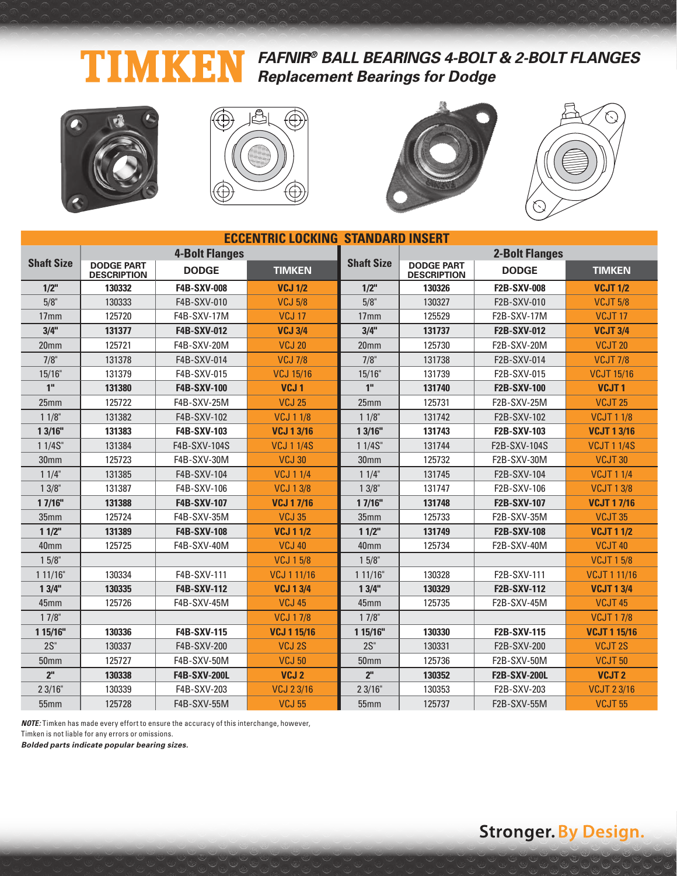### **FAFNIR® BALL BEARINGS 4-BOLT & 2-BOLT FLANGES** TIMKEN **Replacement Bearings for Dodge**









| <b>ECCENTRIC LOCKING STANDARD INSERT</b> |                                         |                       |                    |                   |                                         |                       |                     |  |  |  |
|------------------------------------------|-----------------------------------------|-----------------------|--------------------|-------------------|-----------------------------------------|-----------------------|---------------------|--|--|--|
|                                          |                                         | <b>4-Bolt Flanges</b> |                    |                   |                                         | <b>2-Bolt Flanges</b> |                     |  |  |  |
| <b>Shaft Size</b>                        | <b>DODGE PART</b><br><b>DESCRIPTION</b> | <b>DODGE</b>          | <b>TIMKEN</b>      | <b>Shaft Size</b> | <b>DODGE PART</b><br><b>DESCRIPTION</b> | <b>DODGE</b>          | <b>TIMKEN</b>       |  |  |  |
| $1/2$ "                                  | 130332                                  | <b>F4B-SXV-008</b>    | <b>VCJ 1/2</b>     | $1/2$ "           | 130326                                  | <b>F2B-SXV-008</b>    | <b>VCJT 1/2</b>     |  |  |  |
| 5/8"                                     | 130333                                  | F4B-SXV-010           | <b>VCJ 5/8</b>     | 5/8"              | 130327                                  | F2B-SXV-010           | <b>VCJT 5/8</b>     |  |  |  |
| 17 <sub>mm</sub>                         | 125720                                  | F4B-SXV-17M           | <b>VCJ 17</b>      | 17 <sub>mm</sub>  | 125529                                  | <b>F2B-SXV-17M</b>    | VCJT <sub>17</sub>  |  |  |  |
| 3/4"                                     | 131377                                  | F4B-SXV-012           | <b>VCJ 3/4</b>     | 3/4"              | 131737                                  | <b>F2B-SXV-012</b>    | <b>VCJT 3/4</b>     |  |  |  |
| 20 <sub>mm</sub>                         | 125721                                  | F4B-SXV-20M           | <b>VCJ 20</b>      | 20 <sub>mm</sub>  | 125730                                  | F2B-SXV-20M           | VCJT <sub>20</sub>  |  |  |  |
| $7/8$ "                                  | 131378                                  | F4B-SXV-014           | <b>VCJ 7/8</b>     | 7/8"              | 131738                                  | F2B-SXV-014           | <b>VCJT 7/8</b>     |  |  |  |
| 15/16"                                   | 131379                                  | F4B-SXV-015           | <b>VCJ 15/16</b>   | 15/16"            | 131739                                  | F2B-SXV-015           | <b>VCJT 15/16</b>   |  |  |  |
| 1"                                       | 131380                                  | <b>F4B-SXV-100</b>    | VCJ <sub>1</sub>   | 1 <sup>II</sup>   | 131740                                  | <b>F2B-SXV-100</b>    | VCJT <sub>1</sub>   |  |  |  |
| 25mm                                     | 125722                                  | F4B-SXV-25M           | <b>VCJ 25</b>      | 25mm              | 125731                                  | F2B-SXV-25M           | VCJT <sub>25</sub>  |  |  |  |
| $11/8$ "                                 | 131382                                  | F4B-SXV-102           | <b>VCJ 1 1/8</b>   | 11/8"             | 131742                                  | F2B-SXV-102           | <b>VCJT 1 1/8</b>   |  |  |  |
| 13/16"                                   | 131383                                  | F4B-SXV-103           | <b>VCJ 1 3/16</b>  | 13/16"            | 131743                                  | F2B-SXV-103           | <b>VCJT 1 3/16</b>  |  |  |  |
| $11/4S$ "                                | 131384                                  | F4B-SXV-104S          | <b>VCJ 1 1/4S</b>  | 1 1/4S"           | 131744                                  | F2B-SXV-104S          | <b>VCJT 1 1/4S</b>  |  |  |  |
| 30mm                                     | 125723                                  | F4B-SXV-30M           | <b>VCJ 30</b>      | 30 <sub>mm</sub>  | 125732                                  | F2B-SXV-30M           | VCJT30              |  |  |  |
| 11/4"                                    | 131385                                  | F4B-SXV-104           | <b>VCJ 1 1/4</b>   | 11/4"             | 131745                                  | F2B-SXV-104           | <b>VCJT 1 1/4</b>   |  |  |  |
| $13/8$ "                                 | 131387                                  | F4B-SXV-106           | <b>VCJ 13/8</b>    | 13/8"             | 131747                                  | F2B-SXV-106           | <b>VCJT 13/8</b>    |  |  |  |
| 17/16"                                   | 131388                                  | F4B-SXV-107           | <b>VCJ 17/16</b>   | 17/16"            | 131748                                  | <b>F2B-SXV-107</b>    | <b>VCJT 17/16</b>   |  |  |  |
| 35 <sub>mm</sub>                         | 125724                                  | F4B-SXV-35M           | <b>VCJ 35</b>      | 35mm              | 125733                                  | F2B-SXV-35M           | VCJT35              |  |  |  |
| 11/2"                                    | 131389                                  | <b>F4B-SXV-108</b>    | <b>VCJ 1 1/2</b>   | 11/2"             | 131749                                  | <b>F2B-SXV-108</b>    | <b>VCJT 1 1/2</b>   |  |  |  |
| 40 <sub>mm</sub>                         | 125725                                  | F4B-SXV-40M           | <b>VCJ 40</b>      | 40 <sub>mm</sub>  | 125734                                  | F2B-SXV-40M           | VCJT40              |  |  |  |
| 15/8"                                    |                                         |                       | <b>VCJ 15/8</b>    | $15/8$ "          |                                         |                       | <b>VCJT 15/8</b>    |  |  |  |
| 111/16"                                  | 130334                                  | F4B-SXV-111           | VCJ 1 11/16        | 111/16"           | 130328                                  | F2B-SXV-111           | <b>VCJT 1 11/16</b> |  |  |  |
| 13/4"                                    | 130335                                  | <b>F4B-SXV-112</b>    | <b>VCJ 13/4</b>    | 13/4"             | 130329                                  | <b>F2B-SXV-112</b>    | <b>VCJT 13/4</b>    |  |  |  |
| 45mm                                     | 125726                                  | F4B-SXV-45M           | <b>VCJ 45</b>      | 45mm              | 125735                                  | F2B-SXV-45M           | VCJT45              |  |  |  |
| $17/8$ "                                 |                                         |                       | <b>VCJ 17/8</b>    | $17/8$ "          |                                         |                       | <b>VCJT17/8</b>     |  |  |  |
| 1 15/16"                                 | 130336                                  | <b>F4B-SXV-115</b>    | <b>VCJ 1 15/16</b> | 1 15/16"          | 130330                                  | <b>F2B-SXV-115</b>    | <b>VCJT 1 15/16</b> |  |  |  |
| $2S$ "                                   | 130337                                  | F4B-SXV-200           | VCJ 2S             | $2S$ "            | 130331                                  | F2B-SXV-200           | VCJT <sub>2S</sub>  |  |  |  |
| 50 <sub>mm</sub>                         | 125727                                  | F4B-SXV-50M           | <b>VCJ 50</b>      | 50mm              | 125736                                  | F2B-SXV-50M           | <b>VCJT 50</b>      |  |  |  |
| 2 <sup>n</sup>                           | 130338                                  | <b>F4B-SXV-200L</b>   | VCJ <sub>2</sub>   | 2 <sup>n</sup>    | 130352                                  | <b>F2B-SXV-200L</b>   | VCJT <sub>2</sub>   |  |  |  |
| 23/16"                                   | 130339                                  | F4B-SXV-203           | <b>VCJ 23/16</b>   | 23/16"            | 130353                                  | F2B-SXV-203           | <b>VCJT 23/16</b>   |  |  |  |
| 55mm                                     | 125728                                  | F4B-SXV-55M           | <b>VCJ 55</b>      | 55mm              | 125737                                  | F2B-SXV-55M           | <b>VCJT 55</b>      |  |  |  |

**NOTE:** Timken has made every effort to ensure the accuracy of this interchange, however, Timken is not liable for any errors or omissions.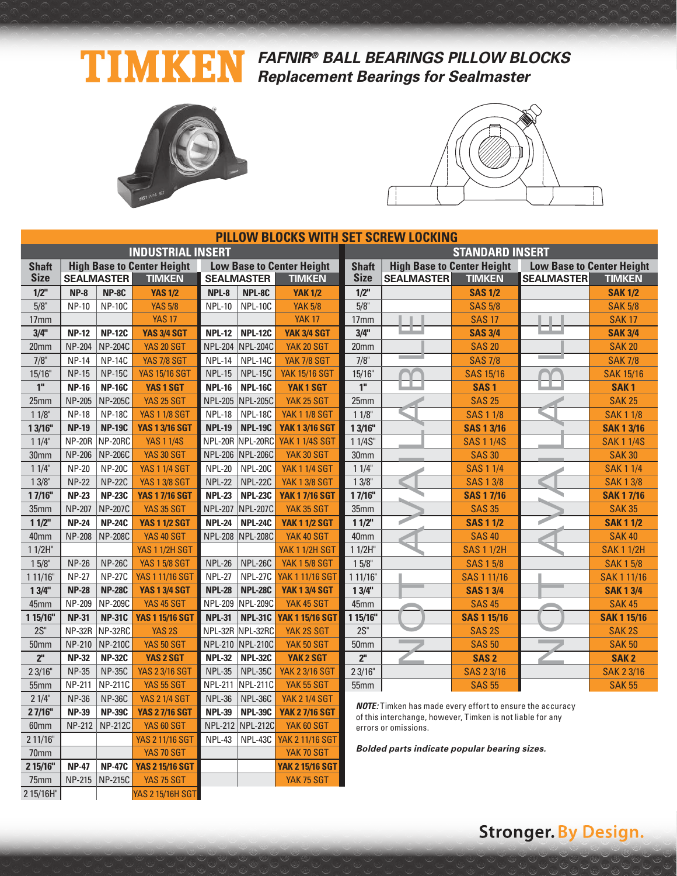### TIMKE **FAFNIR® BALL BEARINGS PILLOW BLOCKS Replacement Bearings for Sealmaster**



**2 15/16" NP-47 NP-47C YAS 2 15/16 SGT YAK 2 15/16 SGT** 75mm NP-215 NP-215C YAS 75 SGT YAK 75 SGT

2 15/16H" YAS 2 15/16H SGT



|                  | <b>PILLOW BLOCKS WITH SET SCREW LOCKING</b> |                   |                                   |                |                   |                                  |                                                                                                                                |                                   |                    |                                  |                    |  |  |
|------------------|---------------------------------------------|-------------------|-----------------------------------|----------------|-------------------|----------------------------------|--------------------------------------------------------------------------------------------------------------------------------|-----------------------------------|--------------------|----------------------------------|--------------------|--|--|
|                  |                                             |                   | <b>INDUSTRIAL INSERT</b>          |                |                   |                                  | <b>STANDARD INSERT</b>                                                                                                         |                                   |                    |                                  |                    |  |  |
| <b>Shaft</b>     |                                             |                   | <b>High Base to Center Height</b> |                |                   | <b>Low Base to Center Height</b> | <b>Shaft</b>                                                                                                                   | <b>High Base to Center Height</b> |                    | <b>Low Base to Center Height</b> |                    |  |  |
| <b>Size</b>      |                                             | <b>SEALMASTER</b> | <b>TIMKEN</b>                     |                | <b>SEALMASTER</b> | <b>TIMKEN</b>                    | <b>Size</b>                                                                                                                    | <b>SEALMASTER</b>                 | <b>TIMKEN</b>      | <b>SEALMASTER</b>                | <b>TIMKEN</b>      |  |  |
| $1/2$ "          | $NP-8$                                      | NP-8C             | <b>YAS 1/2</b>                    | NPL-8          | NPL-8C            | <b>YAK 1/2</b>                   | $1/2$ "                                                                                                                        |                                   | <b>SAS 1/2</b>     |                                  | <b>SAK 1/2</b>     |  |  |
| 5/8"             | <b>NP-10</b>                                | <b>NP-10C</b>     | <b>YAS 5/8</b>                    | <b>NPL-10</b>  | <b>NPL-10C</b>    | <b>YAK 5/8</b>                   | 5/8"                                                                                                                           |                                   | <b>SAS 5/8</b>     |                                  | <b>SAK 5/8</b>     |  |  |
| 17mm             |                                             |                   | <b>YAS 17</b>                     |                |                   | <b>YAK 17</b>                    | 17mm                                                                                                                           |                                   | <b>SAS 17</b>      |                                  | <b>SAK17</b>       |  |  |
| 3/4"             | <b>NP-12</b>                                | <b>NP-12C</b>     | <b>YAS 3/4 SGT</b>                | <b>NPL-12</b>  | <b>NPL-12C</b>    | <b>YAK 3/4 SGT</b>               | 3/4"                                                                                                                           | ╌                                 | <b>SAS 3/4</b>     | ▆                                | <b>SAK 3/4</b>     |  |  |
| 20mm             | <b>NP-204</b>                               | <b>NP-204C</b>    | <b>YAS 20 SGT</b>                 |                | NPL-204 NPL-204C  | <b>YAK 20 SGT</b>                | 20 <sub>mm</sub>                                                                                                               |                                   | <b>SAS 20</b>      |                                  | <b>SAK 20</b>      |  |  |
| 7/8"             | <b>NP-14</b>                                | <b>NP-14C</b>     | <b>YAS 7/8 SGT</b>                | <b>NPL-14</b>  | NPL-14C           | <b>YAK 7/8 SGT</b>               | $7/8$ "                                                                                                                        |                                   | <b>SAS 7/8</b>     |                                  | <b>SAK 7/8</b>     |  |  |
| 15/16"           | <b>NP-15</b>                                | <b>NP-15C</b>     | <b>YAS 15/16 SGT</b>              | <b>NPL-15</b>  | NPL-15C           | <b>YAK 15/16 SGT</b>             | 15/16"                                                                                                                         |                                   | <b>SAS 15/16</b>   |                                  | <b>SAK 15/16</b>   |  |  |
| $1II$            | <b>NP-16</b>                                | <b>NP-16C</b>     | YAS 1 SGT                         | <b>NPL-16</b>  | <b>NPL-16C</b>    | YAK <sub>1</sub> SGT             | 1 <sup>''</sup>                                                                                                                |                                   | SAS <sub>1</sub>   |                                  | SAK <sub>1</sub>   |  |  |
| 25mm             | <b>NP-205</b>                               | <b>NP-205C</b>    | <b>YAS 25 SGT</b>                 |                | NPL-205 NPL-205C  | <b>YAK 25 SGT</b>                | 25mm                                                                                                                           |                                   | <b>SAS 25</b>      |                                  | <b>SAK 25</b>      |  |  |
| $11/8$ "         | <b>NP-18</b>                                | <b>NP-18C</b>     | <b>YAS 1 1/8 SGT</b>              | NPL-18         | NPL-18C           | <b>YAK 1 1/8 SGT</b>             | $11/8$ "                                                                                                                       |                                   | <b>SAS 1 1/8</b>   |                                  | <b>SAK 1 1/8</b>   |  |  |
| 1 3/16"          | <b>NP-19</b>                                | <b>NP-19C</b>     | <b>YAS 1 3/16 SGT</b>             | <b>NPL-19</b>  | <b>NPL-19C</b>    | <b>YAK 1 3/16 SGT</b>            | 13/16"                                                                                                                         |                                   | <b>SAS 1 3/16</b>  |                                  | <b>SAK 1 3/16</b>  |  |  |
| 11/4"            |                                             | NP-20R NP-20RC    | <b>YAS 1 1/4S</b>                 |                | NPL-20R NPL-20RC  | <b>YAK 1 1/4S SGT</b>            | 11/4S''                                                                                                                        |                                   | <b>SAS 1 1/4S</b>  |                                  | <b>SAK 1 1/4S</b>  |  |  |
| 30 <sub>mm</sub> | <b>NP-206</b>                               | NP-206C           | YAS 30 SGT                        |                | NPL-206 NPL-206C  | YAK 30 SGT                       | 30mm                                                                                                                           |                                   | <b>SAS 30</b>      |                                  | <b>SAK 30</b>      |  |  |
| 11/4"            | <b>NP-20</b>                                | <b>NP-20C</b>     | <b>YAS 1 1/4 SGT</b>              | <b>NPL-20</b>  | NPL-20C           | <b>YAK 1 1/4 SGT</b>             | 11/4"                                                                                                                          |                                   | <b>SAS 1 1/4</b>   |                                  | <b>SAK11/4</b>     |  |  |
| $13/8$ "         | <b>NP-22</b>                                | <b>NP-22C</b>     | <b>YAS 1 3/8 SGT</b>              | <b>NPL-22</b>  | NPL-22C           | <b>YAK 1 3/8 SGT</b>             | 13/8"                                                                                                                          |                                   | <b>SAS 1 3/8</b>   |                                  | <b>SAK13/8</b>     |  |  |
| 17/16"           | <b>NP-23</b>                                | <b>NP-23C</b>     | <b>YAS 1 7/16 SGT</b>             | <b>NPL-23</b>  | <b>NPL-23C</b>    | <b>YAK 1 7/16 SGT</b>            | 17/16"                                                                                                                         |                                   | <b>SAS 1 7/16</b>  |                                  | <b>SAK 17/16</b>   |  |  |
| 35mm             | <b>NP-207</b>                               | <b>NP-207C</b>    | <b>YAS 35 SGT</b>                 | <b>NPL-207</b> | NPL-207C          | YAK 35 SGT                       | 35mm                                                                                                                           |                                   | <b>SAS 35</b>      |                                  | <b>SAK 35</b>      |  |  |
| $11/2$ "         | <b>NP-24</b>                                | <b>NP-24C</b>     | <b>YAS 1 1/2 SGT</b>              | <b>NPL-24</b>  | <b>NPL-24C</b>    | <b>YAK 1 1/2 SGT</b>             | 11/2"                                                                                                                          |                                   | <b>SAS 1 1/2</b>   |                                  | <b>SAK 1 1/2</b>   |  |  |
| 40 <sub>mm</sub> | <b>NP-208</b>                               | <b>NP-208C</b>    | YAS 40 SGT                        |                | NPL-208 NPL-208C  | YAK 40 SGT                       | 40mm                                                                                                                           |                                   | <b>SAS 40</b>      |                                  | <b>SAK 40</b>      |  |  |
| $11/2H$ "        |                                             |                   | <b>YAS 1 1/2H SGT</b>             |                |                   | <b>YAK 1 1/2H SGT</b>            | $11/2H$ "                                                                                                                      |                                   | <b>SAS 1 1/2H</b>  |                                  | <b>SAK 1 1/2H</b>  |  |  |
| $15/8$ "         | <b>NP-26</b>                                | <b>NP-26C</b>     | <b>YAS 15/8 SGT</b>               | NPL-26         | NPL-26C           | <b>YAK 1 5/8 SGT</b>             | $15/8$ "                                                                                                                       |                                   | <b>SAS 1 5/8</b>   |                                  | <b>SAK 1 5/8</b>   |  |  |
| 1 11/16"         | <b>NP-27</b>                                | <b>NP-27C</b>     | <b>YAS 1 11/16 SGT</b>            | <b>NPL-27</b>  | NPL-27C           | YAK 1 11/16 SGT                  | 1 1 1 / 16"                                                                                                                    |                                   | SAS 1 11/16        |                                  | <b>SAK 1 11/16</b> |  |  |
| 13/4"            | <b>NP-28</b>                                | <b>NP-28C</b>     | <b>YAS 1 3/4 SGT</b>              | <b>NPL-28</b>  | <b>NPL-28C</b>    | <b>YAK 1 3/4 SGT</b>             | 13/4"                                                                                                                          |                                   | <b>SAS 1 3/4</b>   |                                  | <b>SAK 1 3/4</b>   |  |  |
| 45mm             | NP-209                                      | NP-209C           | YAS 45 SGT                        |                | NPL-209 NPL-209C  | YAK 45 SGT                       | 45mm                                                                                                                           |                                   | <b>SAS 45</b>      |                                  | <b>SAK 45</b>      |  |  |
| 1 15/16"         | <b>NP-31</b>                                | <b>NP-31C</b>     | <b>YAS 1 15/16 SGT</b>            | <b>NPL-31</b>  | $NPL-31C$         | <b>YAK 1 15/16 SGT</b>           | 1 15/16"                                                                                                                       |                                   | <b>SAS 1 15/16</b> |                                  | <b>SAK 1 15/16</b> |  |  |
| $2S$ "           |                                             | NP-32R NP-32RC    | YAS <sub>2S</sub>                 |                | NPL-32R NPL-32RC  | YAK 2S SGT                       | 2S <sup>''</sup>                                                                                                               |                                   | SAS <sub>2S</sub>  |                                  | <b>SAK2S</b>       |  |  |
| 50 <sub>mm</sub> | NP-210                                      | NP-210C           | <b>YAS 50 SGT</b>                 |                | NPL-210 NPL-210C  | YAK 50 SGT                       | 50 <sub>mm</sub>                                                                                                               |                                   | <b>SAS 50</b>      |                                  | <b>SAK 50</b>      |  |  |
| 2 <sup>n</sup>   | <b>NP-32</b>                                | <b>NP-32C</b>     | YAS 2 SGT                         | <b>NPL-32</b>  | <b>NPL-32C</b>    | YAK 2 SGT                        | 2 <sup>n</sup>                                                                                                                 |                                   | SAS <sub>2</sub>   |                                  | <b>SAK2</b>        |  |  |
| 23/16"           | <b>NP-35</b>                                | <b>NP-35C</b>     | <b>YAS 2 3/16 SGT</b>             | <b>NPL-35</b>  | NPL-35C           | <b>YAK 2 3/16 SGT</b>            | 23/16"                                                                                                                         |                                   | SAS 2 3/16         |                                  | <b>SAK 2 3/16</b>  |  |  |
| 55mm             | <b>NP-211</b>                               | <b>NP-211C</b>    | <b>YAS 55 SGT</b>                 | <b>NPL-211</b> | NPL-211C          | YAK 55 SGT                       | 55mm                                                                                                                           |                                   | <b>SAS 55</b>      |                                  | <b>SAK 55</b>      |  |  |
| 21/4"            | <b>NP-36</b>                                | <b>NP-36C</b>     | <b>YAS 2 1/4 SGT</b>              | NPL-36         | NPL-36C           | <b>YAK 2 1/4 SGT</b>             |                                                                                                                                |                                   |                    |                                  |                    |  |  |
| 27/16"           | <b>NP-39</b>                                | <b>NP-39C</b>     | <b>YAS 2 7/16 SGT</b>             | <b>NPL-39</b>  | <b>NPL-39C</b>    | <b>YAK 2 7/16 SGT</b>            | <b>NOTE:</b> Timken has made every effort to ensure the accuracy<br>of this interchange, however, Timken is not liable for any |                                   |                    |                                  |                    |  |  |
| 60mm             | <b>NP-212</b>                               | <b>NP-212C</b>    | YAS 60 SGT                        |                | NPL-212 NPL-212C  | YAK 60 SGT                       | errors or omissions.                                                                                                           |                                   |                    |                                  |                    |  |  |
| 2 11/16"         |                                             |                   | YAS 2 11/16 SGT                   | NPL-43         | NPL-43C           | <b>YAK 2 11/16 SGT</b>           |                                                                                                                                |                                   |                    |                                  |                    |  |  |
| 70mm             |                                             |                   | YAS 70 SGT                        |                |                   | YAK 70 SGT                       | Bolded parts indicate popular bearing sizes.                                                                                   |                                   |                    |                                  |                    |  |  |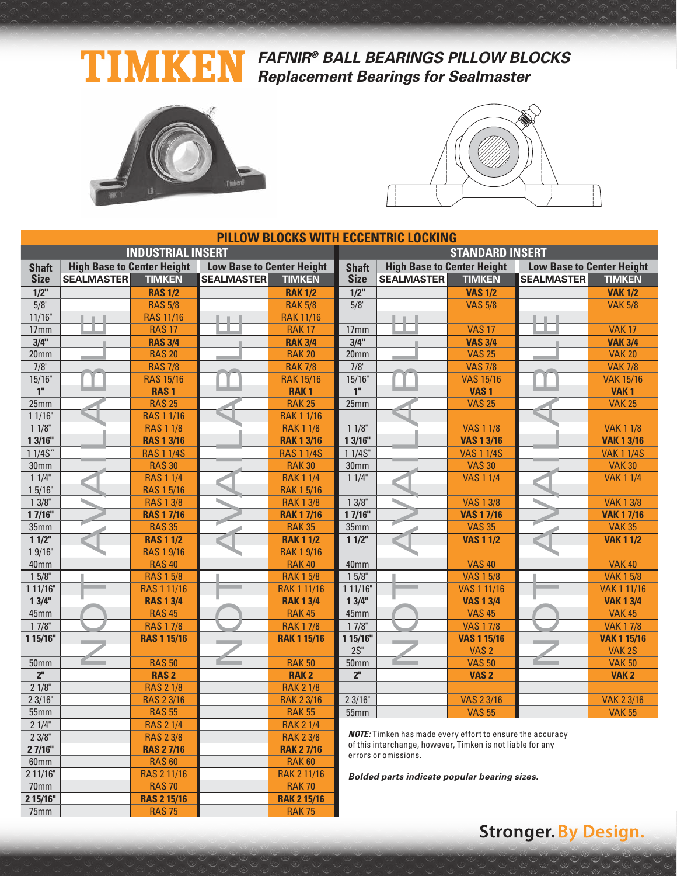### TIMKEN **FAFNIR® BALL BEARINGS PILLOW BLOCKS Replacement Bearings for Sealmaster**



**2 15/16"** RAS 2 15/16 RAK 2 15/16<br>
T5mm RAS 75 RAK 75 75mm | RAS 75 | RAK 75



|                  |                                   |                          |                                  |                    | <b>PILLOW BLOCKS WITH ECCENTRIC LOCKING</b> |                                                                  |                    |                                  |                    |  |  |
|------------------|-----------------------------------|--------------------------|----------------------------------|--------------------|---------------------------------------------|------------------------------------------------------------------|--------------------|----------------------------------|--------------------|--|--|
|                  |                                   | <b>INDUSTRIAL INSERT</b> |                                  |                    | <b>STANDARD INSERT</b>                      |                                                                  |                    |                                  |                    |  |  |
| <b>Shaft</b>     | <b>High Base to Center Height</b> |                          | <b>Low Base to Center Height</b> |                    | <b>Shaft</b>                                | <b>High Base to Center Height</b>                                |                    | <b>Low Base to Center Height</b> |                    |  |  |
| <b>Size</b>      | <b>SEALMASTER</b>                 | <b>TIMKEN</b>            | <b>SEALMASTER</b>                | <b>TIMKEN</b>      | <b>Size</b>                                 | <b>SEALMASTER</b>                                                | <b>TIMKEN</b>      | <b>SEALMASTER</b>                | <b>TIMKEN</b>      |  |  |
| 1/2"             |                                   | <b>RAS 1/2</b>           |                                  | <b>RAK 1/2</b>     | $1/2$ "                                     |                                                                  | <b>VAS 1/2</b>     |                                  | <b>VAK 1/2</b>     |  |  |
| 5/8"             |                                   | <b>RAS 5/8</b>           |                                  | <b>RAK 5/8</b>     | 5/8"                                        |                                                                  | <b>VAS 5/8</b>     |                                  | <b>VAK 5/8</b>     |  |  |
| 11/16"           |                                   | <b>RAS 11/16</b>         |                                  | <b>RAK 11/16</b>   |                                             |                                                                  |                    |                                  |                    |  |  |
| 17 <sub>mm</sub> |                                   | <b>RAS 17</b>            |                                  | <b>RAK 17</b>      | 17mm                                        |                                                                  | <b>VAS 17</b>      |                                  | <b>VAK 17</b>      |  |  |
| 3/4"             |                                   | <b>RAS 3/4</b>           |                                  | <b>RAK 3/4</b>     | 3/4"                                        |                                                                  | <b>VAS 3/4</b>     |                                  | <b>VAK 3/4</b>     |  |  |
| 20 <sub>mm</sub> |                                   | <b>RAS 20</b>            |                                  | <b>RAK 20</b>      | 20mm                                        |                                                                  | <b>VAS 25</b>      |                                  | <b>VAK 20</b>      |  |  |
| $7/8$ "          |                                   | <b>RAS 7/8</b>           |                                  | <b>RAK 7/8</b>     | $7/8$ "                                     |                                                                  | <b>VAS 7/8</b>     |                                  | <b>VAK 7/8</b>     |  |  |
| 15/16"           |                                   | <b>RAS 15/16</b>         |                                  | <b>RAK 15/16</b>   | 15/16"                                      |                                                                  | <b>VAS 15/16</b>   |                                  | <b>VAK 15/16</b>   |  |  |
| 1 <sup>''</sup>  |                                   | <b>RAS1</b>              |                                  | <b>RAK1</b>        | 1 <sup>n</sup>                              |                                                                  | VAS <sub>1</sub>   |                                  | VAK <sub>1</sub>   |  |  |
| 25mm             |                                   | <b>RAS 25</b>            |                                  | <b>RAK 25</b>      | 25mm                                        |                                                                  | <b>VAS 25</b>      |                                  | <b>VAK 25</b>      |  |  |
| 11/16"           |                                   | <b>RAS 1 1/16</b>        |                                  | <b>RAK 1 1/16</b>  |                                             |                                                                  |                    |                                  |                    |  |  |
| $11/8$ "         |                                   | <b>RAS 1 1/8</b>         |                                  | <b>RAK 1 1/8</b>   | $11/8$ "                                    |                                                                  | <b>VAS 1 1/8</b>   |                                  | <b>VAK 1 1/8</b>   |  |  |
| 13/16"           |                                   | <b>RAS 1 3/16</b>        |                                  | <b>RAK 1 3/16</b>  | 13/16"                                      |                                                                  | <b>VAS 1 3/16</b>  |                                  | <b>VAK 1 3/16</b>  |  |  |
| 11/4S''          |                                   | <b>RAS 1 1/4S</b>        |                                  | <b>RAS 1 1/4S</b>  | 11/4S''                                     |                                                                  | <b>VAS 1 1/4S</b>  |                                  | <b>VAK 1 1/4S</b>  |  |  |
| 30 <sub>mm</sub> |                                   | <b>RAS 30</b>            |                                  | <b>RAK 30</b>      | 30 <sub>mm</sub>                            |                                                                  | <b>VAS 30</b>      |                                  | <b>VAK 30</b>      |  |  |
| 11/4"            |                                   | <b>RAS 1 1/4</b>         |                                  | <b>RAK 1 1/4</b>   | 11/4"                                       |                                                                  | <b>VAS 1 1/4</b>   |                                  | <b>VAK 1 1/4</b>   |  |  |
| 15/16"           |                                   | <b>RAS 1 5/16</b>        |                                  | <b>RAK 15/16</b>   |                                             |                                                                  |                    |                                  |                    |  |  |
| 13/8"            |                                   | <b>RAS 1 3/8</b>         |                                  | <b>RAK 1 3/8</b>   | 13/8"                                       |                                                                  | <b>VAS 1 3/8</b>   |                                  | <b>VAK 1 3/8</b>   |  |  |
| 17/16"           |                                   | <b>RAS 1 7/16</b>        |                                  | <b>RAK 17/16</b>   | 17/16"                                      |                                                                  | <b>VAS 1 7/16</b>  |                                  | <b>VAK 17/16</b>   |  |  |
| 35mm             |                                   | <b>RAS 35</b>            |                                  | <b>RAK 35</b>      | 35mm                                        |                                                                  | <b>VAS 35</b>      |                                  | <b>VAK 35</b>      |  |  |
| 11/2"            |                                   | <b>RAS 1 1/2</b>         |                                  | <b>RAK 1 1/2</b>   | 11/2"                                       |                                                                  | <b>VAS 1 1/2</b>   |                                  | <b>VAK 1 1/2</b>   |  |  |
| 19/16"           |                                   | <b>RAS 1 9/16</b>        |                                  | <b>RAK 1 9/16</b>  |                                             |                                                                  |                    |                                  |                    |  |  |
| 40mm             |                                   | <b>RAS 40</b>            |                                  | <b>RAK 40</b>      | 40mm                                        |                                                                  | <b>VAS 40</b>      |                                  | <b>VAK 40</b>      |  |  |
| $15/8$ "         |                                   | <b>RAS 1 5/8</b>         |                                  | <b>RAK 1 5/8</b>   | $15/8$ "                                    |                                                                  | <b>VAS 1 5/8</b>   |                                  | <b>VAK 1 5/8</b>   |  |  |
| 111/16"          |                                   | <b>RAS 1 11/16</b>       |                                  | <b>RAK 1 11/16</b> | 111/16"                                     |                                                                  | <b>VAS 1 11/16</b> |                                  | <b>VAK 1 11/16</b> |  |  |
| 13/4"            |                                   | <b>RAS 1 3/4</b>         |                                  | <b>RAK 1 3/4</b>   | 13/4"                                       |                                                                  | <b>VAS 1 3/4</b>   |                                  | <b>VAK 1 3/4</b>   |  |  |
| 45mm             |                                   | <b>RAS 45</b>            |                                  | <b>RAK 45</b>      | 45mm                                        |                                                                  | <b>VAS 45</b>      |                                  | <b>VAK 45</b>      |  |  |
| $17/8$ "         |                                   | <b>RAS 17/8</b>          |                                  | <b>RAK 17/8</b>    | $17/8$ "                                    |                                                                  | <b>VAS 17/8</b>    |                                  | <b>VAK 17/8</b>    |  |  |
| 1 15/16"         |                                   | <b>RAS 1 15/16</b>       |                                  | <b>RAK 1 15/16</b> | 1 15/16"                                    |                                                                  | <b>VAS 1 15/16</b> |                                  | <b>VAK 1 15/16</b> |  |  |
|                  |                                   |                          |                                  |                    | $2S$ "                                      |                                                                  | VAS <sub>2</sub>   |                                  | VAK <sub>2S</sub>  |  |  |
| <b>50mm</b>      |                                   | <b>RAS 50</b>            |                                  | <b>RAK 50</b>      | 50 <sub>mm</sub>                            |                                                                  | <b>VAS 50</b>      |                                  | <b>VAK 50</b>      |  |  |
| $\overline{2^n}$ |                                   | <b>RAS2</b>              |                                  | <b>RAK2</b>        | 2 <sup>n</sup>                              |                                                                  | VAS <sub>2</sub>   |                                  | VAK <sub>2</sub>   |  |  |
| 21/8"            |                                   | <b>RAS 2 1/8</b>         |                                  | <b>RAK 2 1/8</b>   |                                             |                                                                  |                    |                                  |                    |  |  |
| 23/16"           |                                   | <b>RAS 2 3/16</b>        |                                  | <b>RAK 2 3/16</b>  | 23/16"                                      |                                                                  | <b>VAS 2 3/16</b>  |                                  | <b>VAK 2 3/16</b>  |  |  |
| 55mm             |                                   | <b>RAS 55</b>            |                                  | <b>RAK 55</b>      | 55mm                                        |                                                                  | <b>VAS 55</b>      |                                  | <b>VAK 55</b>      |  |  |
| 21/4"            |                                   | <b>RAS 2 1/4</b>         |                                  | <b>RAK 2 1/4</b>   |                                             | <b>NOTE:</b> Timken has made every effort to ensure the accuracy |                    |                                  |                    |  |  |
| 23/8"            |                                   | <b>RAS 2 3/8</b>         |                                  | <b>RAK 2 3/8</b>   |                                             | of this interchange, however, Timken is not liable for any       |                    |                                  |                    |  |  |
| 27/16"           |                                   | <b>RAS 2 7/16</b>        |                                  | <b>RAK 27/16</b>   |                                             | errors or omissions.                                             |                    |                                  |                    |  |  |
| 60mm             |                                   | <b>RAS 60</b>            |                                  | <b>RAK 60</b>      |                                             |                                                                  |                    |                                  |                    |  |  |
| 2 11/16"         |                                   | RAS 2 11/16              |                                  | <b>RAK 2 11/16</b> |                                             | Bolded parts indicate popular bearing sizes.                     |                    |                                  |                    |  |  |
| 70mm             |                                   | <b>RAS 70</b>            |                                  | <b>RAK 70</b>      |                                             |                                                                  |                    |                                  |                    |  |  |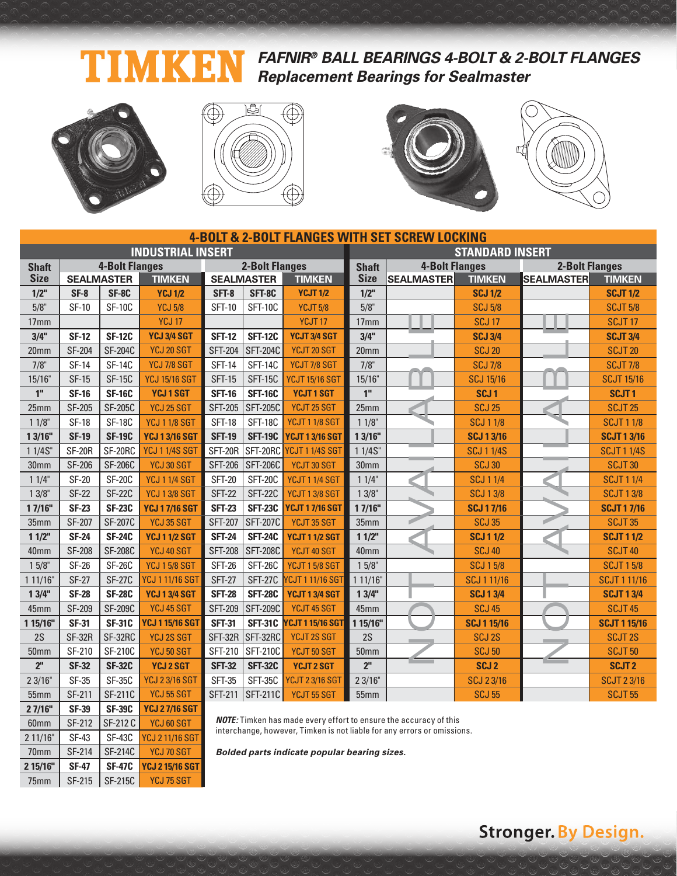### **FAFNIR® BALL BEARINGS 4-BOLT & 2-BOLT FLANGES** Ŋ **Replacement Bearings for Sealmaster**



2 11/16" SF-43 SF-43C YCJ 2 11/16 SGT 70mm | SF-214 | SF-214C | YCJ 70 SGT **2 15/16" SF-47 SF-47C YCJ 2 15/16 SGT** 75mm | SF-215 | SF-215C | YCJ 75 SGT







|                  | <b>4-BOLT &amp; 2-BOLT FLANGES WITH SET SCREW LOCKING</b> |                       |                          |                |                                                                          |                          |                        |                       |                    |                       |                     |  |
|------------------|-----------------------------------------------------------|-----------------------|--------------------------|----------------|--------------------------------------------------------------------------|--------------------------|------------------------|-----------------------|--------------------|-----------------------|---------------------|--|
|                  |                                                           |                       | <b>INDUSTRIAL INSERT</b> |                |                                                                          |                          | <b>STANDARD INSERT</b> |                       |                    |                       |                     |  |
| <b>Shaft</b>     |                                                           | <b>4-Bolt Flanges</b> |                          |                | <b>2-Bolt Flanges</b>                                                    |                          | <b>Shaft</b>           | <b>4-Bolt Flanges</b> |                    | <b>2-Bolt Flanges</b> |                     |  |
| <b>Size</b>      |                                                           | <b>SEALMASTER</b>     | <b>TIMKEN</b>            |                | <b>SEALMASTER</b>                                                        | <b>TIMKEN</b>            | <b>Size</b>            | <b>SEALMASTER</b>     | <b>TIMKEN</b>      | <b>SEALMASTER</b>     | <b>TIMKEN</b>       |  |
| $1/2$ "          | $SF-8$                                                    | SF-8C                 | <b>YCJ 1/2</b>           | SFT-8          | SFT-8C                                                                   | <b>YCJT 1/2</b>          | $1/2$ "                |                       | <b>SCJ 1/2</b>     |                       | <b>SCJT 1/2</b>     |  |
| 5/8"             | <b>SF-10</b>                                              | <b>SF-10C</b>         | <b>YCJ 5/8</b>           | <b>SFT-10</b>  | <b>SFT-10C</b>                                                           | <b>YCJT 5/8</b>          | 5/8"                   |                       | <b>SCJ 5/8</b>     |                       | <b>SCJT 5/8</b>     |  |
| 17mm             |                                                           |                       | <b>YCJ 17</b>            |                |                                                                          | YCJT <sub>17</sub>       | 17 <sub>mm</sub>       |                       | <b>SCJ 17</b>      |                       | SCJT <sub>17</sub>  |  |
| 3/4"             | <b>SF-12</b>                                              | <b>SF-12C</b>         | YCJ 3/4 SGT              | <b>SFT-12</b>  | <b>SFT-12C</b>                                                           | YCJT 3/4 SGT             | 3/4"                   |                       | <b>SCJ 3/4</b>     |                       | <b>SCJT 3/4</b>     |  |
| 20mm             | <b>SF-204</b>                                             | <b>SF-204C</b>        | YCJ 20 SGT               | <b>SFT-204</b> | <b>SFT-204C</b>                                                          | YCJT 20 SGT              | 20mm                   |                       | <b>SCJ 20</b>      |                       | <b>SCJT 20</b>      |  |
| $7/8$ "          | <b>SF-14</b>                                              | <b>SF-14C</b>         | YCJ 7/8 SGT              | <b>SFT-14</b>  | <b>SFT-14C</b>                                                           | YCJT 7/8 SGT             | $7/8$ "                |                       | <b>SCJ 7/8</b>     |                       | <b>SCJT 7/8</b>     |  |
| 15/16"           | <b>SF-15</b>                                              | <b>SF-15C</b>         | <b>YCJ 15/16 SGT</b>     | <b>SFT-15</b>  | <b>SFT-15C</b>                                                           | <b>YCJT 15/16 SGT</b>    | 15/16"                 |                       | <b>SCJ 15/16</b>   |                       | <b>SCJT 15/16</b>   |  |
| 1 <sup>''</sup>  | <b>SF-16</b>                                              | <b>SF-16C</b>         | <b>YCJ1SGT</b>           | <b>SFT-16</b>  | <b>SFT-16C</b>                                                           | <b>YCJT1SGT</b>          | 1 <sup>II</sup>        |                       | SCJ <sub>1</sub>   |                       | SCJT <sub>1</sub>   |  |
| 25mm             | <b>SF-205</b>                                             | <b>SF-205C</b>        | YCJ 25 SGT               | <b>SFT-205</b> | <b>SFT-205C</b>                                                          | YCJT 25 SGT              | 25mm                   |                       | <b>SCJ 25</b>      |                       | <b>SCJT 25</b>      |  |
| 11/8"            | <b>SF-18</b>                                              | <b>SF-18C</b>         | <b>YCJ 1 1/8 SGT</b>     | <b>SFT-18</b>  | <b>SFT-18C</b>                                                           | YCJT 1 1/8 SGT           | $11/8$ "               |                       | <b>SCJ 1 1/8</b>   |                       | <b>SCJT 1 1/8</b>   |  |
| 13/16"           | <b>SF-19</b>                                              | <b>SF-19C</b>         | <b>YCJ 13/16 SGT</b>     | <b>SFT-19</b>  | <b>SFT-19C</b>                                                           | <b>YCJT 1 3/16 SGT</b>   | 13/16"                 |                       | <b>SCJ 1 3/16</b>  |                       | <b>SCJT 1 3/16</b>  |  |
| 1 1/4S"          | <b>SF-20R</b>                                             | SF-20RC               | <b>YCJ 1 1/4S SGT</b>    | SFT-20R        |                                                                          | SFT-20RC YCJT 1 1/4S SGT | 1 1/4S"                |                       | <b>SCJ 1 1/4S</b>  |                       | <b>SCJT 11/4S</b>   |  |
| 30mm             | <b>SF-206</b>                                             | <b>SF-206C</b>        | YCJ 30 SGT               | <b>SFT-206</b> | <b>SFT-206C</b>                                                          | YCJT 30 SGT              | 30 <sub>mm</sub>       |                       | <b>SCJ 30</b>      |                       | SCJT <sub>30</sub>  |  |
| 11/4"            | <b>SF-20</b>                                              | <b>SF-20C</b>         | <b>YCJ 1 1/4 SGT</b>     | <b>SFT-20</b>  | <b>SFT-20C</b>                                                           | <b>YCJT 1 1/4 SGT</b>    | 11/4"                  |                       | <b>SCJ 1 1/4</b>   |                       | <b>SCJT 1 1/4</b>   |  |
| $13/8$ "         | <b>SF-22</b>                                              | <b>SF-22C</b>         | <b>YCJ 1 3/8 SGT</b>     | <b>SFT-22</b>  | <b>SFT-22C</b>                                                           | <b>YCJT 1 3/8 SGT</b>    | $13/8$ "               |                       | <b>SCJ 13/8</b>    |                       | <b>SCJT 13/8</b>    |  |
| 17/16"           | <b>SF-23</b>                                              | <b>SF-23C</b>         | <b>YCJ 17/16 SGT</b>     | <b>SFT-23</b>  | <b>SFT-23C</b>                                                           | <b>YCJT 1 7/16 SGT</b>   | 1 7/16"                |                       | <b>SCJ17/16</b>    |                       | <b>SCJT 17/16</b>   |  |
| 35mm             | SF-207                                                    | <b>SF-207C</b>        | <b>YCJ 35 SGT</b>        | <b>SFT-207</b> | <b>SFT-207C</b>                                                          | YCJT 35 SGT              | 35mm                   |                       | <b>SCJ 35</b>      |                       | <b>SCJT 35</b>      |  |
| 11/2"            | <b>SF-24</b>                                              | <b>SF-24C</b>         | <b>YCJ 1 1/2 SGT</b>     | <b>SFT-24</b>  | <b>SFT-24C</b>                                                           | <b>YCJT 11/2 SGT</b>     | $11/2$ "               |                       | <b>SCJ 11/2</b>    |                       | <b>SCJT 1 1/2</b>   |  |
| 40mm             | <b>SF-208</b>                                             | <b>SF-208C</b>        | YCJ 40 SGT               | <b>SFT-208</b> | <b>SFT-208C</b>                                                          | YCJT 40 SGT              | 40mm                   |                       | <b>SCJ 40</b>      |                       | <b>SCJT 40</b>      |  |
| 15/8"            | <b>SF-26</b>                                              | <b>SF-26C</b>         | <b>YCJ 15/8 SGT</b>      | <b>SFT-26</b>  | <b>SFT-26C</b>                                                           | YCJT 15/8 SGT            | 15/8"                  |                       | <b>SCJ 15/8</b>    |                       | <b>SCJT 15/8</b>    |  |
| 1 11/16"         | <b>SF-27</b>                                              | <b>SF-27C</b>         | <b>YCJ 1 11/16 SGT</b>   | <b>SFT-27</b>  | <b>SFT-27C</b>                                                           | <b>CJT111/16SGT</b>      | 111/16"                |                       | SCJ 1 11/16        |                       | <b>SCJT 1 11/16</b> |  |
| 13/4"            | <b>SF-28</b>                                              | <b>SF-28C</b>         | <b>YCJ 1 3/4 SGT</b>     | <b>SFT-28</b>  | <b>SFT-28C</b>                                                           | <b>YCJT 1 3/4 SGT</b>    | 13/4"                  |                       | <b>SCJ 13/4</b>    |                       | <b>SCJT 1 3/4</b>   |  |
| 45mm             | SF-209                                                    | <b>SF-209C</b>        | YCJ 45 SGT               | <b>SFT-209</b> | <b>SFT-209C</b>                                                          | YCJT 45 SGT              | 45mm                   |                       | <b>SCJ 45</b>      |                       | <b>SCJT 45</b>      |  |
| 1 15/16"         | <b>SF-31</b>                                              | <b>SF-31C</b>         | <b>YCJ 1 15/16 SGT</b>   | <b>SFT-31</b>  |                                                                          | SFT-31C YCJT 1 15/16 SGT | 1 15/16"               |                       | <b>SCJ 1 15/16</b> |                       | <b>SCJT 1 15/16</b> |  |
| 2S               | <b>SF-32R</b>                                             | SF-32RC               | <b>YCJ 2S SGT</b>        | SFT-32R        | SFT-32RC                                                                 | YCJT 2S SGT              | 2S                     |                       | <b>SCJ 2S</b>      |                       | <b>SCJT 2S</b>      |  |
| 50mm             | SF-210                                                    | <b>SF-210C</b>        | YCJ 50 SGT               | SFT-210        | <b>SFT-210C</b>                                                          | YCJT 50 SGT              | <b>50mm</b>            |                       | <b>SCJ 50</b>      |                       | <b>SCJT 50</b>      |  |
| 2 <sup>''</sup>  | <b>SF-32</b>                                              | <b>SF-32C</b>         | <b>YCJ 2 SGT</b>         | <b>SFT-32</b>  | <b>SFT-32C</b>                                                           | <b>YCJT 2 SGT</b>        | 2 <sup>ii</sup>        |                       | SCJ <sub>2</sub>   |                       | <b>SCJT2</b>        |  |
| 23/16"           | <b>SF-35</b>                                              | <b>SF-35C</b>         | <b>YCJ 23/16 SGT</b>     | <b>SFT-35</b>  | SFT-35C                                                                  | <b>YCJT 2 3/16 SGT</b>   | 23/16"                 |                       | <b>SCJ 23/16</b>   |                       | <b>SCJT 23/16</b>   |  |
| 55 <sub>mm</sub> | SF-211                                                    | SF-211C               | <b>YCJ 55 SGT</b>        |                | SFT-211 SFT-211C                                                         | YCJT 55 SGT              | 55mm                   |                       | <b>SCJ 55</b>      |                       | <b>SCJT 55</b>      |  |
| 27/16"           | <b>SF-39</b>                                              | <b>SF-39C</b>         | <b>YCJ 27/16 SGT</b>     |                |                                                                          |                          |                        |                       |                    |                       |                     |  |
| 60mm             | SF-212                                                    | SF-212 C              | YCJ 60 SGT               |                | <b>NOTE:</b> Timken has made every effort to ensure the accuracy of this |                          |                        |                       |                    |                       |                     |  |

**NOTE:** Timken has made every effort to ensure the accuracy of this interchange, however, Timken is not liable for any errors or omissions.

**Bolded parts indicate popular bearing sizes.**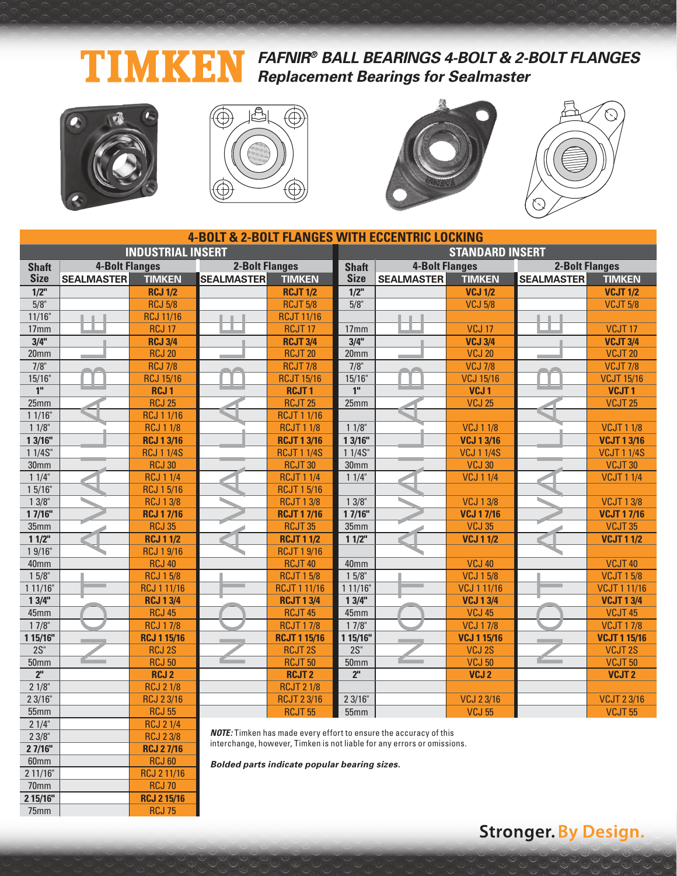#### **FAFNIR® BALL BEARINGS 4-BOLT & 2-BOLT FLANGES** Ŋ KI **Replacement Bearings for Sealmaster**



**2 7/16" RCJ 2 7/16**  60mm RCJ 60<br>
2 11/16" RCJ 2 11/1

70mm<br>2 15/16" RCJ 2 15/16"

75mm RCJ 75

2 11/16" RCJ 2 11/16

**2 15/16" RCJ 2 15/16**







|                  |                       |                          |                       |                     | <b>4-BOLT &amp; 2-BOLT FLANGES WITH ECCENTRIC LOCKING</b> |                                                                          |                    |                       |                     |  |  |
|------------------|-----------------------|--------------------------|-----------------------|---------------------|-----------------------------------------------------------|--------------------------------------------------------------------------|--------------------|-----------------------|---------------------|--|--|
|                  |                       | <b>INDUSTRIAL INSERT</b> |                       |                     | <b>STANDARD INSERT</b>                                    |                                                                          |                    |                       |                     |  |  |
| <b>Shaft</b>     | <b>4-Bolt Flanges</b> |                          | <b>2-Bolt Flanges</b> |                     | <b>Shaft</b>                                              | <b>4-Bolt Flanges</b>                                                    |                    | <b>2-Bolt Flanges</b> |                     |  |  |
| <b>Size</b>      | <b>SEALMASTER</b>     | <b>TIMKEN</b>            | <b>SEALMASTER</b>     | <b>TIMKEN</b>       | <b>Size</b>                                               | <b>SEALMASTER</b>                                                        | <b>TIMKEN</b>      | <b>SEALMASTER</b>     | <b>TIMKEN</b>       |  |  |
| $1/2$ "          |                       | <b>RCJ 1/2</b>           |                       | <b>RCJT 1/2</b>     | $1/2$ "                                                   |                                                                          | <b>VCJ 1/2</b>     |                       | <b>VCJT 1/2</b>     |  |  |
| 5/8"             |                       | <b>RCJ 5/8</b>           |                       | <b>RCJT 5/8</b>     | 5/8"                                                      |                                                                          | <b>VCJ 5/8</b>     |                       | <b>VCJT 5/8</b>     |  |  |
| 11/16"           |                       | <b>RCJ 11/16</b>         |                       | <b>RCJT 11/16</b>   |                                                           |                                                                          |                    |                       |                     |  |  |
| 17mm             |                       | <b>RCJ 17</b>            |                       | RCJT <sub>17</sub>  | 17 <sub>mm</sub>                                          |                                                                          | <b>VCJ 17</b>      |                       | VCJT <sub>17</sub>  |  |  |
| 3/4"             |                       | <b>RCJ 3/4</b>           |                       | <b>RCJT 3/4</b>     | 3/4"                                                      |                                                                          | <b>VCJ 3/4</b>     |                       | <b>VCJT 3/4</b>     |  |  |
| 20 <sub>mm</sub> |                       | <b>RCJ 20</b>            |                       | <b>RCJT 20</b>      | 20 <sub>mm</sub>                                          |                                                                          | <b>VCJ 20</b>      |                       | <b>VCJT 20</b>      |  |  |
| $7/8$ "          |                       | <b>RCJ 7/8</b>           |                       | <b>RCJT 7/8</b>     | $7/8$ "                                                   |                                                                          | <b>VCJ 7/8</b>     |                       | <b>VCJT 7/8</b>     |  |  |
| 15/16"           |                       | <b>RCJ 15/16</b>         |                       | <b>RCJT 15/16</b>   | 15/16"                                                    |                                                                          | <b>VCJ 15/16</b>   |                       | <b>VCJT 15/16</b>   |  |  |
| 1 <sup>''</sup>  |                       | <b>RCJ1</b>              |                       | <b>RCJT1</b>        | 1 <sup>''</sup>                                           |                                                                          | VCJ <sub>1</sub>   |                       | VCJT <sub>1</sub>   |  |  |
| 25mm             |                       | <b>RCJ 25</b>            |                       | <b>RCJT 25</b>      | 25mm                                                      |                                                                          | <b>VCJ 25</b>      |                       | VCJT <sub>25</sub>  |  |  |
| 11/16"           |                       | <b>RCJ 1 1/16</b>        |                       | <b>RCJT 1 1/16</b>  |                                                           |                                                                          |                    |                       |                     |  |  |
| 11/8             |                       | <b>RCJ 1 1/8</b>         |                       | <b>RCJT 1 1/8</b>   | 11/8                                                      |                                                                          | <b>VCJ 1 1/8</b>   |                       | <b>VCJT11/8</b>     |  |  |
| 13/16"           |                       | <b>RCJ 1 3/16</b>        |                       | <b>RCJT 1 3/16</b>  | 13/16"                                                    |                                                                          | <b>VCJ 1 3/16</b>  |                       | <b>VCJT 1 3/16</b>  |  |  |
| 11/4S''          |                       | <b>RCJ 1 1/4S</b>        |                       | <b>RCJT 1 1/4S</b>  | 11/4S''                                                   |                                                                          | <b>VCJ 1 1/4S</b>  |                       | <b>VCJT 1 1/4S</b>  |  |  |
| 30 <sub>mm</sub> |                       | <b>RCJ 30</b>            |                       | RCJT <sub>30</sub>  | 30 <sub>mm</sub>                                          |                                                                          | <b>VCJ 30</b>      |                       | <b>VCJT30</b>       |  |  |
| 11/4"            |                       | <b>RCJ 1 1/4</b>         |                       | <b>RCJT 1 1/4</b>   | 11/4"                                                     |                                                                          | <b>VCJ 1 1/4</b>   |                       | <b>VCJT 1 1/4</b>   |  |  |
| 15/16"           |                       | <b>RCJ 15/16</b>         |                       | <b>RCJT 1 5/16</b>  |                                                           |                                                                          |                    |                       |                     |  |  |
| 13/8"            |                       | <b>RCJ 13/8</b>          |                       | <b>RCJT 13/8</b>    | 13/8"                                                     |                                                                          | <b>VCJ 13/8</b>    |                       | <b>VCJT13/8</b>     |  |  |
| 17/16"           |                       | <b>RCJ 17/16</b>         |                       | <b>RCJT 17/16</b>   | 17/16"                                                    |                                                                          | <b>VCJ 17/16</b>   |                       | <b>VCJT 17/16</b>   |  |  |
| 35mm             |                       | <b>RCJ 35</b>            |                       | RCJT <sub>35</sub>  | 35mm                                                      |                                                                          | <b>VCJ 35</b>      |                       | <b>VCJT 35</b>      |  |  |
| 11/2"            |                       | <b>RCJ 1 1/2</b>         |                       | <b>RCJT 1 1/2</b>   | $11/2$ "                                                  |                                                                          | <b>VCJ 11/2</b>    |                       | <b>VCJT 1 1/2</b>   |  |  |
| 19/16"           |                       | <b>RCJ 19/16</b>         |                       | <b>RCJT 1 9/16</b>  |                                                           |                                                                          |                    |                       |                     |  |  |
| 40mm             |                       | <b>RCJ 40</b>            |                       | RCJT <sub>40</sub>  | 40mm                                                      |                                                                          | <b>VCJ 40</b>      |                       | <b>VCJT 40</b>      |  |  |
| $15/8$ "         |                       | <b>RCJ 15/8</b>          |                       | <b>RCJT 15/8</b>    | $15/8$ "                                                  |                                                                          | <b>VCJ 15/8</b>    |                       | <b>VCJT 1 5/8</b>   |  |  |
| 111/16"          |                       | <b>RCJ 1 11/16</b>       |                       | <b>RCJT111/16</b>   | 111/16"                                                   |                                                                          | <b>VCJ 1 11/16</b> |                       | <b>VCJT111/16</b>   |  |  |
| 13/4"            |                       | <b>RCJ 1 3/4</b>         |                       | <b>RCJT 1 3/4</b>   | 13/4"                                                     |                                                                          | <b>VCJ 13/4</b>    |                       | <b>VCJT 1 3/4</b>   |  |  |
| 45mm             |                       | <b>RCJ 45</b>            |                       | <b>RCJT 45</b>      | 45mm                                                      |                                                                          | <b>VCJ 45</b>      |                       | VCJT <sub>45</sub>  |  |  |
| $17/8$ "         |                       | <b>RCJ 17/8</b>          |                       | <b>RCJT 17/8</b>    | $17/8$ "                                                  |                                                                          | <b>VCJ 17/8</b>    |                       | <b>VCJT17/8</b>     |  |  |
| 1 15/16"         |                       | <b>RCJ 1 15/16</b>       |                       | <b>RCJT 1 15/16</b> | 1 15/16"                                                  |                                                                          | <b>VCJ 1 15/16</b> |                       | <b>VCJT 1 15/16</b> |  |  |
| 2S <sup>''</sup> |                       | <b>RCJ 2S</b>            |                       | <b>RCJT2S</b>       | 2S <sup>''</sup>                                          |                                                                          | VCJ 2S             |                       | VCJT <sub>2S</sub>  |  |  |
| 50 <sub>mm</sub> |                       | <b>RCJ 50</b>            |                       | <b>RCJT 50</b>      | <b>50mm</b>                                               |                                                                          | <b>VCJ 50</b>      |                       | <b>VCJT50</b>       |  |  |
| 2 <sup>n</sup>   |                       | <b>RCJ2</b>              |                       | <b>RCJT2</b>        | 2 <sup>n</sup>                                            |                                                                          | VCJ <sub>2</sub>   |                       | VCJT <sub>2</sub>   |  |  |
| 21/8"            |                       | <b>RCJ 2 1/8</b>         |                       | <b>RCJT 2 1/8</b>   |                                                           |                                                                          |                    |                       |                     |  |  |
| 23/16"           |                       | <b>RCJ 23/16</b>         |                       | <b>RCJT 2 3/16</b>  | 23/16"                                                    |                                                                          | <b>VCJ 23/16</b>   |                       | <b>VCJT 23/16</b>   |  |  |
| 55mm             |                       | <b>RCJ 55</b>            |                       | <b>RCJT 55</b>      | 55mm                                                      |                                                                          | <b>VCJ 55</b>      |                       | <b>VCJT 55</b>      |  |  |
| 21/4"            |                       | <b>RCJ 2 1/4</b>         |                       |                     |                                                           |                                                                          |                    |                       |                     |  |  |
| 23/8"            |                       | <b>RCJ 23/8</b>          |                       |                     |                                                           | <b>NOTE:</b> Timken has made every effort to ensure the accuracy of this |                    |                       |                     |  |  |

interchange, however, Timken is not liable for any errors or omissions.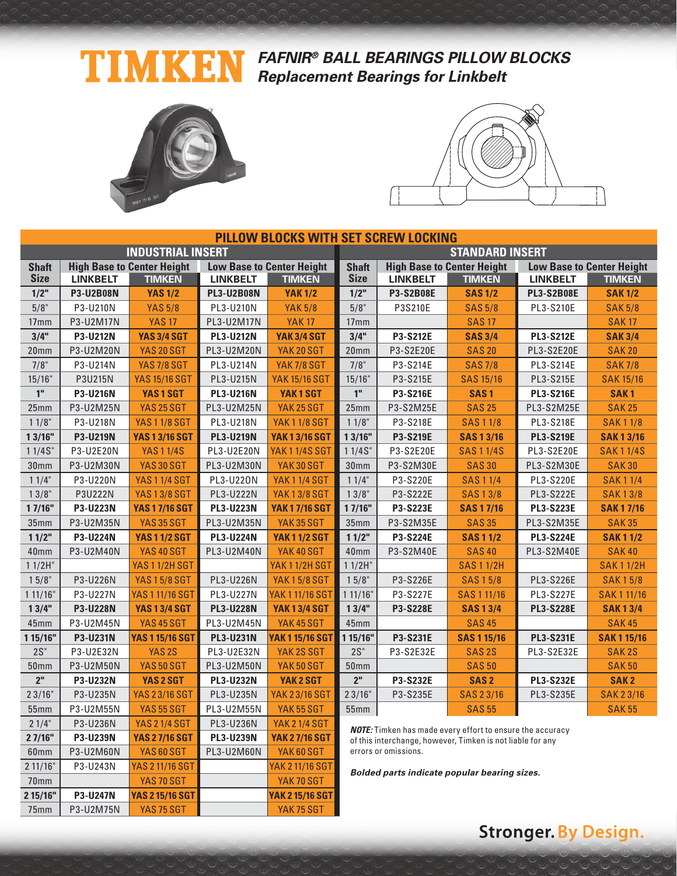### TIMKEN **FAFNIR® BALL BEARINGS PILLOW BLOCKS Replacement Bearings for Linkbelt**



75mm P3-U2M75N YAS 75 SGT YAK 75 SGT



| <b>PILLOW BLOCKS WITH SET SCREW LOCKING</b> |                  |                                   |                   |                                  |                        |                                                                                                                                |                    |                                  |                  |  |
|---------------------------------------------|------------------|-----------------------------------|-------------------|----------------------------------|------------------------|--------------------------------------------------------------------------------------------------------------------------------|--------------------|----------------------------------|------------------|--|
|                                             |                  | <b>INDUSTRIAL INSERT</b>          |                   |                                  | <b>STANDARD INSERT</b> |                                                                                                                                |                    |                                  |                  |  |
| <b>Shaft</b>                                |                  | <b>High Base to Center Height</b> |                   | <b>Low Base to Center Height</b> | <b>Shaft</b>           | <b>High Base to Center Height</b>                                                                                              |                    | <b>Low Base to Center Height</b> |                  |  |
| <b>Size</b>                                 | <b>LINKBELT</b>  | <b>TIMKEN</b>                     | <b>LINKBELT</b>   | <b>TIMKEN</b>                    | <b>Size</b>            | <b>LINKBELT</b>                                                                                                                | <b>TIMKEN</b>      | <b>LINKBELT</b>                  | <b>TIMKEN</b>    |  |
| 1/2"                                        | <b>P3-U2B08N</b> | <b>YAS 1/2</b>                    | <b>PL3-U2B08N</b> | <b>YAK 1/2</b>                   | 1/2"                   | P3-S2B08E                                                                                                                      | <b>SAS 1/2</b>     | <b>PL3-S2B08E</b>                | <b>SAK 1/2</b>   |  |
| 5/8"                                        | P3-U210N         | <b>YAS 5/8</b>                    | PL3-U210N         | <b>YAK 5/8</b>                   | 5/8"                   | P3S210E                                                                                                                        | <b>SAS 5/8</b>     | PL3-S210E                        | <b>SAK 5/8</b>   |  |
| 17 <sub>mm</sub>                            | P3-U2M17N        | <b>YAS 17</b>                     | PL3-U2M17N        | <b>YAK17</b>                     | 17 <sub>mm</sub>       |                                                                                                                                | <b>SAS 17</b>      |                                  | <b>SAK17</b>     |  |
| 3/4"                                        | P3-U212N         | <b>YAS 3/4 SGT</b>                | <b>PL3-U212N</b>  | <b>YAK 3/4 SGT</b>               | 3/4"                   | P3-S212E                                                                                                                       | <b>SAS 3/4</b>     | <b>PL3-S212E</b>                 | <b>SAK 3/4</b>   |  |
| 20mm                                        | P3-U2M20N        | <b>YAS 20 SGT</b>                 | PL3-U2M20N        | YAK 20 SGT                       | 20 <sub>mm</sub>       | P3-S2E20E                                                                                                                      | <b>SAS 20</b>      | PL3-S2E20E                       | <b>SAK 20</b>    |  |
| 7/8"                                        | P3-U214N         | <b>YAS 7/8 SGT</b>                | PL3-U214N         | <b>YAK 7/8 SGT</b>               | 7/8"                   | P3-S214E                                                                                                                       | <b>SAS 7/8</b>     | PL3-S214E                        | <b>SAK7/8</b>    |  |
| 15/16"                                      | P3U215N          | <b>YAS 15/16 SGT</b>              | PL3-U215N         | <b>YAK 15/16 SGT</b>             | 15/16"                 | P3-S215E                                                                                                                       | <b>SAS 15/16</b>   | PL3-S215E                        | <b>SAK 15/16</b> |  |
| 1 <sup>''</sup>                             | P3-U216N         | YAS1SGT                           | <b>PL3-U216N</b>  | YAK1SGT                          | $10$                   | P3-S216E                                                                                                                       | SAS <sub>1</sub>   | <b>PL3-S216E</b>                 | SAK <sub>1</sub> |  |
| 25mm                                        | P3-U2M25N        | <b>YAS 25 SGT</b>                 | PL3-U2M25N        | YAK 25 SGT                       | 25mm                   | P3-S2M25E                                                                                                                      | <b>SAS 25</b>      | PL3-S2M25E                       | <b>SAK 25</b>    |  |
| 11/8"                                       | P3-U218N         | <b>YAS 1 1/8 SGT</b>              | PL3-U218N         | <b>YAK11/8 SGT</b>               | 11/8"                  | P3-S218E                                                                                                                       | <b>SAS11/8</b>     | PL3-S218E                        | <b>SAK11/8</b>   |  |
| 13/16"                                      | P3-U219N         | <b>YAS 1 3/16 SGT</b>             | <b>PL3-U219N</b>  | <b>YAK 1 3/16 SGT</b>            | 13/16"                 | P3-S219E                                                                                                                       | <b>SAS 1 3/16</b>  | <b>PL3-S219E</b>                 | <b>SAK13/16</b>  |  |
| 11/4S''                                     | P3-U2E20N        | <b>YAS 1 1/4S</b>                 | PL3-U2E20N        | <b>YAK 1 1/4S SGT</b>            | 11/4S''                | P3-S2E20E                                                                                                                      | <b>SAS11/4S</b>    | PL3-S2E20E                       | <b>SAK11/4S</b>  |  |
| 30 <sub>mm</sub>                            | P3-U2M30N        | <b>YAS 30 SGT</b>                 | PL3-U2M30N        | YAK30 SGT                        | 30 <sub>mm</sub>       | P3-S2M30E                                                                                                                      | <b>SAS 30</b>      | PL3-S2M30E                       | <b>SAK30</b>     |  |
| 11/4"                                       | P3-U220N         | <b>YAS 1 1/4 SGT</b>              | PL3-U220N         | <b>YAK11/4 SGT</b>               | 11/4"                  | P3-S220E                                                                                                                       | <b>SAS 1 1/4</b>   | PL3-S220E                        | <b>SAK11/4</b>   |  |
| 13/8"                                       | P3U222N          | <b>YAS 13/8 SGT</b>               | PL3-U222N         | <b>YAK13/8 SGT</b>               | 13/8"                  | P3-S222E                                                                                                                       | <b>SAS13/8</b>     | PL3-S222E                        | <b>SAK13/8</b>   |  |
| 1 7/16"                                     | P3-U223N         | <b>YAS 1 7/16 SGT</b>             | <b>PL3-U223N</b>  | <b>YAK 1 7/16 SGT</b>            | 17/16"                 | P3-S223E                                                                                                                       | <b>SAS 1 7/16</b>  | <b>PL3-S223E</b>                 | <b>SAK17/16</b>  |  |
| 35mm                                        | P3-U2M35N        | <b>YAS 35 SGT</b>                 | PL3-U2M35N        | YAK35 SGT                        | 35mm                   | P3-S2M35E                                                                                                                      | <b>SAS 35</b>      | PL3-S2M35E                       | <b>SAK35</b>     |  |
| 11/2"                                       | P3-U224N         | <b>YAS 11/2 SGT</b>               | <b>PL3-U224N</b>  | <b>YAK 11/2 SGT</b>              | 11/2"                  | P3-S224E                                                                                                                       | <b>SAS 1 1/2</b>   | <b>PL3-S224E</b>                 | <b>SAK11/2</b>   |  |
| 40 <sub>mm</sub>                            | P3-U2M40N        | <b>YAS 40 SGT</b>                 | PL3-U2M40N        | YAK 40 SGT                       | 40mm                   | P3-S2M40E                                                                                                                      | <b>SAS40</b>       | PL3-S2M40E                       | <b>SAK40</b>     |  |
| $11/2H$ "                                   |                  | <b>YAS 1 1/2H SGT</b>             |                   | <b>YAK 1 1/2H SGT</b>            | $11/2H$ "              |                                                                                                                                | <b>SAS 1 1/2H</b>  |                                  | <b>SAK11/2H</b>  |  |
| 15/8"                                       | P3-U226N         | <b>YAS 15/8 SGT</b>               | PL3-U226N         | <b>YAK15/8SGT</b>                | $15/8$ "               | P3-S226E                                                                                                                       | <b>SAS 15/8</b>    | PL3-S226E                        | <b>SAK15/8</b>   |  |
| 111/16"                                     | P3-U227N         | <b>YAS 1 11/16 SGT</b>            | PL3-U227N         | <b>YAK 1 11/16 SGT</b>           | 111/16"                | P3-S227E                                                                                                                       | SAS 1 11/16        | PL3-S227E                        | <b>SAK111/16</b> |  |
| 13/4"                                       | P3-U228N         | <b>YAS 1 3/4 SGT</b>              | <b>PL3-U228N</b>  | <b>YAK 1 3/4 SGT</b>             | 13/4"                  | <b>P3-S228E</b>                                                                                                                | <b>SAS 1 3/4</b>   | <b>PL3-S228E</b>                 | <b>SAK13/4</b>   |  |
| 45mm                                        | P3-U2M45N        | YAS 45 SGT                        | PL3-U2M45N        | YAK 45 SGT                       | 45 <sub>mm</sub>       |                                                                                                                                | <b>SAS 45</b>      |                                  | <b>SAK45</b>     |  |
| 1 15/16"                                    | P3-U231N         | <b>YAS 1 15/16 SGT</b>            | <b>PL3-U231N</b>  | <b>YAK 1 15/16 SGT</b>           | 1 15/16"               | P3-S231E                                                                                                                       | <b>SAS 1 15/16</b> | <b>PL3-S231E</b>                 | <b>SAK115/16</b> |  |
| $2S$ "                                      | P3-U2E32N        | YAS <sub>2S</sub>                 | PL3-U2E32N        | YAK 2S SGT                       | $2S$ "                 | P3-S2E32E                                                                                                                      | SAS <sub>2S</sub>  | PL3-S2E32E                       | <b>SAK2S</b>     |  |
| <b>50mm</b>                                 | P3-U2M50N        | <b>YAS 50 SGT</b>                 | PL3-U2M50N        | YAK 50 SGT                       | <b>50mm</b>            |                                                                                                                                | <b>SAS 50</b>      |                                  | <b>SAK 50</b>    |  |
| 2 <sup>''</sup>                             | P3-U232N         | YAS 2 SGT                         | <b>PL3-U232N</b>  | YAK 2 SGT                        | 2 <sup>''</sup>        | P3-S232E                                                                                                                       | SAS <sub>2</sub>   | <b>PL3-S232E</b>                 | <b>SAK2</b>      |  |
| 23/16"                                      | P3-U235N         | <b>YAS 23/16 SGT</b>              | PL3-U235N         | <b>YAK 23/16 SGT</b>             | 23/16"                 | P3-S235E                                                                                                                       | SAS 23/16          | PL3-S235E                        | <b>SAK 23/16</b> |  |
| <b>55mm</b>                                 | P3-U2M55N        | <b>YAS 55 SGT</b>                 | PL3-U2M55N        | YAK 55 SGT                       | 55mm                   |                                                                                                                                | <b>SAS 55</b>      |                                  | <b>SAK 55</b>    |  |
| 21/4"                                       | P3-U236N         | <b>YAS 2 1/4 SGT</b>              | PL3-U236N         | <b>YAK 21/4 SGT</b>              |                        |                                                                                                                                |                    |                                  |                  |  |
| 2 7/16"                                     | P3-U239N         | <b>YAS 2 7/16 SGT</b>             | <b>PL3-U239N</b>  | <b>YAK 27/16 SGT</b>             |                        | <b>NOTE:</b> Timken has made every effort to ensure the accuracy<br>of this interchange, however, Timken is not liable for any |                    |                                  |                  |  |
| 60mm                                        | P3-U2M60N        | YAS 60 SGT                        | PL3-U2M60N        | YAK 60 SGT                       |                        | errors or omissions.                                                                                                           |                    |                                  |                  |  |
| 211/16"                                     | P3-U243N         | <b>YAS 2 11/16 SGT</b>            |                   | <b>YAK 2 11/16 SGT</b>           |                        | Bolded parts indicate popular bearing sizes.                                                                                   |                    |                                  |                  |  |
| 70mm                                        |                  | YAS 70 SGT                        |                   | YAK 70 SGT                       |                        |                                                                                                                                |                    |                                  |                  |  |
| 2 15/16"                                    | P3-U247N         | <b>YAS 2 15/16 SGT</b>            |                   | <b>YAK 215/16 SGTI</b>           |                        |                                                                                                                                |                    |                                  |                  |  |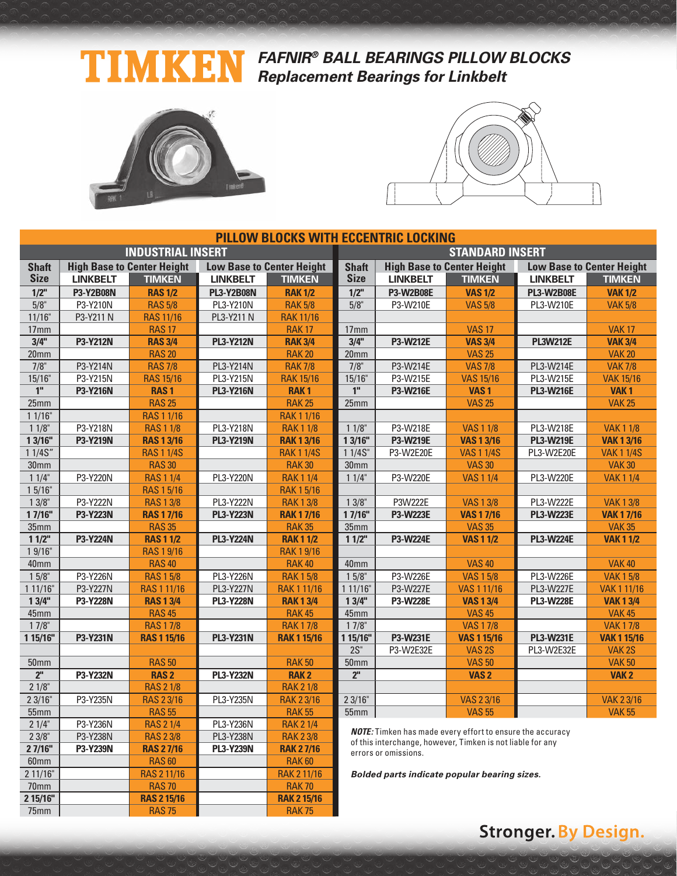### TIMKEN **FAFNIR® BALL BEARINGS PILLOW BLOCKS Replacement Bearings for Linkbelt**



**2 15/16" RAS 2 15/16 RAK 2 15/16** 75mm | RAS 75 | RAK 75



| <b>PILLOW BLOCKS WITH ECCENTRIC LOCKING</b>                                                                                                |                                                                           |  |  |  |  |  |
|--------------------------------------------------------------------------------------------------------------------------------------------|---------------------------------------------------------------------------|--|--|--|--|--|
| <b>INDUSTRIAL INSERT</b>                                                                                                                   | <b>STANDARD INSERT</b>                                                    |  |  |  |  |  |
| <b>High Base to Center Height</b><br><b>Low Base to Center Height</b><br><b>High Base to Center Height</b><br><b>Shaft</b><br><b>Shaft</b> | <b>Low Base to Center Height</b>                                          |  |  |  |  |  |
| <b>Size</b><br><b>Size</b><br><b>LINKBELT</b><br><b>TIMKEN</b><br><b>LINKBELT</b><br><b>TIMKEN</b><br><b>LINKBELT</b><br><b>TIMKEN</b>     | <b>LINKBELT</b><br><b>TIMKEN</b>                                          |  |  |  |  |  |
| $1/2$ "<br><b>RAS 1/2</b><br>$1/2$ "<br><b>P3-W2B08E</b><br><b>P3-Y2B08N</b><br><b>PL3-Y2B08N</b><br><b>RAK 1/2</b>                        | <b>VAS 1/2</b><br><b>PL3-W2B08E</b><br><b>VAK 1/2</b>                     |  |  |  |  |  |
| 5/8"<br>P3-Y210N<br><b>RAS 5/8</b><br>PL3-Y210N<br>5/8"<br>P3-W210E<br><b>RAK 5/8</b><br><b>VAS 5/8</b>                                    | PL3-W210E<br><b>VAK 5/8</b>                                               |  |  |  |  |  |
| 11/16"<br>P3-Y211 N<br><b>RAS 11/16</b><br><b>RAK 11/16</b><br>PL3-Y211 N                                                                  |                                                                           |  |  |  |  |  |
| <b>RAS 17</b><br><b>VAS 17</b><br>17mm<br><b>RAK17</b><br>17mm                                                                             | <b>VAK17</b>                                                              |  |  |  |  |  |
| 3/4"<br>3/4"<br>P3-Y212N<br><b>RAS 3/4</b><br><b>PL3-Y212N</b><br>P3-W212E<br><b>VAS 3/4</b><br><b>RAK 3/4</b>                             | <b>PL3W212E</b><br><b>VAK 3/4</b>                                         |  |  |  |  |  |
| <b>RAS 20</b><br><b>RAK 20</b><br>20 <sub>mm</sub><br>20mm                                                                                 | <b>VAS 25</b><br><b>VAK 20</b>                                            |  |  |  |  |  |
| 7/8"<br>P3-Y214N<br>$7/8$ "<br><b>RAS 7/8</b><br>PL3-Y214N<br><b>RAK 7/8</b><br>P3-W214E                                                   | <b>VAS 7/8</b><br>PL3-W214E<br><b>VAK 7/8</b>                             |  |  |  |  |  |
| P3-Y215N<br><b>RAS 15/16</b><br>PL3-Y215N<br>15/16"<br>P3-W215E<br>15/16"<br><b>RAK 15/16</b>                                              | <b>VAS 15/16</b><br>PL3-W215E<br><b>VAK 15/16</b>                         |  |  |  |  |  |
| 1 <sup>II</sup><br>1 <sup>II</sup><br>P3-Y216N<br><b>RAS1</b><br><b>PL3-Y216N</b><br>P3-W216E<br>VAS <sub>1</sub><br><b>RAK1</b>           | <b>PL3-W216E</b><br>VAK <sub>1</sub>                                      |  |  |  |  |  |
| 25mm<br><b>RAS 25</b><br><b>RAK 25</b><br>25mm                                                                                             | <b>VAS 25</b><br><b>VAK 25</b>                                            |  |  |  |  |  |
| $11/16$ "<br><b>RAK 1 1/16</b><br><b>RAS 1 1/16</b>                                                                                        |                                                                           |  |  |  |  |  |
| P3-Y218N<br><b>RAS 1 1/8</b><br>PL3-Y218N<br>P3-W218E<br>$11/8$ "<br><b>RAK 1 1/8</b><br>$11/8$ "                                          | <b>VAS 1 1/8</b><br>PL3-W218E<br><b>VAK 1 1/8</b>                         |  |  |  |  |  |
| 13/16"<br>P3-Y219N<br><b>RAS 1 3/16</b><br><b>PL3-Y219N</b><br>13/16"<br>P3-W219E<br><b>RAK 1 3/16</b>                                     | <b>VAS 1 3/16</b><br><b>PL3-W219E</b><br><b>VAK 1 3/16</b>                |  |  |  |  |  |
| 1 1/4S"<br><b>RAS 1 1/4S</b><br>11/4S''<br><b>VAS 1 1/4S</b><br><b>RAK 1 1/4S</b><br>P3-W2E20E                                             | <b>VAK 1 1/4S</b><br>PL3-W2E20E                                           |  |  |  |  |  |
| 30 <sub>mm</sub><br>30 <sub>mm</sub><br><b>RAS 30</b><br><b>RAK 30</b>                                                                     | <b>VAS 30</b><br><b>VAK 30</b>                                            |  |  |  |  |  |
| P3-Y220N<br>11/4"<br><b>RAS 1 1/4</b><br>PL3-Y220N<br><b>RAK 1 1/4</b><br>11/4"<br>P3-W220E                                                | <b>VAS 1 1/4</b><br>PL3-W220E<br><b>VAK11/4</b>                           |  |  |  |  |  |
| 15/16"<br><b>RAS 1 5/16</b><br><b>RAK 1 5/16</b>                                                                                           |                                                                           |  |  |  |  |  |
| $13/8$ "<br>P3-Y222N<br><b>RAS 13/8</b><br>PL3-Y222N<br><b>RAK13/8</b><br>$13/8$ "<br>P3W222E                                              | <b>VAS 13/8</b><br><b>VAK13/8</b><br>PL3-W222E                            |  |  |  |  |  |
| 17/16"<br>P3-Y223N<br><b>PL3-Y223N</b><br>17/16"<br><b>RAS 1 7/16</b><br><b>RAK 17/16</b><br>P3-W223E                                      | <b>VAS 17/16</b><br><b>PL3-W223E</b><br><b>VAK 17/16</b>                  |  |  |  |  |  |
| <b>RAS 35</b><br><b>RAK 35</b><br>35mm<br>35mm                                                                                             | <b>VAS 35</b><br><b>VAK 35</b>                                            |  |  |  |  |  |
| $11/2$ "<br><b>P3-Y224N</b><br><b>PL3-Y224N</b><br><b>RAK11/2</b><br>11/2<br><b>RAS 1 1/2</b><br>P3-W224E                                  | <b>VAS 11/2</b><br><b>PL3-W224E</b><br><b>VAK11/2</b>                     |  |  |  |  |  |
| 1 9/16"<br><b>RAS 1 9/16</b><br><b>RAK 1 9/16</b>                                                                                          |                                                                           |  |  |  |  |  |
| <b>RAS 40</b><br><b>RAK 40</b><br>40mm<br>40mm                                                                                             | <b>VAS 40</b><br><b>VAK 40</b>                                            |  |  |  |  |  |
| $15/8$ "<br>P3-Y226N<br>PL3-Y226N<br><b>RAK 15/8</b><br>$15/8$ "<br>P3-W226E<br><b>RAS 15/8</b>                                            | <b>VAS 15/8</b><br>PL3-W226E<br><b>VAK 15/8</b>                           |  |  |  |  |  |
| P3-Y227N<br>RAS 1 11/16<br><b>PL3-Y227N</b><br>RAK 1 11/16<br>P3-W227E<br>1 11/16"<br>111/16"                                              | VAS 1 11/16<br>PL3-W227E<br><b>VAK 1 11/16</b>                            |  |  |  |  |  |
| 13/4"<br>P3-Y228N<br><b>PL3-Y228N</b><br>13/4"<br>P3-W228E<br><b>RAS 1 3/4</b><br><b>RAK13/4</b><br><b>RAS 45</b><br>45mm                  | <b>PL3-W228E</b><br><b>VAS 1 3/4</b><br><b>VAK 1 3/4</b><br><b>VAS 45</b> |  |  |  |  |  |
| <b>RAK 45</b><br>45mm<br>$17/8$ "<br>$17/8$ "<br><b>VAS 17/8</b><br><b>RAS 17/8</b><br><b>RAK17/8</b>                                      | <b>VAK 45</b><br><b>VAK17/8</b>                                           |  |  |  |  |  |
| 1 15/16"<br>P3-Y231N<br><b>RAS 1 15/16</b><br><b>PL3-Y231N</b><br><b>RAK 1 15/16</b><br>1 15/16"<br>P3-W231E                               | <b>VAS 1 15/16</b><br><b>PL3-W231E</b><br><b>VAK 1 15/16</b>              |  |  |  |  |  |
| $2S$ "<br>P3-W2E32E                                                                                                                        | VAS <sub>2S</sub><br>PL3-W2E32E<br>VAK <sub>2S</sub>                      |  |  |  |  |  |
| <b>RAS 50</b><br><b>RAK 50</b><br><b>50mm</b><br>50 <sub>mm</sub>                                                                          | <b>VAS 50</b><br><b>VAK 50</b>                                            |  |  |  |  |  |
| $2n$<br>2 <sup>n</sup><br>P3-Y232N<br><b>RAS2</b><br><b>PL3-Y232N</b><br><b>RAK2</b>                                                       | VAS <sub>2</sub><br>VAK <sub>2</sub>                                      |  |  |  |  |  |
| $21/8$ "<br><b>RAS 2 1/8</b><br><b>RAK 2 1/8</b>                                                                                           |                                                                           |  |  |  |  |  |
| 23/16"<br>P3-Y235N<br><b>RAS 2 3/16</b><br>PL3-Y235N<br><b>RAK 2 3/16</b><br>23/16"                                                        | <b>VAS 2 3/16</b><br><b>VAK 2 3/16</b>                                    |  |  |  |  |  |
| <b>RAS 55</b><br><b>RAK 55</b><br>55mm<br>55mm                                                                                             | <b>VAS 55</b><br><b>VAK 55</b>                                            |  |  |  |  |  |
| P3-Y236N<br>PL3-Y236N<br>21/4"<br><b>RAS 2 1/4</b><br><b>RAK 2 1/4</b>                                                                     |                                                                           |  |  |  |  |  |
| <b>NOTE:</b> Timken has made every effort to ensure the accuracy                                                                           |                                                                           |  |  |  |  |  |
|                                                                                                                                            | of this interchange, however, Timken is not liable for any                |  |  |  |  |  |
| 23/8"<br>P3-Y238N<br><b>RAS 2 3/8</b><br>PL3-Y238N<br><b>RAK 23/8</b>                                                                      |                                                                           |  |  |  |  |  |
| 27/16"<br>P3-Y239N<br><b>RAS 27/16</b><br><b>PL3-Y239N</b><br><b>RAK 27/16</b><br>errors or omissions.                                     |                                                                           |  |  |  |  |  |
| <b>RAS 60</b><br><b>RAK 60</b><br>60mm<br>2 11/16"<br><b>RAK 2 11/16</b><br>RAS 2 11/16<br>Bolded parts indicate popular bearing sizes.    |                                                                           |  |  |  |  |  |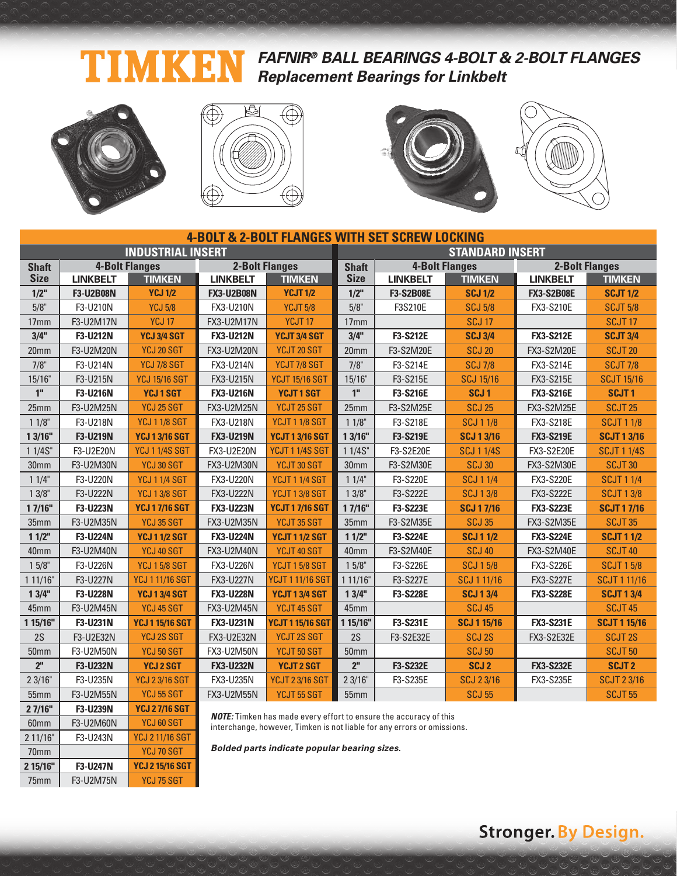#### **FAFNIR® BALL BEARINGS 4-BOLT & 2-BOLT FLANGES** T Ŋ KI **Replacement Bearings for Linkbelt**



60mm F3-U2M60N YCJ 60 SGT 2 11/16" F3-U243N YCJ 2 11/16 SGT 70mm | YCJ 70 SGT **2 15/16" F3-U247N YCJ 2 15/16 SGT** 75mm | F3-U2M75N | YCJ 75 SGT







| <b>4-BOLT &amp; 2-BOLT FLANGES WITH SET SCREW LOCKING</b> |                       |                          |                   |                         |                        |                       |                    |                   |                       |  |
|-----------------------------------------------------------|-----------------------|--------------------------|-------------------|-------------------------|------------------------|-----------------------|--------------------|-------------------|-----------------------|--|
|                                                           |                       | <b>INDUSTRIAL INSERT</b> |                   |                         | <b>STANDARD INSERT</b> |                       |                    |                   |                       |  |
| <b>Shaft</b>                                              | <b>4-Bolt Flanges</b> |                          |                   | <b>2-Bolt Flanges</b>   | <b>Shaft</b>           | <b>4-Bolt Flanges</b> |                    |                   | <b>2-Bolt Flanges</b> |  |
| <b>Size</b>                                               | <b>LINKBELT</b>       | <b>TIMKEN</b>            | <b>LINKBELT</b>   | <b>TIMKEN</b>           | <b>Size</b>            | <b>LINKBELT</b>       | <b>TIMKEN</b>      | <b>LINKBELT</b>   | <b>TIMKEN</b>         |  |
| $1/2$ "                                                   | F3-U2B08N             | <b>YCJ 1/2</b>           | <b>FX3-U2B08N</b> | <b>YCJT 1/2</b>         | $1/2$ "                | <b>F3-S2B08E</b>      | <b>SCJ 1/2</b>     | <b>FX3-S2B08E</b> | <b>SCJT 1/2</b>       |  |
| $5/8$ "                                                   | F3-U210N              | <b>YCJ 5/8</b>           | FX3-U210N         | <b>YCJT 5/8</b>         | 5/8"                   | F3S210E               | <b>SCJ 5/8</b>     | FX3-S210E         | <b>SCJT 5/8</b>       |  |
| 17mm                                                      | F3-U2M17N             | <b>YCJ 17</b>            | FX3-U2M17N        | YCJT <sub>17</sub>      | 17 <sub>mm</sub>       |                       | <b>SCJ 17</b>      |                   | SCJT <sub>17</sub>    |  |
| 3/4"                                                      | F3-U212N              | <b>YCJ 3/4 SGT</b>       | <b>FX3-U212N</b>  | YCJT 3/4 SGT            | 3/4"                   | F3-S212E              | <b>SCJ 3/4</b>     | <b>FX3-S212E</b>  | <b>SCJT 3/4</b>       |  |
| 20 <sub>mm</sub>                                          | F3-U2M20N             | YCJ 20 SGT               | <b>FX3-U2M20N</b> | YCJT 20 SGT             | 20 <sub>mm</sub>       | F3-S2M20E             | <b>SCJ 20</b>      | <b>FX3-S2M20E</b> | <b>SCJT 20</b>        |  |
| $7/8$ "                                                   | F3-U214N              | YCJ 7/8 SGT              | FX3-U214N         | YCJT 7/8 SGT            | $7/8$ "                | F3-S214E              | <b>SCJ 7/8</b>     | FX3-S214E         | <b>SCJT 7/8</b>       |  |
| 15/16"                                                    | F3-U215N              | <b>YCJ 15/16 SGT</b>     | FX3-U215N         | <b>YCJT 15/16 SGT</b>   | 15/16"                 | F3-S215E              | <b>SCJ 15/16</b>   | FX3-S215E         | <b>SCJT 15/16</b>     |  |
| 1 <sup>th</sup>                                           | F3-U216N              | <b>YCJ1SGT</b>           | <b>FX3-U216N</b>  | <b>YCJT1SGT</b>         | 1 <sup>''</sup>        | F3-S216E              | SCJ <sub>1</sub>   | <b>FX3-S216E</b>  | <b>SCJT1</b>          |  |
| 25mm                                                      | F3-U2M25N             | YCJ 25 SGT               | FX3-U2M25N        | YCJT 25 SGT             | 25 <sub>mm</sub>       | F3-S2M25E             | <b>SCJ 25</b>      | <b>FX3-S2M25E</b> | <b>SCJT 25</b>        |  |
| 11/8"                                                     | F3-U218N              | <b>YCJ 1 1/8 SGT</b>     | FX3-U218N         | <b>YCJT 11/8 SGT</b>    | $11/8$ "               | F3-S218E              | <b>SCJ 1 1/8</b>   | FX3-S218E         | <b>SCJT 1 1/8</b>     |  |
| 1 3/16"                                                   | F3-U219N              | <b>YCJ 1 3/16 SGT</b>    | <b>FX3-U219N</b>  | <b>YCJT 1 3/16 SGT</b>  | 13/16"                 | F3-S219E              | <b>SCJ 1 3/16</b>  | <b>FX3-S219E</b>  | <b>SCJT 1 3/16</b>    |  |
| 1 1/4S"                                                   | F3-U2E20N             | <b>YCJ 1 1/4S SGT</b>    | <b>FX3-U2E20N</b> | <b>YCJT 1 1/4S SGT</b>  | 11/4S''                | F3-S2E20E             | <b>SCJ 1 1/4S</b>  | <b>FX3-S2E20E</b> | <b>SCJT 1 1/4S</b>    |  |
| 30mm                                                      | F3-U2M30N             | YCJ 30 SGT               | FX3-U2M30N        | YCJT 30 SGT             | 30 <sub>mm</sub>       | F3-S2M30E             | <b>SCJ 30</b>      | FX3-S2M30E        | SCJT <sub>30</sub>    |  |
| 11/4"                                                     | F3-U220N              | <b>YCJ 1 1/4 SGT</b>     | FX3-U220N         | <b>YCJT 1 1/4 SGT</b>   | 11/4"                  | F3-S220E              | <b>SCJ 1 1/4</b>   | FX3-S220E         | <b>SCJT 1 1/4</b>     |  |
| 13/8"                                                     | F3-U222N              | <b>YCJ 1 3/8 SGT</b>     | <b>FX3-U222N</b>  | YCJT 13/8 SGT           | $13/8$ "               | F3-S222E              | <b>SCJ 13/8</b>    | <b>FX3-S222E</b>  | <b>SCJT 13/8</b>      |  |
| 17/16"                                                    | F3-U223N              | <b>YCJ 17/16 SGT</b>     | <b>FX3-U223N</b>  | <b>YCJT 17/16 SGT</b>   | 17/16"                 | F3-S223E              | <b>SCJ 17/16</b>   | <b>FX3-S223E</b>  | <b>SCJT 17/16</b>     |  |
| 35mm                                                      | F3-U2M35N             | YCJ 35 SGT               | FX3-U2M35N        | YCJT 35 SGT             | 35 <sub>mm</sub>       | F3-S2M35E             | <b>SCJ 35</b>      | FX3-S2M35E        | SCJT <sub>35</sub>    |  |
| 11/2"                                                     | F3-U224N              | <b>YCJ 11/2 SGT</b>      | <b>FX3-U224N</b>  | <b>YCJT 11/2 SGT</b>    | 11/2"                  | F3-S224E              | <b>SCJ 11/2</b>    | <b>FX3-S224E</b>  | <b>SCJT 1 1/2</b>     |  |
| 40mm                                                      | F3-U2M40N             | YCJ 40 SGT               | FX3-U2M40N        | YCJT 40 SGT             | 40mm                   | F3-S2M40E             | <b>SCJ 40</b>      | <b>FX3-S2M40E</b> | SCJT <sub>40</sub>    |  |
| 15/8"                                                     | F3-U226N              | <b>YCJ 15/8 SGT</b>      | FX3-U226N         | <b>YCJT 15/8 SGT</b>    | $15/8$ "               | F3-S226E              | <b>SCJ 15/8</b>    | FX3-S226E         | <b>SCJT 15/8</b>      |  |
| 1 11/16"                                                  | F3-U227N              | <b>YCJ 1 11/16 SGT</b>   | <b>FX3-U227N</b>  | <b>YCJT 1 11/16 SGT</b> | 111/16"                | F3-S227E              | SCJ 1 11/16        | <b>FX3-S227E</b>  | <b>SCJT 1 11/16</b>   |  |
| 13/4"                                                     | F3-U228N              | <b>YCJ 13/4 SGT</b>      | <b>FX3-U228N</b>  | <b>YCJT 1 3/4 SGT</b>   | 13/4"                  | F3-S228E              | <b>SCJ 13/4</b>    | <b>FX3-S228E</b>  | <b>SCJT 1 3/4</b>     |  |
| 45mm                                                      | F3-U2M45N             | YCJ 45 SGT               | <b>FX3-U2M45N</b> | YCJT 45 SGT             | 45mm                   |                       | <b>SCJ 45</b>      |                   | <b>SCJT 45</b>        |  |
| 1 15/16"                                                  | F3-U231N              | <b>YCJ 1 15/16 SGT</b>   | <b>FX3-U231N</b>  | <b>YCJT 1 15/16 SGT</b> | 1 15/16"               | F3-S231E              | <b>SCJ 1 15/16</b> | <b>FX3-S231E</b>  | <b>SCJT 1 15/16</b>   |  |
| 2S                                                        | F3-U2E32N             | YCJ 2S SGT               | FX3-U2E32N        | <b>YCJT 2S SGT</b>      | 2S                     | F3-S2E32E             | <b>SCJ2S</b>       | FX3-S2E32E        | <b>SCJT 2S</b>        |  |
| 50 <sub>mm</sub>                                          | F3-U2M50N             | YCJ 50 SGT               | FX3-U2M50N        | YCJT 50 SGT             | 50 <sub>mm</sub>       |                       | <b>SCJ 50</b>      |                   | <b>SCJT 50</b>        |  |
| 2 <sup>''</sup>                                           | F3-U232N              | <b>YCJ 2 SGT</b>         | <b>FX3-U232N</b>  | <b>YCJT 2 SGT</b>       | 2 <sup>II</sup>        | F3-S232E              | SCJ <sub>2</sub>   | <b>FX3-S232E</b>  | <b>SCJT2</b>          |  |
| 23/16"                                                    | F3-U235N              | <b>YCJ 23/16 SGT</b>     | FX3-U235N         | <b>YCJT 2 3/16 SGT</b>  | 23/16"                 | F3-S235E              | <b>SCJ 23/16</b>   | FX3-S235E         | <b>SCJT 2 3/16</b>    |  |
| 55mm                                                      | F3-U2M55N             | YCJ 55 SGT               | FX3-U2M55N        | YCJT 55 SGT             | 55mm                   |                       | <b>SCJ 55</b>      |                   | <b>SCJT 55</b>        |  |
| 27/16"                                                    | F3-U239N              | <b>YCJ 27/16 SGT</b>     |                   |                         |                        |                       |                    |                   |                       |  |

**NOTE:** Timken has made every effort to ensure the accuracy of this interchange, however, Timken is not liable for any errors or omissions.

**Bolded parts indicate popular bearing sizes.**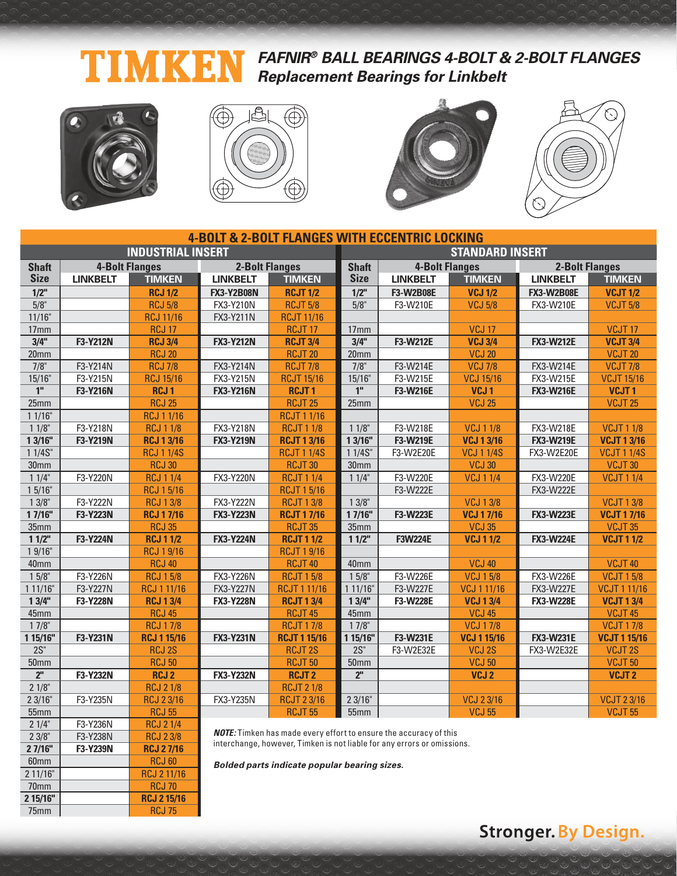### **FAFNIR® BALL BEARINGS 4-BOLT & 2-BOLT FLANGES** Ŋ **Replacement Bearings for Linkbelt**



60mm RCJ 60 2 11/16" RCJ 2 11/16 70mm RCJ 70<br>2 15/16" RCJ 2 15/1

75mm RCJ 75

**2 15/16" RCJ 2 15/16**







|                          |                       |                    |                       |                                                                          | <b>4-BOLT &amp; 2-BOLT FLANGES WITH ECCENTRIC LOCKING</b> |                        |                    |                       |                     |  |  |
|--------------------------|-----------------------|--------------------|-----------------------|--------------------------------------------------------------------------|-----------------------------------------------------------|------------------------|--------------------|-----------------------|---------------------|--|--|
| <b>INDUSTRIAL INSERT</b> |                       |                    |                       |                                                                          |                                                           | <b>STANDARD INSERT</b> |                    |                       |                     |  |  |
| <b>Shaft</b>             | <b>4-Bolt Flanges</b> |                    | <b>2-Bolt Flanges</b> |                                                                          | <b>Shaft</b>                                              | <b>4-Bolt Flanges</b>  |                    | <b>2-Bolt Flanges</b> |                     |  |  |
| <b>Size</b>              | <b>LINKBELT</b>       | <b>TIMKEN</b>      | <b>LINKBELT</b>       | <b>TIMKEN</b>                                                            | <b>Size</b>                                               | <b>LINKBELT</b>        | <b>TIMKEN</b>      | <b>LINKBELT</b>       | <b>TIMKEN</b>       |  |  |
| $1/2$ "                  |                       | <b>RCJ 1/2</b>     | <b>FX3-Y2B08N</b>     | <b>RCJT 1/2</b>                                                          | $1/2$ "                                                   | <b>F3-W2B08E</b>       | <b>VCJ 1/2</b>     | <b>FX3-W2B08E</b>     | <b>VCJT 1/2</b>     |  |  |
| $5/8$ "                  |                       | <b>RCJ 5/8</b>     | <b>FX3-Y210N</b>      | <b>RCJT 5/8</b>                                                          | 5/8"                                                      | F3-W210E               | <b>VCJ 5/8</b>     | FX3-W210E             | <b>VCJT 5/8</b>     |  |  |
| 11/16"                   |                       | <b>RCJ 11/16</b>   | FX3-Y211N             | <b>RCJT 11/16</b>                                                        |                                                           |                        |                    |                       |                     |  |  |
| 17 <sub>mm</sub>         |                       | <b>RCJ 17</b>      |                       | RCJT <sub>17</sub>                                                       | 17 <sub>mm</sub>                                          |                        | <b>VCJ 17</b>      |                       | VCJT <sub>17</sub>  |  |  |
| 3/4"                     | <b>F3-Y212N</b>       | <b>RCJ 3/4</b>     | <b>FX3-Y212N</b>      | <b>RCJT 3/4</b>                                                          | 3/4"                                                      | F3-W212E               | <b>VCJ 3/4</b>     | <b>FX3-W212E</b>      | <b>VCJT 3/4</b>     |  |  |
| 20 <sub>mm</sub>         |                       | <b>RCJ 20</b>      |                       | <b>RCJT 20</b>                                                           | 20 <sub>mm</sub>                                          |                        | <b>VCJ 20</b>      |                       | VCJT <sub>20</sub>  |  |  |
| 7/8"                     | F3-Y214N              | <b>RCJ 7/8</b>     | <b>FX3-Y214N</b>      | <b>RCJT 7/8</b>                                                          | $7/8$ "                                                   | F3-W214E               | <b>VCJ 7/8</b>     | FX3-W214E             | <b>VCJT 7/8</b>     |  |  |
| 15/16"                   | F3-Y215N              | <b>RCJ 15/16</b>   | <b>FX3-Y215N</b>      | <b>RCJT 15/16</b>                                                        | 15/16"                                                    | F3-W215E               | <b>VCJ 15/16</b>   | FX3-W215E             | <b>VCJT 15/16</b>   |  |  |
| 1 <sup>''</sup>          | F3-Y216N              | <b>RCJ1</b>        | <b>FX3-Y216N</b>      | <b>RCJT1</b>                                                             | 1 <sup>II</sup>                                           | F3-W216E               | VCJ <sub>1</sub>   | <b>FX3-W216E</b>      | VCJT <sub>1</sub>   |  |  |
| 25mm                     |                       | <b>RCJ 25</b>      |                       | <b>RCJT 25</b>                                                           | 25mm                                                      |                        | <b>VCJ 25</b>      |                       | <b>VCJT 25</b>      |  |  |
| 11/16"                   |                       | <b>RCJ 1 1/16</b>  |                       | <b>RCJT11/16</b>                                                         |                                                           |                        |                    |                       |                     |  |  |
| $11/8$ "                 | F3-Y218N              | <b>RCJ 1 1/8</b>   | <b>FX3-Y218N</b>      | <b>RCJT 1 1/8</b>                                                        | 11/8"                                                     | F3-W218E               | <b>VCJ 1 1/8</b>   | FX3-W218E             | <b>VCJT 1 1/8</b>   |  |  |
| 1 3/16"                  | F3-Y219N              | <b>RCJ 1 3/16</b>  | <b>FX3-Y219N</b>      | <b>RCJT 1 3/16</b>                                                       | 1 3/16"                                                   | F3-W219E               | <b>VCJ 1 3/16</b>  | <b>FX3-W219E</b>      | <b>VCJT 13/16</b>   |  |  |
| 11/4S''                  |                       | <b>RCJ 1 1/4S</b>  |                       | <b>RCJT 1 1/4S</b>                                                       | 11/4S''                                                   | F3-W2E20E              | <b>VCJ 1 1/4S</b>  | <b>FX3-W2E20E</b>     | <b>VCJT 1 1/4S</b>  |  |  |
| 30 <sub>mm</sub>         |                       | <b>RCJ 30</b>      |                       | <b>RCJT 30</b>                                                           | 30mm                                                      |                        | <b>VCJ 30</b>      |                       | VCJT30              |  |  |
| 11/4"                    | F3-Y220N              | <b>RCJ 1 1/4</b>   | FX3-Y220N             | <b>RCJT 1 1/4</b>                                                        | 11/4"                                                     | F3-W220E               | <b>VCJ 1 1/4</b>   | FX3-W220E             | <b>VCJT 1 1/4</b>   |  |  |
| 15/16"                   |                       | <b>RCJ 15/16</b>   |                       | <b>RCJT 1 5/16</b>                                                       |                                                           | F3-W222E               |                    | <b>FX3-W222E</b>      |                     |  |  |
| $13/8$ "                 | F3-Y222N              | <b>RCJ 13/8</b>    | <b>FX3-Y222N</b>      | <b>RCJT 13/8</b>                                                         | 13/8"                                                     |                        | <b>VCJ 13/8</b>    |                       | <b>VCJT13/8</b>     |  |  |
| 17/16"                   | F3-Y223N              | <b>RCJ 17/16</b>   | <b>FX3-Y223N</b>      | <b>RCJT 17/16</b>                                                        | 17/16"                                                    | F3-W223E               | <b>VCJ 17/16</b>   | <b>FX3-W223E</b>      | <b>VCJT 17/16</b>   |  |  |
| 35mm                     |                       | <b>RCJ 35</b>      |                       | <b>RCJT 35</b>                                                           | 35mm                                                      |                        | <b>VCJ 35</b>      |                       | VCJT35              |  |  |
| 11/2"                    | F3-Y224N              | <b>RCJ 1 1/2</b>   | <b>FX3-Y224N</b>      | <b>RCJT 1 1/2</b>                                                        | 11/2"                                                     | <b>F3W224E</b>         | <b>VCJ 11/2</b>    | <b>FX3-W224E</b>      | <b>VCJT 1 1/2</b>   |  |  |
| 19/16"                   |                       | <b>RCJ 19/16</b>   |                       | <b>RCJT19/16</b>                                                         |                                                           |                        |                    |                       |                     |  |  |
| 40mm                     |                       | <b>RCJ 40</b>      |                       | <b>RCJT 40</b>                                                           | 40mm                                                      |                        | <b>VCJ 40</b>      |                       | VCJT40              |  |  |
| $15/8$ "                 | F3-Y226N              | <b>RCJ 15/8</b>    | <b>FX3-Y226N</b>      | <b>RCJT 15/8</b>                                                         | 15/8"                                                     | F3-W226E               | <b>VCJ 15/8</b>    | FX3-W226E             | <b>VCJT 15/8</b>    |  |  |
| 1 11/16"                 | F3-Y227N              | <b>RCJ 1 11/16</b> | <b>FX3-Y227N</b>      | <b>RCJT 1 11/16</b>                                                      | 111/16                                                    | F3-W227E               | <b>VCJ 1 11/16</b> | <b>FX3-W227E</b>      | <b>VCJT111/16</b>   |  |  |
| 13/4"                    | F3-Y228N              | <b>RCJ 1 3/4</b>   | <b>FX3-Y228N</b>      | <b>RCJT 1 3/4</b>                                                        | 13/4"                                                     | F3-W228E               | <b>VCJ 13/4</b>    | <b>FX3-W228E</b>      | <b>VCJT 1 3/4</b>   |  |  |
| 45mm                     |                       | <b>RCJ 45</b>      |                       | RCJT <sub>45</sub>                                                       | 45mm                                                      |                        | <b>VCJ 45</b>      |                       | VCJT <sub>45</sub>  |  |  |
| $17/8$ "                 |                       | <b>RCJ 17/8</b>    |                       | <b>RCJT 17/8</b>                                                         | $17/8$ "                                                  |                        | <b>VCJ 17/8</b>    |                       | <b>VCJT 17/8</b>    |  |  |
| 1 15/16"                 | F3-Y231N              | <b>RCJ 1 15/16</b> | <b>FX3-Y231N</b>      | <b>RCJT 1 15/16</b>                                                      | 1 15/16"                                                  | F3-W231E               | <b>VCJ 1 15/16</b> | <b>FX3-W231E</b>      | <b>VCJT 1 15/16</b> |  |  |
| $2S$ "                   |                       | <b>RCJ 2S</b>      |                       | <b>RCJT2S</b>                                                            | $2S$ "                                                    | F3-W2E32E              | VCJ 2S             | FX3-W2E32E            | VCJT <sub>2S</sub>  |  |  |
| 50mm                     |                       | <b>RCJ 50</b>      |                       | <b>RCJT 50</b>                                                           | 50 <sub>mm</sub>                                          |                        | <b>VCJ 50</b>      |                       | <b>VCJT 50</b>      |  |  |
| 2 <sup>n</sup>           | F3-Y232N              | <b>RCJ2</b>        | <b>FX3-Y232N</b>      | <b>RCJT2</b>                                                             | 2 <sup>n</sup>                                            |                        | VCJ <sub>2</sub>   |                       | VCJT <sub>2</sub>   |  |  |
| 21/8"                    |                       | <b>RCJ 2 1/8</b>   |                       | <b>RCJT 2 1/8</b>                                                        |                                                           |                        |                    |                       |                     |  |  |
| 23/16"                   | F3-Y235N              | <b>RCJ 23/16</b>   | FX3-Y235N             | <b>RCJT 2 3/16</b>                                                       | 23/16"                                                    |                        | <b>VCJ 23/16</b>   |                       | <b>VCJT 23/16</b>   |  |  |
| 55mm                     |                       | <b>RCJ 55</b>      |                       | <b>RCJT 55</b>                                                           | 55mm                                                      |                        | <b>VCJ 55</b>      |                       | <b>VCJT 55</b>      |  |  |
| 21/4"                    | F3-Y236N              | <b>RCJ 21/4</b>    |                       | <b>NOTE:</b> Timken has made every effort to ensure the accuracy of this |                                                           |                        |                    |                       |                     |  |  |
| 23/8"                    | F3-Y238N              | <b>RCJ 23/8</b>    |                       |                                                                          |                                                           |                        |                    |                       |                     |  |  |
| 27/16"                   | F3-Y239N              | <b>RCJ 27/16</b>   |                       | interchange, however, Timken is not liable for any errors or omissions.  |                                                           |                        |                    |                       |                     |  |  |

interchange, however, Timken is not liable for any errors or omissions.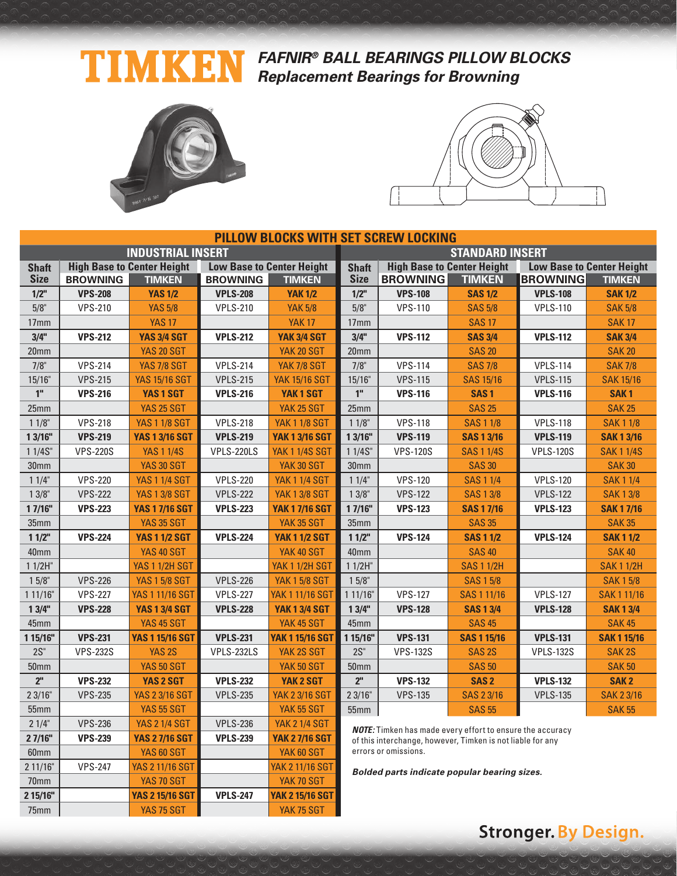### TIMKEN **FAFNIR® BALL BEARINGS PILLOW BLOCKS Replacement Bearings for Browning**



The Term YAS 75 SGT YAK 75 SGT



|                  |                 |                                   |                 |                                  | <b>PILLOW BLOCKS WITH SET SCREW LOCKING</b> |                                                                  |                    |                  |                                  |  |
|------------------|-----------------|-----------------------------------|-----------------|----------------------------------|---------------------------------------------|------------------------------------------------------------------|--------------------|------------------|----------------------------------|--|
|                  |                 | <b>INDUSTRIAL INSERT</b>          |                 |                                  | <b>STANDARD INSERT</b>                      |                                                                  |                    |                  |                                  |  |
| <b>Shaft</b>     |                 | <b>High Base to Center Height</b> |                 | <b>Low Base to Center Height</b> | <b>Shaft</b>                                | <b>High Base to Center Height</b>                                |                    |                  | <b>Low Base to Center Height</b> |  |
| <b>Size</b>      | <b>BROWNING</b> | <b>TIMKEN</b>                     | <b>BROWNING</b> | <b>TIMKEN</b>                    | <b>Size</b>                                 | <b>BROWNING</b>                                                  | <b>TIMKEN</b>      | <b>BROWNING</b>  | <b>TIMKEN</b>                    |  |
| $1/2$ "          | <b>VPS-208</b>  | <b>YAS 1/2</b>                    | <b>VPLS-208</b> | <b>YAK 1/2</b>                   | 1/2"                                        | <b>VPS-108</b>                                                   | <b>SAS 1/2</b>     | <b>VPLS-108</b>  | <b>SAK 1/2</b>                   |  |
| 5/8"             | <b>VPS-210</b>  | <b>YAS 5/8</b>                    | <b>VPLS-210</b> | <b>YAK 5/8</b>                   | 5/8"                                        | <b>VPS-110</b>                                                   | <b>SAS 5/8</b>     | <b>VPLS-110</b>  | <b>SAK 5/8</b>                   |  |
| 17 <sub>mm</sub> |                 | <b>YAS 17</b>                     |                 | <b>YAK 17</b>                    | 17 <sub>mm</sub>                            |                                                                  | <b>SAS 17</b>      |                  | <b>SAK17</b>                     |  |
| 3/4"             | <b>VPS-212</b>  | <b>YAS 3/4 SGT</b>                | <b>VPLS-212</b> | <b>YAK 3/4 SGT</b>               | 3/4"                                        | <b>VPS-112</b>                                                   | <b>SAS 3/4</b>     | <b>VPLS-112</b>  | <b>SAK 3/4</b>                   |  |
| 20 <sub>mm</sub> |                 | <b>YAS 20 SGT</b>                 |                 | <b>YAK 20 SGT</b>                | 20 <sub>mm</sub>                            |                                                                  | <b>SAS 20</b>      |                  | <b>SAK 20</b>                    |  |
| 7/8"             | <b>VPS-214</b>  | <b>YAS 7/8 SGT</b>                | <b>VPLS-214</b> | <b>YAK 7/8 SGT</b>               | $7/8$ "                                     | <b>VPS-114</b>                                                   | <b>SAS 7/8</b>     | <b>VPLS-114</b>  | <b>SAK 7/8</b>                   |  |
| 15/16"           | <b>VPS-215</b>  | <b>YAS 15/16 SGT</b>              | <b>VPLS-215</b> | <b>YAK 15/16 SGT</b>             | 15/16"                                      | <b>VPS-115</b>                                                   | <b>SAS 15/16</b>   | <b>VPLS-115</b>  | <b>SAK 15/16</b>                 |  |
| 1 <sup>''</sup>  | <b>VPS-216</b>  | YAS 1 SGT                         | <b>VPLS-216</b> | YAK <sub>1</sub> SGT             | 1 <sup>''</sup>                             | <b>VPS-116</b>                                                   | SAS <sub>1</sub>   | <b>VPLS-116</b>  | SAK <sub>1</sub>                 |  |
| 25mm             |                 | <b>YAS 25 SGT</b>                 |                 | YAK 25 SGT                       | 25mm                                        |                                                                  | <b>SAS 25</b>      |                  | <b>SAK 25</b>                    |  |
| $11/8$ "         | <b>VPS-218</b>  | <b>YAS 1 1/8 SGT</b>              | <b>VPLS-218</b> | <b>YAK 1 1/8 SGT</b>             | 11/8"                                       | <b>VPS-118</b>                                                   | <b>SAS 1 1/8</b>   | <b>VPLS-118</b>  | <b>SAK 1 1/8</b>                 |  |
| 13/16"           | <b>VPS-219</b>  | <b>YAS 1 3/16 SGT</b>             | <b>VPLS-219</b> | <b>YAK 1 3/16 SGT</b>            | 13/16"                                      | <b>VPS-119</b>                                                   | <b>SAS 1 3/16</b>  | <b>VPLS-119</b>  | <b>SAK 1 3/16</b>                |  |
| 1 1/4S"          | <b>VPS-220S</b> | <b>YAS 1 1/4S</b>                 | VPLS-220LS      | <b>YAK 1 1/4S SGT</b>            | 1 1/4S"                                     | <b>VPS-120S</b>                                                  | <b>SAS 1 1/4S</b>  | <b>VPLS-120S</b> | <b>SAK 1 1/4S</b>                |  |
| 30mm             |                 | <b>YAS 30 SGT</b>                 |                 | YAK 30 SGT                       | 30mm                                        |                                                                  | <b>SAS 30</b>      |                  | <b>SAK 30</b>                    |  |
| 11/4"            | <b>VPS-220</b>  | <b>YAS 1 1/4 SGT</b>              | <b>VPLS-220</b> | <b>YAK 1 1/4 SGT</b>             | 11/4"                                       | <b>VPS-120</b>                                                   | <b>SAS 1 1/4</b>   | <b>VPLS-120</b>  | <b>SAK11/4</b>                   |  |
| $13/8$ "         | <b>VPS-222</b>  | <b>YAS 1 3/8 SGT</b>              | <b>VPLS-222</b> | <b>YAK 1 3/8 SGT</b>             | $13/8$ "                                    | <b>VPS-122</b>                                                   | <b>SAS 13/8</b>    | <b>VPLS-122</b>  | <b>SAK13/8</b>                   |  |
| 17/16"           | <b>VPS-223</b>  | <b>YAS 1 7/16 SGT</b>             | <b>VPLS-223</b> | <b>YAK 1 7/16 SGT</b>            | 17/16"                                      | <b>VPS-123</b>                                                   | <b>SAS 1 7/16</b>  | <b>VPLS-123</b>  | <b>SAK 17/16</b>                 |  |
| 35 <sub>mm</sub> |                 | <b>YAS 35 SGT</b>                 |                 | YAK 35 SGT                       | 35mm                                        |                                                                  | <b>SAS 35</b>      |                  | <b>SAK 35</b>                    |  |
| $11/2$ "         | <b>VPS-224</b>  | <b>YAS 1 1/2 SGT</b>              | <b>VPLS-224</b> | <b>YAK 1 1/2 SGT</b>             | 11/2"                                       | <b>VPS-124</b>                                                   | <b>SAS 1 1/2</b>   | <b>VPLS-124</b>  | <b>SAK 1 1/2</b>                 |  |
| 40 <sub>mm</sub> |                 | YAS 40 SGT                        |                 | YAK 40 SGT                       | 40mm                                        |                                                                  | <b>SAS 40</b>      |                  | <b>SAK 40</b>                    |  |
| $11/2H$ "        |                 | <b>YAS 1 1/2H SGT</b>             |                 | <b>YAK 1 1/2H SGT</b>            | $11/2H$ "                                   |                                                                  | <b>SAS 1 1/2H</b>  |                  | <b>SAK 1 1/2H</b>                |  |
| $15/8$ "         | <b>VPS-226</b>  | <b>YAS 1 5/8 SGT</b>              | <b>VPLS-226</b> | <b>YAK 1 5/8 SGT</b>             | $15/8$ "                                    |                                                                  | <b>SAS 15/8</b>    |                  | <b>SAK 15/8</b>                  |  |
| 1 11/16"         | <b>VPS-227</b>  | <b>YAS 1 11/16 SGT</b>            | <b>VPLS-227</b> | <b>YAK 1 11/16 SGT</b>           | 111/16"                                     | <b>VPS-127</b>                                                   | SAS 1 11/16        | <b>VPLS-127</b>  | SAK 1 11/16                      |  |
| 13/4"            | <b>VPS-228</b>  | <b>YAS 1 3/4 SGT</b>              | <b>VPLS-228</b> | <b>YAK 1 3/4 SGT</b>             | 13/4"                                       | <b>VPS-128</b>                                                   | <b>SAS 1 3/4</b>   | <b>VPLS-128</b>  | <b>SAK13/4</b>                   |  |
| 45mm             |                 | YAS 45 SGT                        |                 | YAK 45 SGT                       | 45mm                                        |                                                                  | <b>SAS 45</b>      |                  | <b>SAK 45</b>                    |  |
| 1 15/16"         | <b>VPS-231</b>  | <b>YAS 1 15/16 SGT</b>            | <b>VPLS-231</b> | <b>YAK 1 15/16 SGT</b>           | 1 15/16"                                    | <b>VPS-131</b>                                                   | <b>SAS 1 15/16</b> | <b>VPLS-131</b>  | <b>SAK 1 15/16</b>               |  |
| $2S$ "           | <b>VPS-232S</b> | YAS <sub>2S</sub>                 | VPLS-232LS      | YAK 2S SGT                       | $2S$ "                                      | <b>VPS-132S</b>                                                  | SAS <sub>2S</sub>  | <b>VPLS-132S</b> | SAK <sub>2S</sub>                |  |
| <b>50mm</b>      |                 | <b>YAS 50 SGT</b>                 |                 | YAK 50 SGT                       | 50 <sub>mm</sub>                            |                                                                  | <b>SAS 50</b>      |                  | <b>SAK 50</b>                    |  |
| 2 <sup>''</sup>  | <b>VPS-232</b>  | YAS 2 SGT                         | <b>VPLS-232</b> | <b>YAK 2 SGT</b>                 | 2 <sup>II</sup>                             | <b>VPS-132</b>                                                   | SAS <sub>2</sub>   | <b>VPLS-132</b>  | SAK <sub>2</sub>                 |  |
| 23/16"           | <b>VPS-235</b>  | <b>YAS 2 3/16 SGT</b>             | <b>VPLS-235</b> | <b>YAK 2 3/16 SGT</b>            | 23/16"                                      | <b>VPS-135</b>                                                   | SAS 2 3/16         | <b>VPLS-135</b>  | <b>SAK 2 3/16</b>                |  |
| 55mm             |                 | <b>YAS 55 SGT</b>                 |                 | YAK 55 SGT                       | 55mm                                        |                                                                  | <b>SAS 55</b>      |                  | <b>SAK 55</b>                    |  |
| 21/4"            | <b>VPS-236</b>  | <b>YAS 2 1/4 SGT</b>              | <b>VPLS-236</b> | <b>YAK 2 1/4 SGT</b>             |                                             | <b>NOTE:</b> Timken has made every effort to ensure the accuracy |                    |                  |                                  |  |
| 2 7/16"          | <b>VPS-239</b>  | <b>YAS 2 7/16 SGT</b>             | <b>VPLS-239</b> | <b>YAK 2 7/16 SGT</b>            |                                             | of this interchange, however, Timken is not liable for any       |                    |                  |                                  |  |
| 60 <sub>mm</sub> |                 | <b>YAS 60 SGT</b>                 |                 | YAK 60 SGT                       |                                             | errors or omissions.                                             |                    |                  |                                  |  |
| 2 11/16"         | <b>VPS-247</b>  | <b>YAS 2 11/16 SGT</b>            |                 | <b>YAK 2 11/16 SGT</b>           |                                             | Bolded parts indicate popular bearing sizes.                     |                    |                  |                                  |  |
| 70mm             |                 | YAS 70 SGT                        |                 | YAK 70 SGT                       |                                             |                                                                  |                    |                  |                                  |  |
| 2 15/16"         |                 | <b>YAS 2 15/16 SGT</b>            | <b>VPLS-247</b> | YAK 2 15/16 SGT                  |                                             |                                                                  |                    |                  |                                  |  |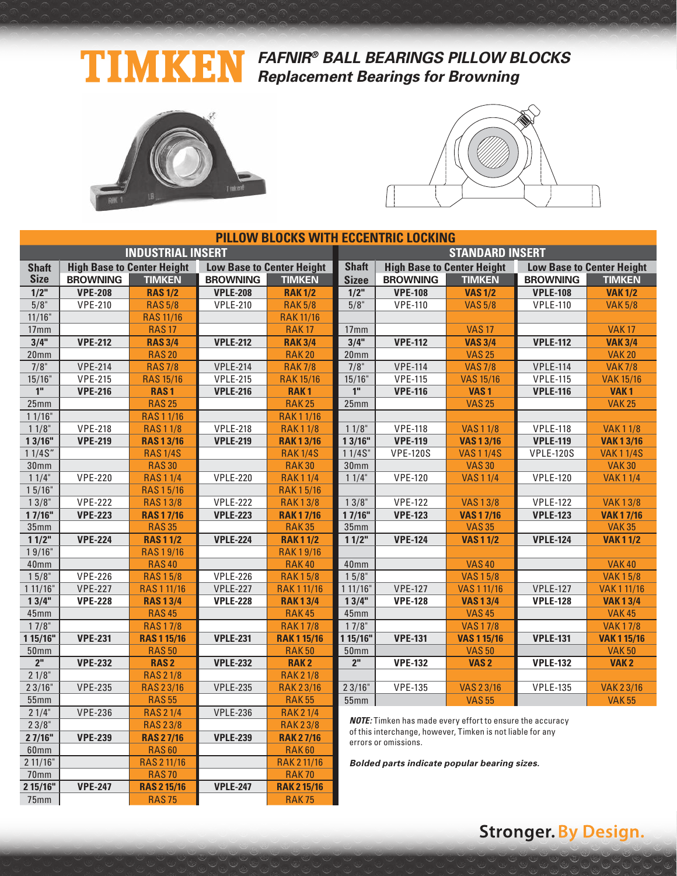### TIMKE **FAFNIR® BALL BEARINGS PILLOW BLOCKS Replacement Bearings for Browning**



2 11/16" RAS 2 11/16 RAK 2 11/16 70mm RAS 70 RAS 70 RAK 70<br>215/16" VPE-247 RAS 215/16 VPLE-247 RAK 215/16 **2 15/16" VPE-247 RAS 2 15/16 VPLE-247 RAK 2 15/16** 75mm RAS 75 RAS 75 RAK 75



|                              |                                   |                                  |                                  |                                  | <b>PILLOW BLOCKS WITH ECCENTRIC LOCKING</b> |                                                                       |                                                                  |                  |                                     |  |  |
|------------------------------|-----------------------------------|----------------------------------|----------------------------------|----------------------------------|---------------------------------------------|-----------------------------------------------------------------------|------------------------------------------------------------------|------------------|-------------------------------------|--|--|
| <b>INDUSTRIAL INSERT</b>     |                                   |                                  |                                  |                                  |                                             | <b>STANDARD INSERT</b>                                                |                                                                  |                  |                                     |  |  |
| <b>Shaft</b>                 | <b>High Base to Center Height</b> |                                  | <b>Low Base to Center Height</b> |                                  | <b>Shaft</b>                                | <b>High Base to Center Height</b><br><b>Low Base to Center Height</b> |                                                                  |                  |                                     |  |  |
| <b>Size</b>                  | <b>BROWNING</b>                   | <b>TIMKEN</b>                    | <b>BROWNING</b>                  | <b>TIMKEN</b>                    | <b>Sizee</b>                                | <b>BROWNING</b>                                                       | <b>TIMKEN</b>                                                    | <b>BROWNING</b>  | <b>TIMKEN</b>                       |  |  |
| $1/2$ "                      | <b>VPE-208</b>                    | <b>RAS 1/2</b>                   | <b>VPLE-208</b>                  | <b>RAK1/2</b>                    | $1/2$ "                                     | <b>VPE-108</b>                                                        | <b>VAS1/2</b>                                                    | <b>VPLE-108</b>  | <b>VAK1/2</b>                       |  |  |
| 5/8"                         | <b>VPE-210</b>                    | <b>RAS 5/8</b>                   | <b>VPLE-210</b>                  | <b>RAK 5/8</b>                   | 5/8"                                        | <b>VPE-110</b>                                                        | <b>VAS 5/8</b>                                                   | <b>VPLE-110</b>  | <b>VAK 5/8</b>                      |  |  |
| 11/16"                       |                                   | <b>RAS 11/16</b>                 |                                  | <b>RAK11/16</b>                  |                                             |                                                                       |                                                                  |                  |                                     |  |  |
| 17mm                         |                                   | <b>RAS17</b>                     |                                  | <b>RAK17</b>                     | 17mm                                        |                                                                       | <b>VAS17</b>                                                     |                  | <b>VAK17</b>                        |  |  |
| 3/4"                         | <b>VPE-212</b>                    | <b>RAS 3/4</b>                   | <b>VPLE-212</b>                  | <b>RAK 3/4</b>                   | 3/4"                                        | <b>VPE-112</b>                                                        | <b>VAS 3/4</b>                                                   | <b>VPLE-112</b>  | <b>VAK 3/4</b>                      |  |  |
| 20 <sub>mm</sub>             |                                   | <b>RAS 20</b>                    |                                  | <b>RAK20</b>                     | 20 <sub>mm</sub>                            |                                                                       | <b>VAS 25</b>                                                    |                  | <b>VAK 20</b>                       |  |  |
| 7/8"                         | <b>VPE-214</b>                    | <b>RAS7/8</b>                    | <b>VPLE-214</b>                  | <b>RAK7/8</b>                    | 7/8"                                        | <b>VPE-114</b>                                                        | <b>VAS7/8</b>                                                    | <b>VPLE-114</b>  | <b>VAK7/8</b>                       |  |  |
| 15/16"                       | <b>VPE-215</b>                    | <b>RAS 15/16</b>                 | <b>VPLE-215</b>                  | <b>RAK 15/16</b>                 | 15/16"                                      | <b>VPE-115</b>                                                        | <b>VAS 15/16</b>                                                 | <b>VPLE-115</b>  | <b>VAK 15/16</b>                    |  |  |
| $\overline{1}$               | <b>VPE-216</b>                    | <b>RAS1</b>                      | <b>VPLE-216</b>                  | <b>RAK1</b>                      | 1 <sup>ii</sup>                             | <b>VPE-116</b>                                                        | VAS <sub>1</sub>                                                 | <b>VPLE-116</b>  | VAK <sub>1</sub>                    |  |  |
| 25mm                         |                                   | <b>RAS 25</b>                    |                                  | <b>RAK25</b>                     | 25mm                                        |                                                                       | <b>VAS 25</b>                                                    |                  | <b>VAK 25</b>                       |  |  |
| 11/16"                       |                                   | <b>RAS11/16</b>                  |                                  | <b>RAK11/16</b>                  |                                             |                                                                       |                                                                  |                  |                                     |  |  |
| $11/8$ "                     | <b>VPE-218</b>                    | <b>RAS11/8</b>                   | <b>VPLE-218</b>                  | <b>RAK11/8</b>                   | 11/8"                                       | <b>VPE-118</b>                                                        | <b>VAS11/8</b>                                                   | <b>VPLE-118</b>  | <b>VAK11/8</b>                      |  |  |
| 13/16"                       | <b>VPE-219</b>                    | <b>RAS13/16</b>                  | <b>VPLE-219</b>                  | <b>RAK13/16</b>                  | 13/16"                                      | <b>VPE-119</b>                                                        | <b>VAS 13/16</b>                                                 | <b>VPLE-119</b>  | <b>VAK13/16</b>                     |  |  |
| 11/4S''                      |                                   | <b>RAS 1/4S</b>                  |                                  | <b>RAK1/4S</b>                   | 11/4S''                                     | <b>VPE-120S</b>                                                       | <b>VAS11/4S</b>                                                  | <b>VPLE-120S</b> | <b>VAK11/4S</b>                     |  |  |
| 30 <sub>mm</sub>             |                                   | <b>RAS 30</b>                    |                                  | <b>RAK30</b>                     | 30 <sub>mm</sub>                            |                                                                       | <b>VAS 30</b>                                                    |                  | <b>VAK30</b>                        |  |  |
| 11/4"                        | <b>VPE-220</b>                    | <b>RAS11/4</b>                   | <b>VPLE-220</b>                  | <b>RAK11/4</b>                   | 11/4"                                       | <b>VPE-120</b>                                                        | <b>VAS11/4</b>                                                   | <b>VPLE-120</b>  | <b>VAK11/4</b>                      |  |  |
| 15/16"                       |                                   | <b>RAS15/16</b>                  |                                  | <b>RAK15/16</b>                  |                                             |                                                                       |                                                                  |                  |                                     |  |  |
| 13/8"                        | <b>VPE-222</b>                    | <b>RAS13/8</b>                   | <b>VPLE-222</b>                  | <b>RAK13/8</b>                   | 13/8"                                       | <b>VPE-122</b>                                                        | <b>VAS13/8</b>                                                   | <b>VPLE-122</b>  | <b>VAK13/8</b>                      |  |  |
| 17/16"                       | <b>VPE-223</b>                    | <b>RAS17/16</b>                  | <b>VPLE-223</b>                  | <b>RAK17/16</b>                  | 17/16"                                      | <b>VPE-123</b>                                                        | <b>VAS 17/16</b>                                                 | <b>VPLE-123</b>  | <b>VAK17/16</b>                     |  |  |
| 35mm                         |                                   | <b>RAS 35</b>                    |                                  | <b>RAK35</b>                     | 35mm                                        |                                                                       | <b>VAS 35</b>                                                    |                  | <b>VAK35</b>                        |  |  |
| 11/2"                        | <b>VPE-224</b>                    | <b>RAS11/2</b>                   | <b>VPLE-224</b>                  | <b>RAK11/2</b>                   | 11/2"                                       | <b>VPE-124</b>                                                        | <b>VAS11/2</b>                                                   | <b>VPLE-124</b>  | <b>VAK11/2</b>                      |  |  |
| 19/16"                       |                                   | <b>RAS19/16</b>                  |                                  | <b>RAK19/16</b>                  |                                             |                                                                       |                                                                  |                  |                                     |  |  |
| 40mm                         |                                   | <b>RAS40</b>                     |                                  | <b>RAK40</b>                     | 40mm                                        |                                                                       | <b>VAS 40</b>                                                    |                  | <b>VAK40</b>                        |  |  |
| $15/8$ "                     | <b>VPE-226</b>                    | <b>RAS15/8</b>                   | <b>VPLE-226</b>                  | <b>RAK15/8</b>                   | $15/8$ "                                    |                                                                       | <b>VAS15/8</b>                                                   |                  | <b>VAK15/8</b>                      |  |  |
| 111/16"                      | <b>VPE-227</b>                    | RAS 1 11/16                      | <b>VPLE-227</b>                  | RAK 1 11/16                      | 111/16'                                     | <b>VPE-127</b>                                                        | VAS 1 11/16                                                      | <b>VPLE-127</b>  | <b>VAK111/16</b>                    |  |  |
| 13/4"                        | <b>VPE-228</b>                    | <b>RAS13/4</b>                   | <b>VPLE-228</b>                  | <b>RAK13/4</b>                   | 13/4"                                       | <b>VPE-128</b>                                                        | <b>VAS13/4</b>                                                   | <b>VPLE-128</b>  | <b>VAK13/4</b>                      |  |  |
| 45mm                         |                                   | <b>RAS45</b>                     |                                  | <b>RAK45</b>                     | 45mm                                        |                                                                       | <b>VAS 45</b>                                                    |                  | <b>VAK45</b>                        |  |  |
| $17/8$ "                     | <b>VPE-231</b>                    | <b>RAS17/8</b>                   | <b>VPLE-231</b>                  | <b>RAK17/8</b>                   | 17/8"                                       | <b>VPE-131</b>                                                        | <b>VAS17/8</b>                                                   | <b>VPLE-131</b>  | <b>VAK17/8</b>                      |  |  |
| 1 15/16"<br>50 <sub>mm</sub> |                                   | <b>RAS115/16</b><br><b>RAS50</b> |                                  | <b>RAK115/16</b><br><b>RAK50</b> | 1 15/16"<br><b>50mm</b>                     |                                                                       | <b>VAS 1 15/16</b><br><b>VAS 50</b>                              |                  | <b>VAK 1 15/16</b><br><b>VAK 50</b> |  |  |
| 2 <sup>II</sup>              | <b>VPE-232</b>                    | <b>RAS2</b>                      | <b>VPLE-232</b>                  | <b>RAK2</b>                      | 2 <sup>n</sup>                              | <b>VPE-132</b>                                                        | VAS <sub>2</sub>                                                 | <b>VPLE-132</b>  | VAK <sub>2</sub>                    |  |  |
| 21/8"                        |                                   | <b>RAS21/8</b>                   |                                  | <b>RAK21/8</b>                   |                                             |                                                                       |                                                                  |                  |                                     |  |  |
| 23/16"                       | <b>VPE-235</b>                    | <b>RAS 23/16</b>                 | <b>VPLE-235</b>                  | <b>RAK23/16</b>                  | 23/16"                                      | <b>VPE-135</b>                                                        | <b>VAS 23/16</b>                                                 | <b>VPLE-135</b>  | <b>VAK23/16</b>                     |  |  |
| 55mm                         |                                   | <b>RAS 55</b>                    |                                  | <b>RAK55</b>                     | 55mm                                        |                                                                       | <b>VAS 55</b>                                                    |                  | <b>VAK 55</b>                       |  |  |
| 21/4"                        | <b>VPE-236</b>                    | <b>RAS 21/4</b>                  | <b>VPLE-236</b>                  | <b>RAK21/4</b>                   |                                             |                                                                       |                                                                  |                  |                                     |  |  |
| 23/8"                        |                                   | <b>RAS 23/8</b>                  |                                  | <b>RAK23/8</b>                   |                                             |                                                                       | <b>NOTE:</b> Timken has made every effort to ensure the accuracy |                  |                                     |  |  |
| 27/16"                       | <b>VPE-239</b>                    | <b>RAS 27/16</b>                 | <b>VPLE-239</b>                  | <b>RAK 27/16</b>                 |                                             |                                                                       | of this interchange, however, Timken is not liable for any       |                  |                                     |  |  |
| 60mm                         |                                   | <b>RAS60</b>                     |                                  | <b>RAK60</b>                     |                                             | errors or omissions.                                                  |                                                                  |                  |                                     |  |  |
|                              |                                   |                                  |                                  |                                  |                                             |                                                                       |                                                                  |                  |                                     |  |  |

**Bolded parts indicate popular bearing sizes.**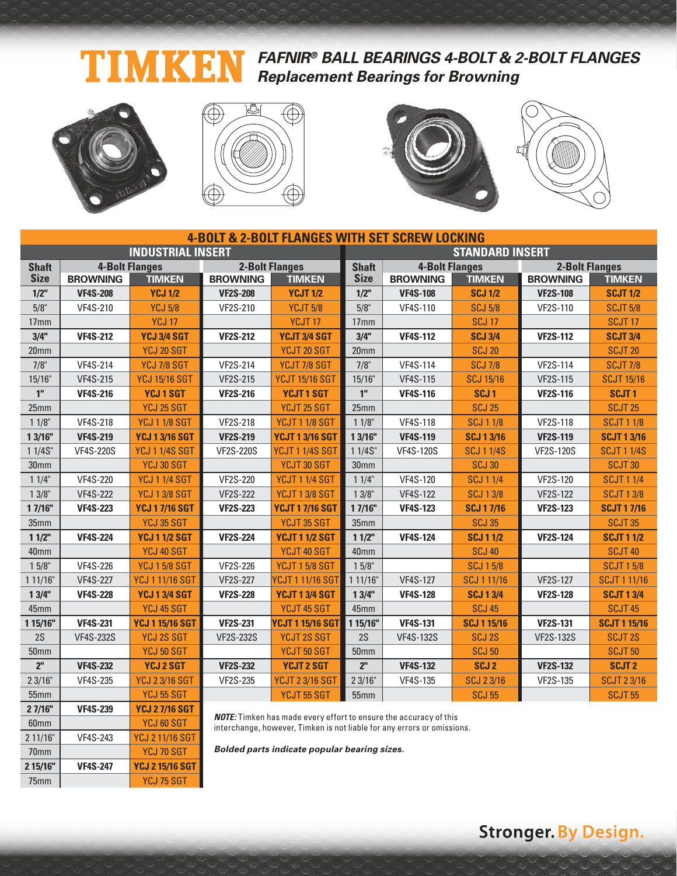#### **FAFNIR® BALL BEARINGS 4-BOLT & 2-BOLT FLANGES** T Ŋ KI Н **Replacement Bearings for Browning**



2 11/16" VF4S-243 YCJ 2 11/16 SGT 70mm VCJ 70 SGT **2 15/16" VF4S-247 YCJ 2 15/16 SGT** 75mm YCJ 75 SGT







|                  |                  |                          |                  |                                                                                                                                                     | <b>4-BOLT &amp; 2-BOLT FLANGES WITH SET SCREW LOCKING</b> |                       |                    |                       |                     |  |  |  |
|------------------|------------------|--------------------------|------------------|-----------------------------------------------------------------------------------------------------------------------------------------------------|-----------------------------------------------------------|-----------------------|--------------------|-----------------------|---------------------|--|--|--|
|                  |                  | <b>INDUSTRIAL INSERT</b> |                  |                                                                                                                                                     | <b>STANDARD INSERT</b>                                    |                       |                    |                       |                     |  |  |  |
| <b>Shaft</b>     |                  | <b>4-Bolt Flanges</b>    |                  | <b>2-Bolt Flanges</b>                                                                                                                               | <b>Shaft</b>                                              | <b>4-Bolt Flanges</b> |                    | <b>2-Bolt Flanges</b> |                     |  |  |  |
| <b>Size</b>      | <b>BROWNING</b>  | <b>TIMKEN</b>            | <b>BROWNING</b>  | <b>TIMKEN</b>                                                                                                                                       | <b>Size</b>                                               | <b>BROWNING</b>       | <b>TIMKEN</b>      | <b>BROWNING</b>       | <b>TIMKEN</b>       |  |  |  |
| $1/2$ "          | <b>VF4S-208</b>  | <b>YCJ 1/2</b>           | <b>VF2S-208</b>  | <b>YCJT 1/2</b>                                                                                                                                     | $1/2$ "                                                   | <b>VF4S-108</b>       | <b>SCJ1/2</b>      | <b>VF2S-108</b>       | <b>SCJT 1/2</b>     |  |  |  |
| 5/8"             | <b>VF4S-210</b>  | <b>YCJ 5/8</b>           | VF2S-210         | <b>YCJT 5/8</b>                                                                                                                                     | 5/8"                                                      | VF4S-110              | <b>SCJ 5/8</b>     | VF2S-110              | <b>SCJT 5/8</b>     |  |  |  |
| 17 <sub>mm</sub> |                  | <b>YCJ 17</b>            |                  | YCJT <sub>17</sub>                                                                                                                                  | 17 <sub>mm</sub>                                          |                       | <b>SCJ 17</b>      |                       | SCJT <sub>17</sub>  |  |  |  |
| 3/4"             | <b>VF4S-212</b>  | YCJ 3/4 SGT              | <b>VF2S-212</b>  | YCJT 3/4 SGT                                                                                                                                        | 3/4"                                                      | <b>VF4S-112</b>       | <b>SCJ 3/4</b>     | <b>VF2S-112</b>       | <b>SCJT 3/4</b>     |  |  |  |
| 20 <sub>mm</sub> |                  | YCJ 20 SGT               |                  | YCJT 20 SGT                                                                                                                                         | 20mm                                                      |                       | <b>SCJ 20</b>      |                       | <b>SCJT 20</b>      |  |  |  |
| $7/8$ "          | <b>VF4S-214</b>  | YCJ 7/8 SGT              | <b>VF2S-214</b>  | YCJT 7/8 SGT                                                                                                                                        | $7/8$ "                                                   | <b>VF4S-114</b>       | <b>SCJ 7/8</b>     | <b>VF2S-114</b>       | <b>SCJT 7/8</b>     |  |  |  |
| 15/16"           | <b>VF4S-215</b>  | <b>YCJ 15/16 SGT</b>     | <b>VF2S-215</b>  | <b>YCJT 15/16 SGT</b>                                                                                                                               | 15/16"                                                    | <b>VF4S-115</b>       | <b>SCJ 15/16</b>   | <b>VF2S-115</b>       | <b>SCJT 15/16</b>   |  |  |  |
| 1 <sup>''</sup>  | <b>VF4S-216</b>  | <b>YCJ1SGT</b>           | <b>VF2S-216</b>  | <b>YCJT1SGT</b>                                                                                                                                     | 1 <sup>''</sup>                                           | <b>VF4S-116</b>       | SCJ <sub>1</sub>   | <b>VF2S-116</b>       | SCJT <sub>1</sub>   |  |  |  |
| 25mm             |                  | YCJ 25 SGT               |                  | YCJT 25 SGT                                                                                                                                         | 25mm                                                      |                       | <b>SCJ 25</b>      |                       | <b>SCJT 25</b>      |  |  |  |
| $11/8$ "         | <b>VF4S-218</b>  | <b>YCJ 1 1/8 SGT</b>     | <b>VF2S-218</b>  | <b>YCJT 1 1/8 SGT</b>                                                                                                                               | $11/8$ "                                                  | <b>VF4S-118</b>       | <b>SCJ 1 1/8</b>   | <b>VF2S-118</b>       | <b>SCJT 1 1/8</b>   |  |  |  |
| 1 3/16"          | <b>VF4S-219</b>  | <b>YCJ 13/16 SGT</b>     | <b>VF2S-219</b>  | <b>YCJT 1 3/16 SGT</b>                                                                                                                              | 13/16"                                                    | <b>VF4S-119</b>       | <b>SCJ 13/16</b>   | <b>VF2S-119</b>       | <b>SCJT 1 3/16</b>  |  |  |  |
| 1 1/4S"          | <b>VF4S-220S</b> | <b>YCJ 1 1/4S SGT</b>    | <b>VF2S-220S</b> | <b>YCJT 1 1/4S SGT</b>                                                                                                                              | 11/4S''                                                   | <b>VF4S-120S</b>      | <b>SCJ 1 1/4S</b>  | <b>VF2S-120S</b>      | <b>SCJT 11/4S</b>   |  |  |  |
| 30mm             |                  | YCJ 30 SGT               |                  | YCJT 30 SGT                                                                                                                                         | 30mm                                                      |                       | <b>SCJ 30</b>      |                       | SCJT30              |  |  |  |
| 11/4"            | <b>VF4S-220</b>  | <b>YCJ 1 1/4 SGT</b>     | <b>VF2S-220</b>  | <b>YCJT 1 1/4 SGT</b>                                                                                                                               | 11/4"                                                     | <b>VF4S-120</b>       | <b>SCJ 1 1/4</b>   | <b>VF2S-120</b>       | <b>SCJT 1 1/4</b>   |  |  |  |
| $13/8$ "         | <b>VF4S-222</b>  | <b>YCJ 1 3/8 SGT</b>     | <b>VF2S-222</b>  | <b>YCJT 1 3/8 SGT</b>                                                                                                                               | $13/8$ "                                                  | <b>VF4S-122</b>       | <b>SCJ 13/8</b>    | <b>VF2S-122</b>       | <b>SCJT 1 3/8</b>   |  |  |  |
| 17/16"           | <b>VF4S-223</b>  | <b>YCJ 17/16 SGT</b>     | <b>VF2S-223</b>  | <b>YCJT 17/16 SGT</b>                                                                                                                               | 1 7/16"                                                   | <b>VF4S-123</b>       | <b>SCJ 17/16</b>   | <b>VF2S-123</b>       | <b>SCJT 17/16</b>   |  |  |  |
| 35mm             |                  | YCJ 35 SGT               |                  | YCJT 35 SGT                                                                                                                                         | 35mm                                                      |                       | <b>SCJ 35</b>      |                       | SCJT <sub>35</sub>  |  |  |  |
| 11/2"            | <b>VF4S-224</b>  | <b>YCJ 1 1/2 SGT</b>     | <b>VF2S-224</b>  | <b>YCJT 1 1/2 SGT</b>                                                                                                                               | 11/2"                                                     | <b>VF4S-124</b>       | <b>SCJ 1 1/2</b>   | <b>VF2S-124</b>       | <b>SCJT 1 1/2</b>   |  |  |  |
| 40mm             |                  | YCJ 40 SGT               |                  | YCJT 40 SGT                                                                                                                                         | 40mm                                                      |                       | <b>SCJ 40</b>      |                       | <b>SCJT 40</b>      |  |  |  |
| $15/8$ "         | <b>VF4S-226</b>  | <b>YCJ 15/8 SGT</b>      | <b>VF2S-226</b>  | <b>YCJT 1 5/8 SGT</b>                                                                                                                               | $15/8$ "                                                  |                       | <b>SCJ 15/8</b>    |                       | <b>SCJT 1 5/8</b>   |  |  |  |
| 111/16"          | <b>VF4S-227</b>  | <b>YCJ 1 11/16 SGT</b>   | <b>VF2S-227</b>  | <b>YCJT 1 11/16 SGT</b>                                                                                                                             | 111/16"                                                   | <b>VF4S-127</b>       | SCJ 1 11/16        | <b>VF2S-127</b>       | <b>SCJT111/16</b>   |  |  |  |
| 13/4"            | <b>VF4S-228</b>  | <b>YCJ 1 3/4 SGT</b>     | <b>VF2S-228</b>  | <b>YCJT 1 3/4 SGT</b>                                                                                                                               | 13/4"                                                     | <b>VF4S-128</b>       | <b>SCJ13/4</b>     | <b>VF2S-128</b>       | <b>SCJT 1 3/4</b>   |  |  |  |
| 45mm             |                  | YCJ 45 SGT               |                  | YCJT 45 SGT                                                                                                                                         | 45mm                                                      |                       | <b>SCJ 45</b>      |                       | SCJT <sub>45</sub>  |  |  |  |
| 1 15/16"         | <b>VF4S-231</b>  | <b>YCJ 1 15/16 SGT</b>   | <b>VF2S-231</b>  | <b>YCJT 1 15/16 SGT</b>                                                                                                                             | 1 15/16"                                                  | <b>VF4S-131</b>       | <b>SCJ 1 15/16</b> | <b>VF2S-131</b>       | <b>SCJT 1 15/16</b> |  |  |  |
| 2S               | <b>VF4S-232S</b> | <b>YCJ 2S SGT</b>        | <b>VF2S-232S</b> | <b>YCJT 2S SGT</b>                                                                                                                                  | 2S                                                        | <b>VF4S-132S</b>      | <b>SCJ 2S</b>      | <b>VF2S-132S</b>      | <b>SCJT2S</b>       |  |  |  |
| 50 <sub>mm</sub> |                  | YCJ 50 SGT               |                  | YCJT 50 SGT                                                                                                                                         | 50mm                                                      |                       | <b>SCJ 50</b>      |                       | <b>SCJT 50</b>      |  |  |  |
| 2 <sup>n</sup>   | <b>VF4S-232</b>  | <b>YCJ 2 SGT</b>         | <b>VF2S-232</b>  | <b>YCJT 2 SGT</b>                                                                                                                                   | 2 <sup>n</sup>                                            | <b>VF4S-132</b>       | SCJ <sub>2</sub>   | <b>VF2S-132</b>       | <b>SCJT 2</b>       |  |  |  |
| 23/16"           | <b>VF4S-235</b>  | <b>YCJ 23/16 SGT</b>     | <b>VF2S-235</b>  | <b>YCJT 2 3/16 SGT</b>                                                                                                                              | 23/16"                                                    | <b>VF4S-135</b>       | <b>SCJ 23/16</b>   | <b>VF2S-135</b>       | <b>SCJT 23/16</b>   |  |  |  |
| 55mm             |                  | <b>YCJ 55 SGT</b>        |                  | YCJT 55 SGT                                                                                                                                         | 55mm                                                      |                       | <b>SCJ 55</b>      |                       | <b>SCJT 55</b>      |  |  |  |
| 27/16"           | <b>VF4S-239</b>  | <b>YCJ 27/16 SGT</b>     |                  |                                                                                                                                                     |                                                           |                       |                    |                       |                     |  |  |  |
| 60mm             |                  | YCJ 60 SGT               |                  | <b>NOTE:</b> Timken has made every effort to ensure the accuracy of this<br>intereparas, however, Timkon is not liable for any errors or emissions. |                                                           |                       |                    |                       |                     |  |  |  |

interchange, however, Timken is not liable for any errors or omissions.